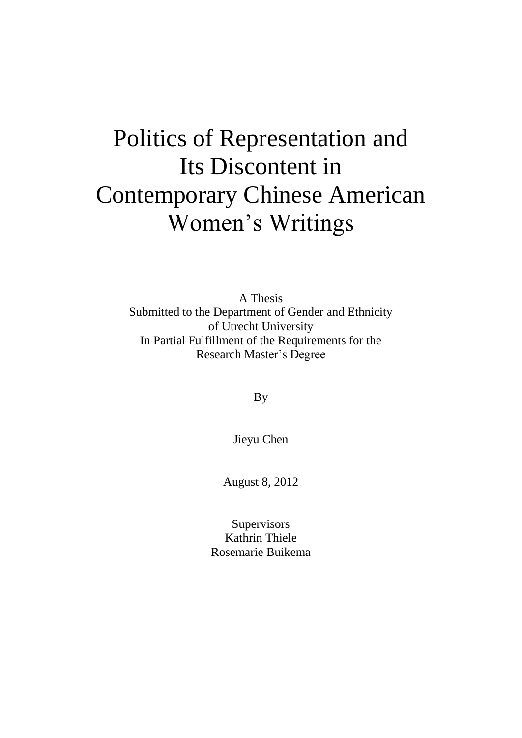# Politics of Representation and Its Discontent in Contemporary Chinese American Women's Writings

A Thesis Submitted to the Department of Gender and Ethnicity of Utrecht University In Partial Fulfillment of the Requirements for the Research Master's Degree

By

Jieyu Chen

August 8, 2012

**Supervisors** Kathrin Thiele Rosemarie Buikema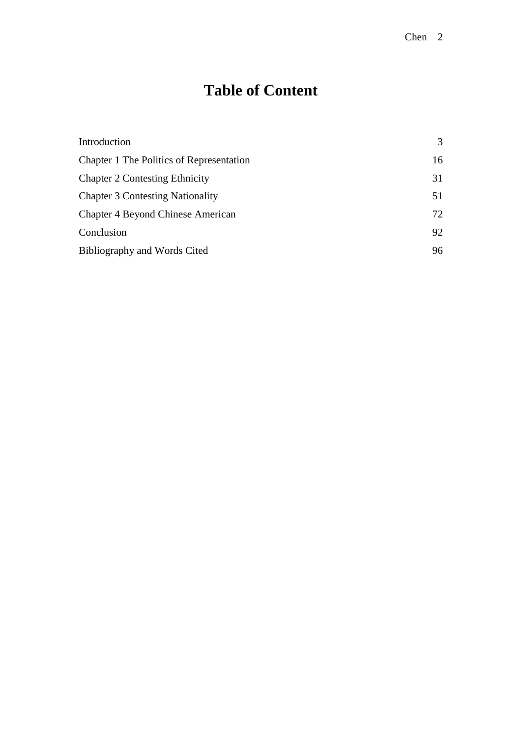## **Table of Content**

| Introduction                             | 3  |
|------------------------------------------|----|
| Chapter 1 The Politics of Representation | 16 |
| <b>Chapter 2 Contesting Ethnicity</b>    | 31 |
| <b>Chapter 3 Contesting Nationality</b>  | 51 |
| <b>Chapter 4 Beyond Chinese American</b> | 72 |
| Conclusion                               | 92 |
| Bibliography and Words Cited             | 96 |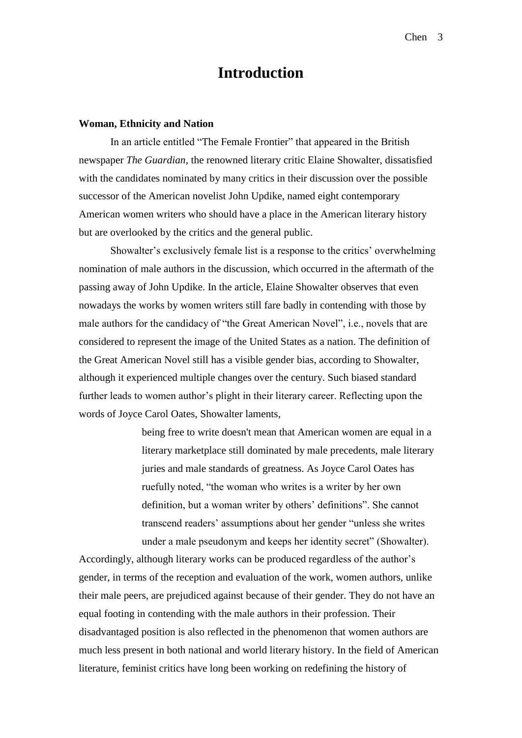## **Introduction**

#### **Woman, Ethnicity and Nation**

In an article entitled "The Female Frontier" that appeared in the British newspaper *The Guardian*, the renowned literary critic Elaine Showalter, dissatisfied with the candidates nominated by many critics in their discussion over the possible successor of the American novelist John Updike, named eight contemporary American women writers who should have a place in the American literary history but are overlooked by the critics and the general public.

Showalter's exclusively female list is a response to the critics' overwhelming nomination of male authors in the discussion, which occurred in the aftermath of the passing away of John Updike. In the article, Elaine Showalter observes that even nowadays the works by women writers still fare badly in contending with those by male authors for the candidacy of "the Great American Novel", i.e., novels that are considered to represent the image of the United States as a nation. The definition of the Great American Novel still has a visible gender bias, according to Showalter, although it experienced multiple changes over the century. Such biased standard further leads to women author's plight in their literary career. Reflecting upon the words of Joyce Carol Oates, Showalter laments,

> being free to write doesn't mean that American women are equal in a literary marketplace still dominated by male precedents, male literary juries and male standards of greatness. As Joyce Carol Oates has ruefully noted, "the woman who writes is a writer by her own definition, but a woman writer by others' definitions". She cannot transcend readers' assumptions about her gender "unless she writes under a male pseudonym and keeps her identity secret" (Showalter).

Accordingly, although literary works can be produced regardless of the author's gender, in terms of the reception and evaluation of the work, women authors, unlike their male peers, are prejudiced against because of their gender. They do not have an equal footing in contending with the male authors in their profession. Their disadvantaged position is also reflected in the phenomenon that women authors are much less present in both national and world literary history. In the field of American literature, feminist critics have long been working on redefining the history of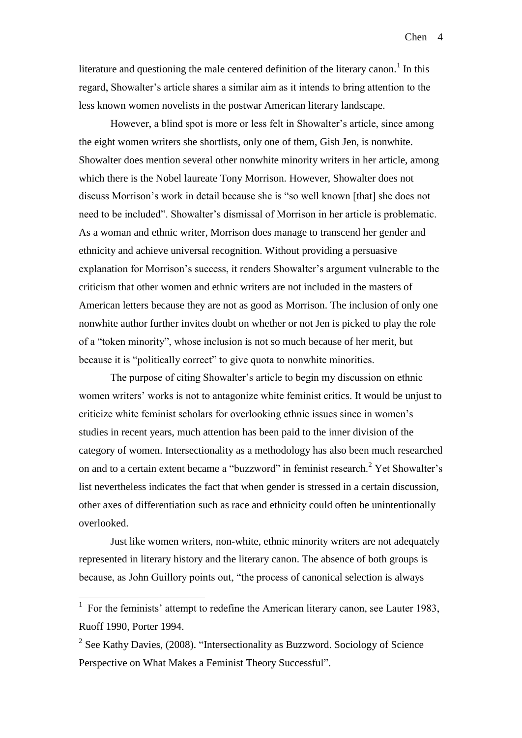literature and questioning the male centered definition of the literary canon.<sup>1</sup> In this regard, Showalter's article shares a similar aim as it intends to bring attention to the less known women novelists in the postwar American literary landscape.

However, a blind spot is more or less felt in Showalter's article, since among the eight women writers she shortlists, only one of them, Gish Jen, is nonwhite. Showalter does mention several other nonwhite minority writers in her article, among which there is the Nobel laureate Tony Morrison. However, Showalter does not discuss Morrison's work in detail because she is "so well known [that] she does not need to be included". Showalter's dismissal of Morrison in her article is problematic. As a woman and ethnic writer, Morrison does manage to transcend her gender and ethnicity and achieve universal recognition. Without providing a persuasive explanation for Morrison's success, it renders Showalter's argument vulnerable to the criticism that other women and ethnic writers are not included in the masters of American letters because they are not as good as Morrison. The inclusion of only one nonwhite author further invites doubt on whether or not Jen is picked to play the role of a "token minority", whose inclusion is not so much because of her merit, but because it is "politically correct" to give quota to nonwhite minorities.

The purpose of citing Showalter's article to begin my discussion on ethnic women writers' works is not to antagonize white feminist critics. It would be unjust to criticize white feminist scholars for overlooking ethnic issues since in women's studies in recent years, much attention has been paid to the inner division of the category of women. Intersectionality as a methodology has also been much researched on and to a certain extent became a "buzzword" in feminist research.<sup>2</sup> Yet Showalter's list nevertheless indicates the fact that when gender is stressed in a certain discussion, other axes of differentiation such as race and ethnicity could often be unintentionally overlooked.

Just like women writers, non-white, ethnic minority writers are not adequately represented in literary history and the literary canon. The absence of both groups is because, as John Guillory points out, "the process of canonical selection is always

1

<sup>&</sup>lt;sup>1</sup> For the feminists' attempt to redefine the American literary canon, see Lauter 1983, Ruoff 1990, Porter 1994.

 $2$  See Kathy Davies, (2008). "Intersectionality as Buzzword. Sociology of Science Perspective on What Makes a Feminist Theory Successful".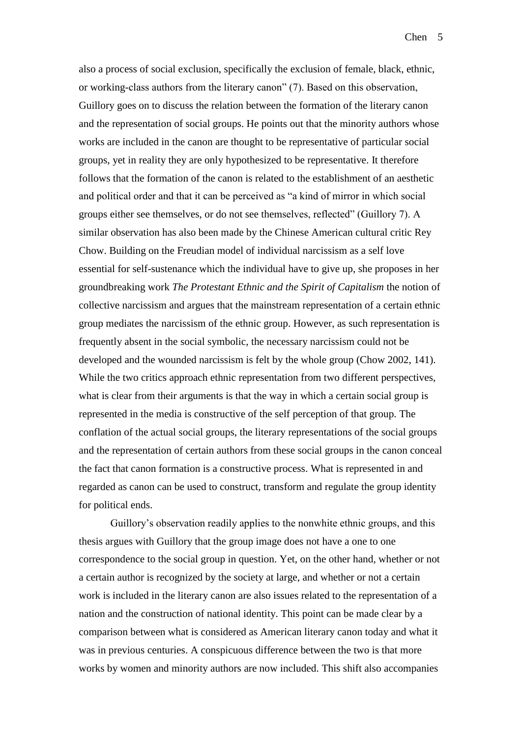also a process of social exclusion, specifically the exclusion of female, black, ethnic, or working-class authors from the literary canon" (7). Based on this observation, Guillory goes on to discuss the relation between the formation of the literary canon and the representation of social groups. He points out that the minority authors whose works are included in the canon are thought to be representative of particular social groups, yet in reality they are only hypothesized to be representative. It therefore follows that the formation of the canon is related to the establishment of an aesthetic and political order and that it can be perceived as "a kind of mirror in which social groups either see themselves, or do not see themselves, reflected" (Guillory 7). A similar observation has also been made by the Chinese American cultural critic Rey Chow. Building on the Freudian model of individual narcissism as a self love essential for self-sustenance which the individual have to give up, she proposes in her groundbreaking work *The Protestant Ethnic and the Spirit of Capitalism* the notion of collective narcissism and argues that the mainstream representation of a certain ethnic group mediates the narcissism of the ethnic group. However, as such representation is frequently absent in the social symbolic, the necessary narcissism could not be developed and the wounded narcissism is felt by the whole group (Chow 2002, 141). While the two critics approach ethnic representation from two different perspectives, what is clear from their arguments is that the way in which a certain social group is represented in the media is constructive of the self perception of that group. The conflation of the actual social groups, the literary representations of the social groups and the representation of certain authors from these social groups in the canon conceal the fact that canon formation is a constructive process. What is represented in and regarded as canon can be used to construct, transform and regulate the group identity for political ends.

Guillory's observation readily applies to the nonwhite ethnic groups, and this thesis argues with Guillory that the group image does not have a one to one correspondence to the social group in question. Yet, on the other hand, whether or not a certain author is recognized by the society at large, and whether or not a certain work is included in the literary canon are also issues related to the representation of a nation and the construction of national identity. This point can be made clear by a comparison between what is considered as American literary canon today and what it was in previous centuries. A conspicuous difference between the two is that more works by women and minority authors are now included. This shift also accompanies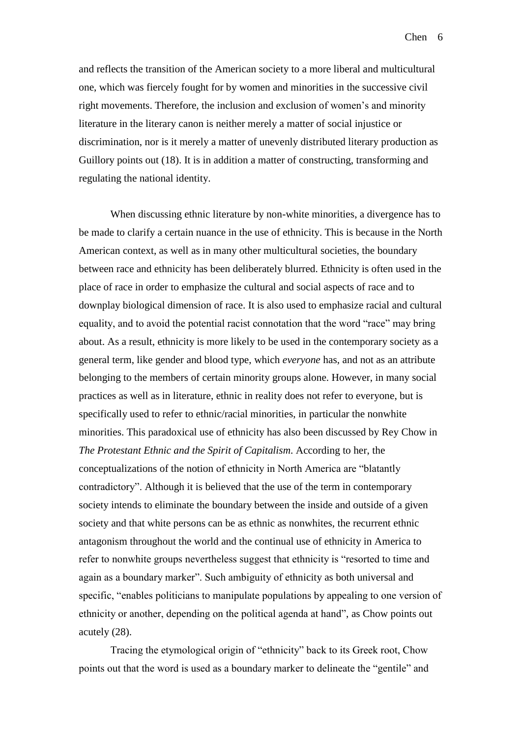and reflects the transition of the American society to a more liberal and multicultural one, which was fiercely fought for by women and minorities in the successive civil right movements. Therefore, the inclusion and exclusion of women's and minority literature in the literary canon is neither merely a matter of social injustice or discrimination, nor is it merely a matter of unevenly distributed literary production as Guillory points out (18). It is in addition a matter of constructing, transforming and regulating the national identity.

When discussing ethnic literature by non-white minorities, a divergence has to be made to clarify a certain nuance in the use of ethnicity. This is because in the North American context, as well as in many other multicultural societies, the boundary between race and ethnicity has been deliberately blurred. Ethnicity is often used in the place of race in order to emphasize the cultural and social aspects of race and to downplay biological dimension of race. It is also used to emphasize racial and cultural equality, and to avoid the potential racist connotation that the word "race" may bring about. As a result, ethnicity is more likely to be used in the contemporary society as a general term, like gender and blood type, which *everyone* has, and not as an attribute belonging to the members of certain minority groups alone. However, in many social practices as well as in literature, ethnic in reality does not refer to everyone, but is specifically used to refer to ethnic/racial minorities, in particular the nonwhite minorities. This paradoxical use of ethnicity has also been discussed by Rey Chow in *The Protestant Ethnic and the Spirit of Capitalism*. According to her, the conceptualizations of the notion of ethnicity in North America are "blatantly contradictory". Although it is believed that the use of the term in contemporary society intends to eliminate the boundary between the inside and outside of a given society and that white persons can be as ethnic as nonwhites, the recurrent ethnic antagonism throughout the world and the continual use of ethnicity in America to refer to nonwhite groups nevertheless suggest that ethnicity is "resorted to time and again as a boundary marker". Such ambiguity of ethnicity as both universal and specific, "enables politicians to manipulate populations by appealing to one version of ethnicity or another, depending on the political agenda at hand", as Chow points out acutely (28).

Tracing the etymological origin of "ethnicity" back to its Greek root, Chow points out that the word is used as a boundary marker to delineate the "gentile" and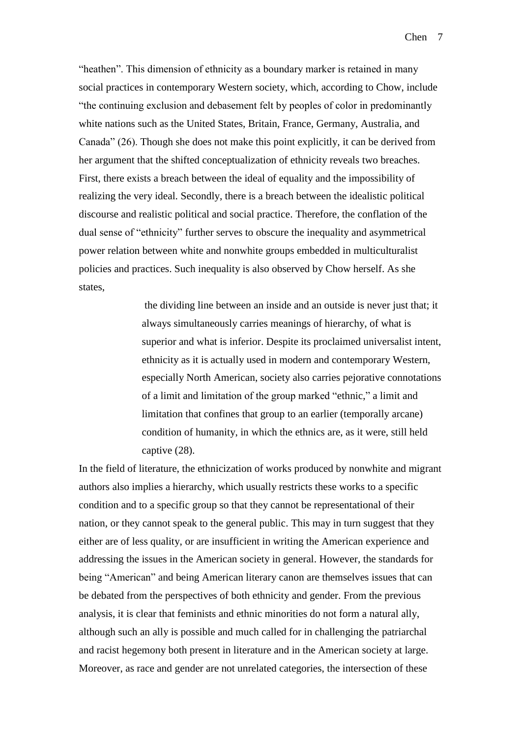"heathen". This dimension of ethnicity as a boundary marker is retained in many social practices in contemporary Western society, which, according to Chow, include "the continuing exclusion and debasement felt by peoples of color in predominantly white nations such as the United States, Britain, France, Germany, Australia, and Canada" (26). Though she does not make this point explicitly, it can be derived from her argument that the shifted conceptualization of ethnicity reveals two breaches. First, there exists a breach between the ideal of equality and the impossibility of realizing the very ideal. Secondly, there is a breach between the idealistic political discourse and realistic political and social practice. Therefore, the conflation of the dual sense of "ethnicity" further serves to obscure the inequality and asymmetrical power relation between white and nonwhite groups embedded in multiculturalist policies and practices. Such inequality is also observed by Chow herself. As she states,

> the dividing line between an inside and an outside is never just that; it always simultaneously carries meanings of hierarchy, of what is superior and what is inferior. Despite its proclaimed universalist intent, ethnicity as it is actually used in modern and contemporary Western, especially North American, society also carries pejorative connotations of a limit and limitation of the group marked "ethnic," a limit and limitation that confines that group to an earlier (temporally arcane) condition of humanity, in which the ethnics are, as it were, still held captive (28).

In the field of literature, the ethnicization of works produced by nonwhite and migrant authors also implies a hierarchy, which usually restricts these works to a specific condition and to a specific group so that they cannot be representational of their nation, or they cannot speak to the general public. This may in turn suggest that they either are of less quality, or are insufficient in writing the American experience and addressing the issues in the American society in general. However, the standards for being "American" and being American literary canon are themselves issues that can be debated from the perspectives of both ethnicity and gender. From the previous analysis, it is clear that feminists and ethnic minorities do not form a natural ally, although such an ally is possible and much called for in challenging the patriarchal and racist hegemony both present in literature and in the American society at large. Moreover, as race and gender are not unrelated categories, the intersection of these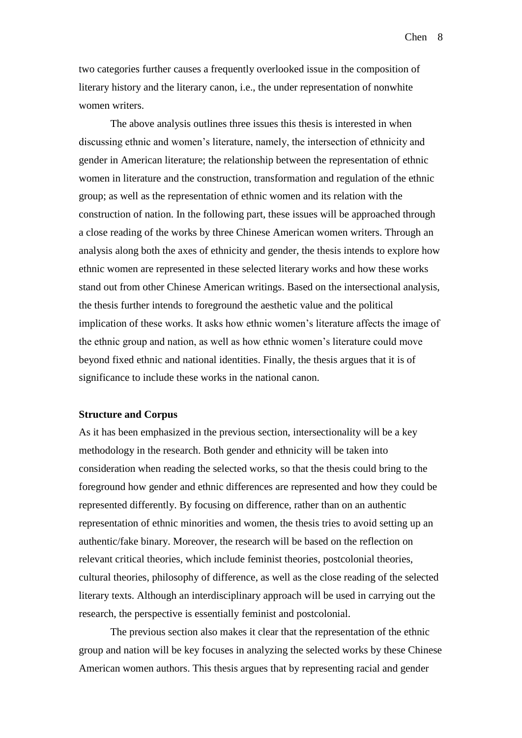two categories further causes a frequently overlooked issue in the composition of literary history and the literary canon, i.e., the under representation of nonwhite women writers.

The above analysis outlines three issues this thesis is interested in when discussing ethnic and women's literature, namely, the intersection of ethnicity and gender in American literature; the relationship between the representation of ethnic women in literature and the construction, transformation and regulation of the ethnic group; as well as the representation of ethnic women and its relation with the construction of nation. In the following part, these issues will be approached through a close reading of the works by three Chinese American women writers. Through an analysis along both the axes of ethnicity and gender, the thesis intends to explore how ethnic women are represented in these selected literary works and how these works stand out from other Chinese American writings. Based on the intersectional analysis, the thesis further intends to foreground the aesthetic value and the political implication of these works. It asks how ethnic women's literature affects the image of the ethnic group and nation, as well as how ethnic women's literature could move beyond fixed ethnic and national identities. Finally, the thesis argues that it is of significance to include these works in the national canon.

#### **Structure and Corpus**

As it has been emphasized in the previous section, intersectionality will be a key methodology in the research. Both gender and ethnicity will be taken into consideration when reading the selected works, so that the thesis could bring to the foreground how gender and ethnic differences are represented and how they could be represented differently. By focusing on difference, rather than on an authentic representation of ethnic minorities and women, the thesis tries to avoid setting up an authentic/fake binary. Moreover, the research will be based on the reflection on relevant critical theories, which include feminist theories, postcolonial theories, cultural theories, philosophy of difference, as well as the close reading of the selected literary texts. Although an interdisciplinary approach will be used in carrying out the research, the perspective is essentially feminist and postcolonial.

The previous section also makes it clear that the representation of the ethnic group and nation will be key focuses in analyzing the selected works by these Chinese American women authors. This thesis argues that by representing racial and gender

Chen 8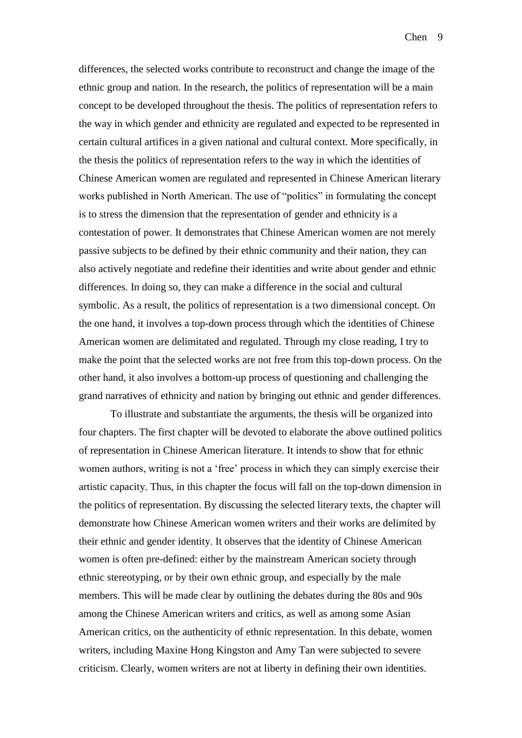differences, the selected works contribute to reconstruct and change the image of the ethnic group and nation. In the research, the politics of representation will be a main concept to be developed throughout the thesis. The politics of representation refers to the way in which gender and ethnicity are regulated and expected to be represented in certain cultural artifices in a given national and cultural context. More specifically, in the thesis the politics of representation refers to the way in which the identities of Chinese American women are regulated and represented in Chinese American literary works published in North American. The use of "politics" in formulating the concept is to stress the dimension that the representation of gender and ethnicity is a contestation of power. It demonstrates that Chinese American women are not merely passive subjects to be defined by their ethnic community and their nation, they can also actively negotiate and redefine their identities and write about gender and ethnic differences. In doing so, they can make a difference in the social and cultural symbolic. As a result, the politics of representation is a two dimensional concept. On the one hand, it involves a top-down process through which the identities of Chinese American women are delimitated and regulated. Through my close reading, I try to make the point that the selected works are not free from this top-down process. On the other hand, it also involves a bottom-up process of questioning and challenging the grand narratives of ethnicity and nation by bringing out ethnic and gender differences.

To illustrate and substantiate the arguments, the thesis will be organized into four chapters. The first chapter will be devoted to elaborate the above outlined politics of representation in Chinese American literature. It intends to show that for ethnic women authors, writing is not a 'free' process in which they can simply exercise their artistic capacity. Thus, in this chapter the focus will fall on the top-down dimension in the politics of representation. By discussing the selected literary texts, the chapter will demonstrate how Chinese American women writers and their works are delimited by their ethnic and gender identity. It observes that the identity of Chinese American women is often pre-defined: either by the mainstream American society through ethnic stereotyping, or by their own ethnic group, and especially by the male members. This will be made clear by outlining the debates during the 80s and 90s among the Chinese American writers and critics, as well as among some Asian American critics, on the authenticity of ethnic representation. In this debate, women writers, including Maxine Hong Kingston and Amy Tan were subjected to severe criticism. Clearly, women writers are not at liberty in defining their own identities.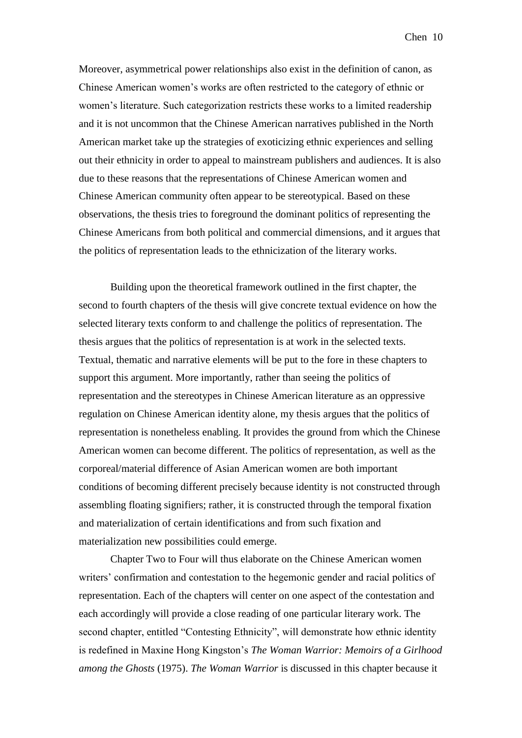Moreover, asymmetrical power relationships also exist in the definition of canon, as Chinese American women's works are often restricted to the category of ethnic or women's literature. Such categorization restricts these works to a limited readership and it is not uncommon that the Chinese American narratives published in the North American market take up the strategies of exoticizing ethnic experiences and selling out their ethnicity in order to appeal to mainstream publishers and audiences. It is also due to these reasons that the representations of Chinese American women and Chinese American community often appear to be stereotypical. Based on these observations, the thesis tries to foreground the dominant politics of representing the Chinese Americans from both political and commercial dimensions, and it argues that the politics of representation leads to the ethnicization of the literary works.

Building upon the theoretical framework outlined in the first chapter, the second to fourth chapters of the thesis will give concrete textual evidence on how the selected literary texts conform to and challenge the politics of representation. The thesis argues that the politics of representation is at work in the selected texts. Textual, thematic and narrative elements will be put to the fore in these chapters to support this argument. More importantly, rather than seeing the politics of representation and the stereotypes in Chinese American literature as an oppressive regulation on Chinese American identity alone, my thesis argues that the politics of representation is nonetheless enabling. It provides the ground from which the Chinese American women can become different. The politics of representation, as well as the corporeal/material difference of Asian American women are both important conditions of becoming different precisely because identity is not constructed through assembling floating signifiers; rather, it is constructed through the temporal fixation and materialization of certain identifications and from such fixation and materialization new possibilities could emerge.

Chapter Two to Four will thus elaborate on the Chinese American women writers' confirmation and contestation to the hegemonic gender and racial politics of representation. Each of the chapters will center on one aspect of the contestation and each accordingly will provide a close reading of one particular literary work. The second chapter, entitled "Contesting Ethnicity", will demonstrate how ethnic identity is redefined in Maxine Hong Kingston's *The Woman Warrior: Memoirs of a Girlhood among the Ghosts* (1975). *The Woman Warrior* is discussed in this chapter because it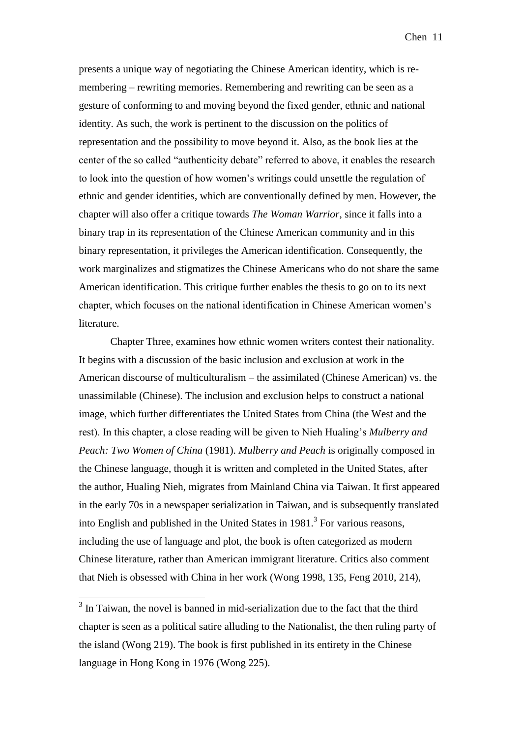presents a unique way of negotiating the Chinese American identity, which is remembering – rewriting memories. Remembering and rewriting can be seen as a gesture of conforming to and moving beyond the fixed gender, ethnic and national identity. As such, the work is pertinent to the discussion on the politics of representation and the possibility to move beyond it. Also, as the book lies at the center of the so called "authenticity debate" referred to above, it enables the research to look into the question of how women's writings could unsettle the regulation of ethnic and gender identities, which are conventionally defined by men. However, the chapter will also offer a critique towards *The Woman Warrior*, since it falls into a binary trap in its representation of the Chinese American community and in this binary representation, it privileges the American identification. Consequently, the work marginalizes and stigmatizes the Chinese Americans who do not share the same American identification. This critique further enables the thesis to go on to its next chapter, which focuses on the national identification in Chinese American women's literature.

Chapter Three, examines how ethnic women writers contest their nationality. It begins with a discussion of the basic inclusion and exclusion at work in the American discourse of multiculturalism – the assimilated (Chinese American) vs. the unassimilable (Chinese). The inclusion and exclusion helps to construct a national image, which further differentiates the United States from China (the West and the rest). In this chapter, a close reading will be given to Nieh Hualing's *Mulberry and Peach: Two Women of China* (1981). *Mulberry and Peach* is originally composed in the Chinese language, though it is written and completed in the United States, after the author, Hualing Nieh, migrates from Mainland China via Taiwan. It first appeared in the early 70s in a newspaper serialization in Taiwan, and is subsequently translated into English and published in the United States in  $1981$ <sup>3</sup>. For various reasons, including the use of language and plot, the book is often categorized as modern Chinese literature, rather than American immigrant literature. Critics also comment that Nieh is obsessed with China in her work (Wong 1998, 135, Feng 2010, 214),

1

<sup>&</sup>lt;sup>3</sup> In Taiwan, the novel is banned in mid-serialization due to the fact that the third chapter is seen as a political satire alluding to the Nationalist, the then ruling party of the island (Wong 219). The book is first published in its entirety in the Chinese language in Hong Kong in 1976 (Wong 225).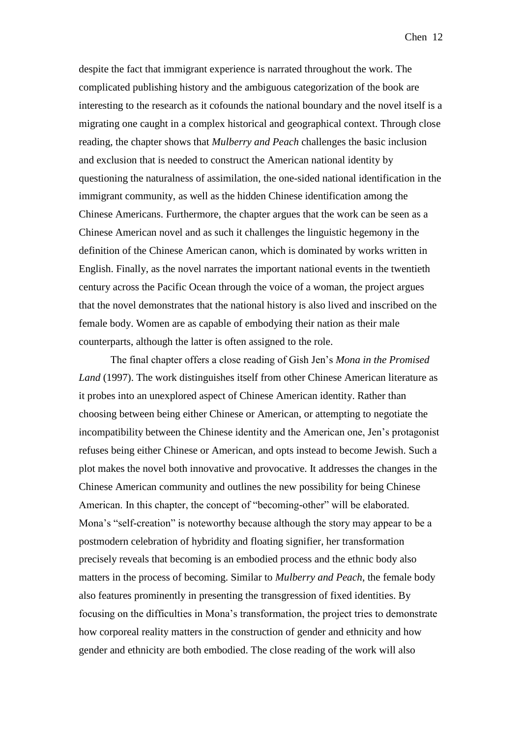despite the fact that immigrant experience is narrated throughout the work. The complicated publishing history and the ambiguous categorization of the book are interesting to the research as it cofounds the national boundary and the novel itself is a migrating one caught in a complex historical and geographical context. Through close reading, the chapter shows that *Mulberry and Peach* challenges the basic inclusion and exclusion that is needed to construct the American national identity by questioning the naturalness of assimilation, the one-sided national identification in the immigrant community, as well as the hidden Chinese identification among the Chinese Americans. Furthermore, the chapter argues that the work can be seen as a Chinese American novel and as such it challenges the linguistic hegemony in the definition of the Chinese American canon, which is dominated by works written in English. Finally, as the novel narrates the important national events in the twentieth century across the Pacific Ocean through the voice of a woman, the project argues that the novel demonstrates that the national history is also lived and inscribed on the female body. Women are as capable of embodying their nation as their male counterparts, although the latter is often assigned to the role.

The final chapter offers a close reading of Gish Jen's *Mona in the Promised Land* (1997). The work distinguishes itself from other Chinese American literature as it probes into an unexplored aspect of Chinese American identity. Rather than choosing between being either Chinese or American, or attempting to negotiate the incompatibility between the Chinese identity and the American one, Jen's protagonist refuses being either Chinese or American, and opts instead to become Jewish. Such a plot makes the novel both innovative and provocative. It addresses the changes in the Chinese American community and outlines the new possibility for being Chinese American. In this chapter, the concept of "becoming-other" will be elaborated. Mona's "self-creation" is noteworthy because although the story may appear to be a postmodern celebration of hybridity and floating signifier, her transformation precisely reveals that becoming is an embodied process and the ethnic body also matters in the process of becoming. Similar to *Mulberry and Peach*, the female body also features prominently in presenting the transgression of fixed identities. By focusing on the difficulties in Mona's transformation, the project tries to demonstrate how corporeal reality matters in the construction of gender and ethnicity and how gender and ethnicity are both embodied. The close reading of the work will also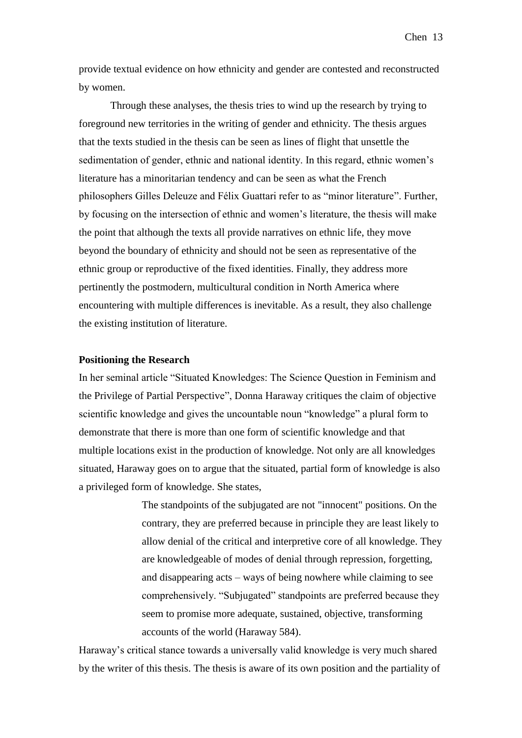provide textual evidence on how ethnicity and gender are contested and reconstructed by women.

Through these analyses, the thesis tries to wind up the research by trying to foreground new territories in the writing of gender and ethnicity. The thesis argues that the texts studied in the thesis can be seen as lines of flight that unsettle the sedimentation of gender, ethnic and national identity. In this regard, ethnic women's literature has a minoritarian tendency and can be seen as what the French philosophers Gilles Deleuze and Félix Guattari refer to as "minor literature". Further, by focusing on the intersection of ethnic and women's literature, the thesis will make the point that although the texts all provide narratives on ethnic life, they move beyond the boundary of ethnicity and should not be seen as representative of the ethnic group or reproductive of the fixed identities. Finally, they address more pertinently the postmodern, multicultural condition in North America where encountering with multiple differences is inevitable. As a result, they also challenge the existing institution of literature.

### **Positioning the Research**

In her seminal article "Situated Knowledges: The Science Question in Feminism and the Privilege of Partial Perspective", Donna Haraway critiques the claim of objective scientific knowledge and gives the uncountable noun "knowledge" a plural form to demonstrate that there is more than one form of scientific knowledge and that multiple locations exist in the production of knowledge. Not only are all knowledges situated, Haraway goes on to argue that the situated, partial form of knowledge is also a privileged form of knowledge. She states,

> The standpoints of the subjugated are not "innocent" positions. On the contrary, they are preferred because in principle they are least likely to allow denial of the critical and interpretive core of all knowledge. They are knowledgeable of modes of denial through repression, forgetting, and disappearing acts – ways of being nowhere while claiming to see comprehensively. "Subjugated" standpoints are preferred because they seem to promise more adequate, sustained, objective, transforming accounts of the world (Haraway 584).

Haraway's critical stance towards a universally valid knowledge is very much shared by the writer of this thesis. The thesis is aware of its own position and the partiality of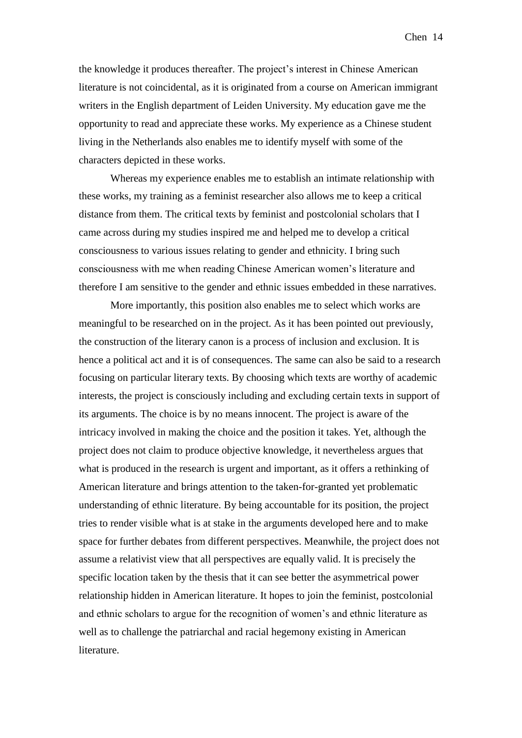the knowledge it produces thereafter. The project's interest in Chinese American literature is not coincidental, as it is originated from a course on American immigrant writers in the English department of Leiden University. My education gave me the opportunity to read and appreciate these works. My experience as a Chinese student living in the Netherlands also enables me to identify myself with some of the characters depicted in these works.

Whereas my experience enables me to establish an intimate relationship with these works, my training as a feminist researcher also allows me to keep a critical distance from them. The critical texts by feminist and postcolonial scholars that I came across during my studies inspired me and helped me to develop a critical consciousness to various issues relating to gender and ethnicity. I bring such consciousness with me when reading Chinese American women's literature and therefore I am sensitive to the gender and ethnic issues embedded in these narratives.

More importantly, this position also enables me to select which works are meaningful to be researched on in the project. As it has been pointed out previously, the construction of the literary canon is a process of inclusion and exclusion. It is hence a political act and it is of consequences. The same can also be said to a research focusing on particular literary texts. By choosing which texts are worthy of academic interests, the project is consciously including and excluding certain texts in support of its arguments. The choice is by no means innocent. The project is aware of the intricacy involved in making the choice and the position it takes. Yet, although the project does not claim to produce objective knowledge, it nevertheless argues that what is produced in the research is urgent and important, as it offers a rethinking of American literature and brings attention to the taken-for-granted yet problematic understanding of ethnic literature. By being accountable for its position, the project tries to render visible what is at stake in the arguments developed here and to make space for further debates from different perspectives. Meanwhile, the project does not assume a relativist view that all perspectives are equally valid. It is precisely the specific location taken by the thesis that it can see better the asymmetrical power relationship hidden in American literature. It hopes to join the feminist, postcolonial and ethnic scholars to argue for the recognition of women's and ethnic literature as well as to challenge the patriarchal and racial hegemony existing in American literature.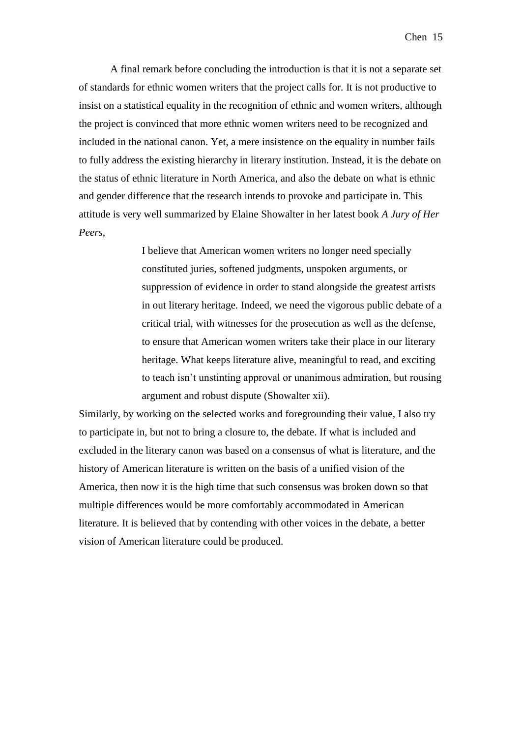A final remark before concluding the introduction is that it is not a separate set of standards for ethnic women writers that the project calls for. It is not productive to insist on a statistical equality in the recognition of ethnic and women writers, although the project is convinced that more ethnic women writers need to be recognized and included in the national canon. Yet, a mere insistence on the equality in number fails to fully address the existing hierarchy in literary institution. Instead, it is the debate on the status of ethnic literature in North America, and also the debate on what is ethnic and gender difference that the research intends to provoke and participate in. This attitude is very well summarized by Elaine Showalter in her latest book *A Jury of Her Peers*,

> I believe that American women writers no longer need specially constituted juries, softened judgments, unspoken arguments, or suppression of evidence in order to stand alongside the greatest artists in out literary heritage. Indeed, we need the vigorous public debate of a critical trial, with witnesses for the prosecution as well as the defense, to ensure that American women writers take their place in our literary heritage. What keeps literature alive, meaningful to read, and exciting to teach isn't unstinting approval or unanimous admiration, but rousing argument and robust dispute (Showalter xii).

Similarly, by working on the selected works and foregrounding their value, I also try to participate in, but not to bring a closure to, the debate. If what is included and excluded in the literary canon was based on a consensus of what is literature, and the history of American literature is written on the basis of a unified vision of the America, then now it is the high time that such consensus was broken down so that multiple differences would be more comfortably accommodated in American literature. It is believed that by contending with other voices in the debate, a better vision of American literature could be produced.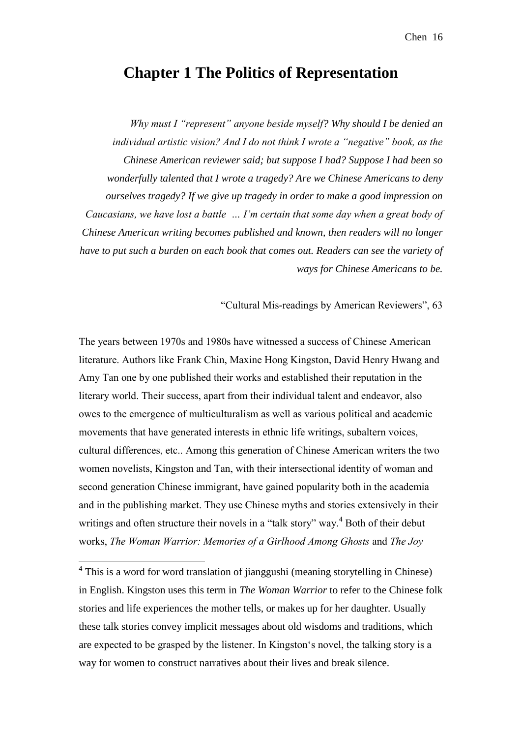## **Chapter 1 The Politics of Representation**

*Why must I "represent" anyone beside myself? Why should I be denied an individual artistic vision? And I do not think I wrote a "negative" book, as the Chinese American reviewer said; but suppose I had? Suppose I had been so wonderfully talented that I wrote a tragedy? Are we Chinese Americans to deny ourselves tragedy? If we give up tragedy in order to make a good impression on Caucasians, we have lost a battle … I'm certain that some day when a great body of Chinese American writing becomes published and known, then readers will no longer have to put such a burden on each book that comes out. Readers can see the variety of ways for Chinese Americans to be.* 

"Cultural Mis-readings by American Reviewers", 63

The years between 1970s and 1980s have witnessed a success of Chinese American literature. Authors like Frank Chin, Maxine Hong Kingston, David Henry Hwang and Amy Tan one by one published their works and established their reputation in the literary world. Their success, apart from their individual talent and endeavor, also owes to the emergence of multiculturalism as well as various political and academic movements that have generated interests in ethnic life writings, subaltern voices, cultural differences, etc.. Among this generation of Chinese American writers the two women novelists, Kingston and Tan, with their intersectional identity of woman and second generation Chinese immigrant, have gained popularity both in the academia and in the publishing market. They use Chinese myths and stories extensively in their writings and often structure their novels in a "talk story" way.<sup>4</sup> Both of their debut works, *The Woman Warrior: Memories of a Girlhood Among Ghosts* and *The Joy* 

<u>.</u>

<sup>&</sup>lt;sup>4</sup> This is a word for word translation of jianggushi (meaning storytelling in Chinese) in English. Kingston uses this term in *The Woman Warrior* to refer to the Chinese folk stories and life experiences the mother tells, or makes up for her daughter. Usually these talk stories convey implicit messages about old wisdoms and traditions, which are expected to be grasped by the listener. In Kingston's novel, the talking story is a way for women to construct narratives about their lives and break silence.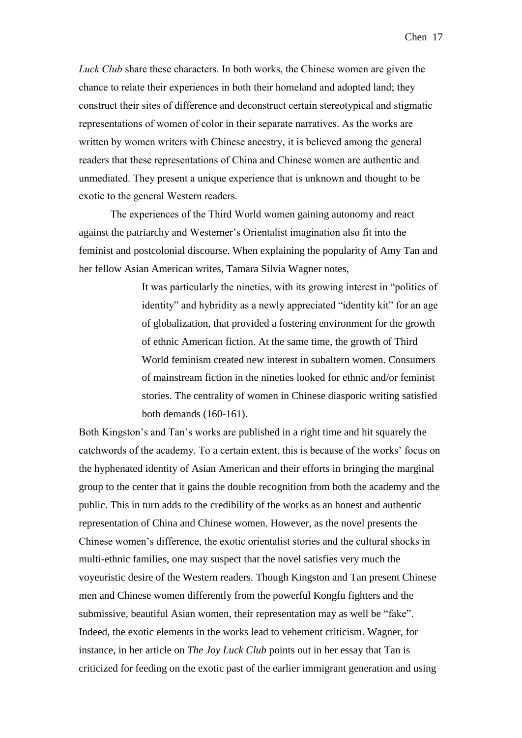*Luck Club* share these characters. In both works, the Chinese women are given the chance to relate their experiences in both their homeland and adopted land; they construct their sites of difference and deconstruct certain stereotypical and stigmatic representations of women of color in their separate narratives. As the works are written by women writers with Chinese ancestry, it is believed among the general readers that these representations of China and Chinese women are authentic and unmediated. They present a unique experience that is unknown and thought to be exotic to the general Western readers.

The experiences of the Third World women gaining autonomy and react against the patriarchy and Westerner's Orientalist imagination also fit into the feminist and postcolonial discourse. When explaining the popularity of Amy Tan and her fellow Asian American writes, Tamara Silvia Wagner notes,

> It was particularly the nineties, with its growing interest in "politics of identity" and hybridity as a newly appreciated "identity kit" for an age of globalization, that provided a fostering environment for the growth of ethnic American fiction. At the same time, the growth of Third World feminism created new interest in subaltern women. Consumers of mainstream fiction in the nineties looked for ethnic and/or feminist stories. The centrality of women in Chinese diasporic writing satisfied both demands (160-161).

Both Kingston's and Tan's works are published in a right time and hit squarely the catchwords of the academy. To a certain extent, this is because of the works' focus on the hyphenated identity of Asian American and their efforts in bringing the marginal group to the center that it gains the double recognition from both the academy and the public. This in turn adds to the credibility of the works as an honest and authentic representation of China and Chinese women. However, as the novel presents the Chinese women's difference, the exotic orientalist stories and the cultural shocks in multi-ethnic families, one may suspect that the novel satisfies very much the voyeuristic desire of the Western readers. Though Kingston and Tan present Chinese men and Chinese women differently from the powerful Kongfu fighters and the submissive, beautiful Asian women, their representation may as well be "fake". Indeed, the exotic elements in the works lead to vehement criticism. Wagner, for instance, in her article on *The Joy Luck Club* points out in her essay that Tan is criticized for feeding on the exotic past of the earlier immigrant generation and using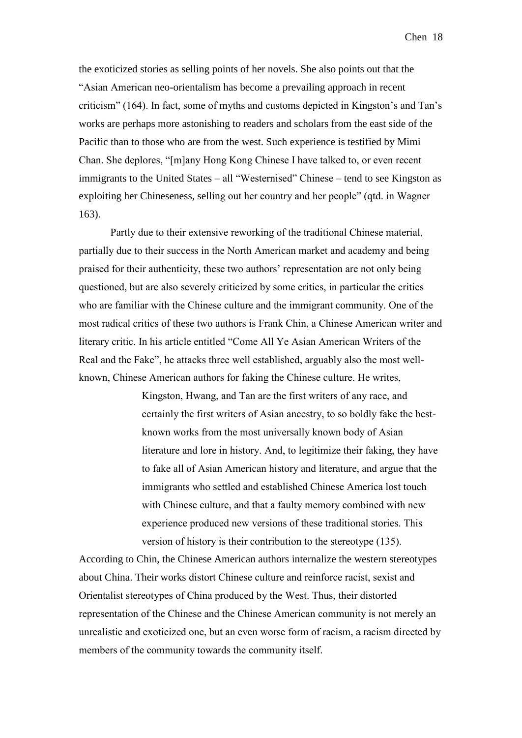the exoticized stories as selling points of her novels. She also points out that the "Asian American neo-orientalism has become a prevailing approach in recent criticism" (164). In fact, some of myths and customs depicted in Kingston's and Tan's works are perhaps more astonishing to readers and scholars from the east side of the Pacific than to those who are from the west. Such experience is testified by Mimi Chan. She deplores, "[m]any Hong Kong Chinese I have talked to, or even recent immigrants to the United States – all "Westernised" Chinese – tend to see Kingston as exploiting her Chineseness, selling out her country and her people" (qtd. in Wagner 163).

Partly due to their extensive reworking of the traditional Chinese material, partially due to their success in the North American market and academy and being praised for their authenticity, these two authors' representation are not only being questioned, but are also severely criticized by some critics, in particular the critics who are familiar with the Chinese culture and the immigrant community. One of the most radical critics of these two authors is Frank Chin, a Chinese American writer and literary critic. In his article entitled "Come All Ye Asian American Writers of the Real and the Fake", he attacks three well established, arguably also the most wellknown, Chinese American authors for faking the Chinese culture. He writes,

> Kingston, Hwang, and Tan are the first writers of any race, and certainly the first writers of Asian ancestry, to so boldly fake the bestknown works from the most universally known body of Asian literature and lore in history. And, to legitimize their faking, they have to fake all of Asian American history and literature, and argue that the immigrants who settled and established Chinese America lost touch with Chinese culture, and that a faulty memory combined with new experience produced new versions of these traditional stories. This version of history is their contribution to the stereotype (135).

According to Chin, the Chinese American authors internalize the western stereotypes about China. Their works distort Chinese culture and reinforce racist, sexist and Orientalist stereotypes of China produced by the West. Thus, their distorted representation of the Chinese and the Chinese American community is not merely an unrealistic and exoticized one, but an even worse form of racism, a racism directed by members of the community towards the community itself.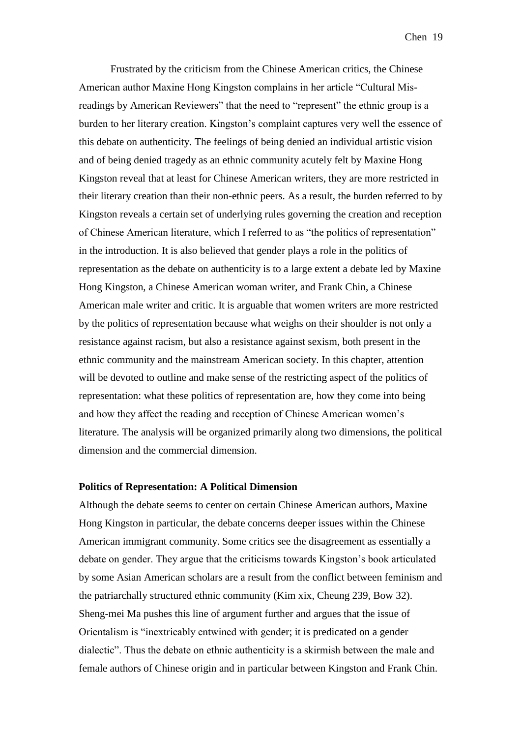Frustrated by the criticism from the Chinese American critics, the Chinese American author Maxine Hong Kingston complains in her article "Cultural Misreadings by American Reviewers" that the need to "represent" the ethnic group is a burden to her literary creation. Kingston's complaint captures very well the essence of this debate on authenticity. The feelings of being denied an individual artistic vision and of being denied tragedy as an ethnic community acutely felt by Maxine Hong Kingston reveal that at least for Chinese American writers, they are more restricted in their literary creation than their non-ethnic peers. As a result, the burden referred to by Kingston reveals a certain set of underlying rules governing the creation and reception of Chinese American literature, which I referred to as "the politics of representation" in the introduction. It is also believed that gender plays a role in the politics of representation as the debate on authenticity is to a large extent a debate led by Maxine Hong Kingston, a Chinese American woman writer, and Frank Chin, a Chinese American male writer and critic. It is arguable that women writers are more restricted by the politics of representation because what weighs on their shoulder is not only a resistance against racism, but also a resistance against sexism, both present in the ethnic community and the mainstream American society. In this chapter, attention will be devoted to outline and make sense of the restricting aspect of the politics of representation: what these politics of representation are, how they come into being and how they affect the reading and reception of Chinese American women's literature. The analysis will be organized primarily along two dimensions, the political dimension and the commercial dimension.

#### **Politics of Representation: A Political Dimension**

Although the debate seems to center on certain Chinese American authors, Maxine Hong Kingston in particular, the debate concerns deeper issues within the Chinese American immigrant community. Some critics see the disagreement as essentially a debate on gender. They argue that the criticisms towards Kingston's book articulated by some Asian American scholars are a result from the conflict between feminism and the patriarchally structured ethnic community (Kim xix, Cheung 239, Bow 32). Sheng-mei Ma pushes this line of argument further and argues that the issue of Orientalism is "inextricably entwined with gender; it is predicated on a gender dialectic". Thus the debate on ethnic authenticity is a skirmish between the male and female authors of Chinese origin and in particular between Kingston and Frank Chin.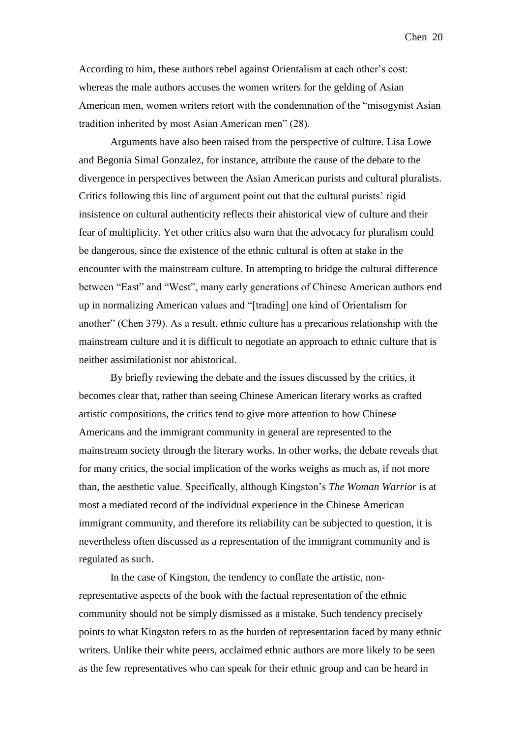According to him, these authors rebel against Orientalism at each other's cost: whereas the male authors accuses the women writers for the gelding of Asian American men, women writers retort with the condemnation of the "misogynist Asian tradition inherited by most Asian American men" (28).

Arguments have also been raised from the perspective of culture. Lisa Lowe and Begonia Simal Gonzalez, for instance, attribute the cause of the debate to the divergence in perspectives between the Asian American purists and cultural pluralists. Critics following this line of argument point out that the cultural purists' rigid insistence on cultural authenticity reflects their ahistorical view of culture and their fear of multiplicity. Yet other critics also warn that the advocacy for pluralism could be dangerous, since the existence of the ethnic cultural is often at stake in the encounter with the mainstream culture. In attempting to bridge the cultural difference between "East" and "West", many early generations of Chinese American authors end up in normalizing American values and "[trading] one kind of Orientalism for another" (Chen 379). As a result, ethnic culture has a precarious relationship with the mainstream culture and it is difficult to negotiate an approach to ethnic culture that is neither assimilationist nor ahistorical.

By briefly reviewing the debate and the issues discussed by the critics, it becomes clear that, rather than seeing Chinese American literary works as crafted artistic compositions, the critics tend to give more attention to how Chinese Americans and the immigrant community in general are represented to the mainstream society through the literary works. In other works, the debate reveals that for many critics, the social implication of the works weighs as much as, if not more than, the aesthetic value. Specifically, although Kingston's *The Woman Warrior* is at most a mediated record of the individual experience in the Chinese American immigrant community, and therefore its reliability can be subjected to question, it is nevertheless often discussed as a representation of the immigrant community and is regulated as such.

In the case of Kingston, the tendency to conflate the artistic, nonrepresentative aspects of the book with the factual representation of the ethnic community should not be simply dismissed as a mistake. Such tendency precisely points to what Kingston refers to as the burden of representation faced by many ethnic writers. Unlike their white peers, acclaimed ethnic authors are more likely to be seen as the few representatives who can speak for their ethnic group and can be heard in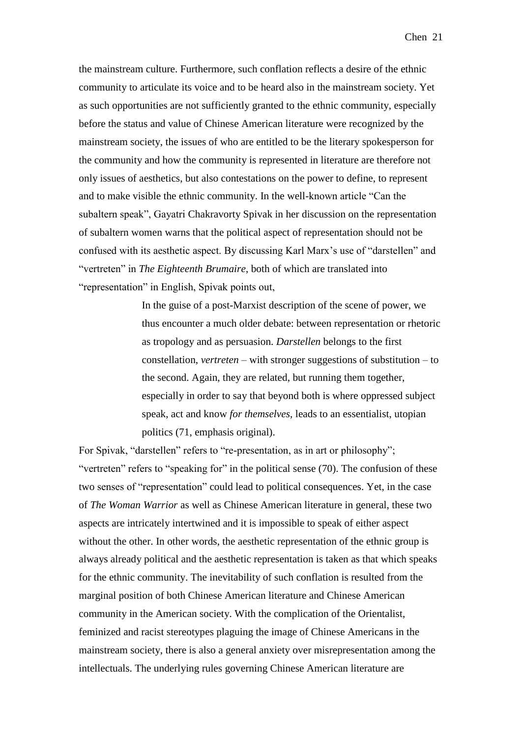the mainstream culture. Furthermore, such conflation reflects a desire of the ethnic community to articulate its voice and to be heard also in the mainstream society. Yet as such opportunities are not sufficiently granted to the ethnic community, especially before the status and value of Chinese American literature were recognized by the mainstream society, the issues of who are entitled to be the literary spokesperson for the community and how the community is represented in literature are therefore not only issues of aesthetics, but also contestations on the power to define, to represent and to make visible the ethnic community. In the well-known article "Can the subaltern speak", Gayatri Chakravorty Spivak in her discussion on the representation of subaltern women warns that the political aspect of representation should not be confused with its aesthetic aspect. By discussing Karl Marx's use of "darstellen" and "vertreten" in *The Eighteenth Brumaire*, both of which are translated into "representation" in English, Spivak points out,

> In the guise of a post-Marxist description of the scene of power, we thus encounter a much older debate: between representation or rhetoric as tropology and as persuasion. *Darstellen* belongs to the first constellation, *vertreten* – with stronger suggestions of substitution – to the second. Again, they are related, but running them together, especially in order to say that beyond both is where oppressed subject speak, act and know *for themselves*, leads to an essentialist, utopian politics (71, emphasis original).

For Spivak, "darstellen" refers to "re-presentation, as in art or philosophy"; "vertreten" refers to "speaking for" in the political sense (70). The confusion of these two senses of "representation" could lead to political consequences. Yet, in the case of *The Woman Warrior* as well as Chinese American literature in general, these two aspects are intricately intertwined and it is impossible to speak of either aspect without the other. In other words, the aesthetic representation of the ethnic group is always already political and the aesthetic representation is taken as that which speaks for the ethnic community. The inevitability of such conflation is resulted from the marginal position of both Chinese American literature and Chinese American community in the American society. With the complication of the Orientalist, feminized and racist stereotypes plaguing the image of Chinese Americans in the mainstream society, there is also a general anxiety over misrepresentation among the intellectuals. The underlying rules governing Chinese American literature are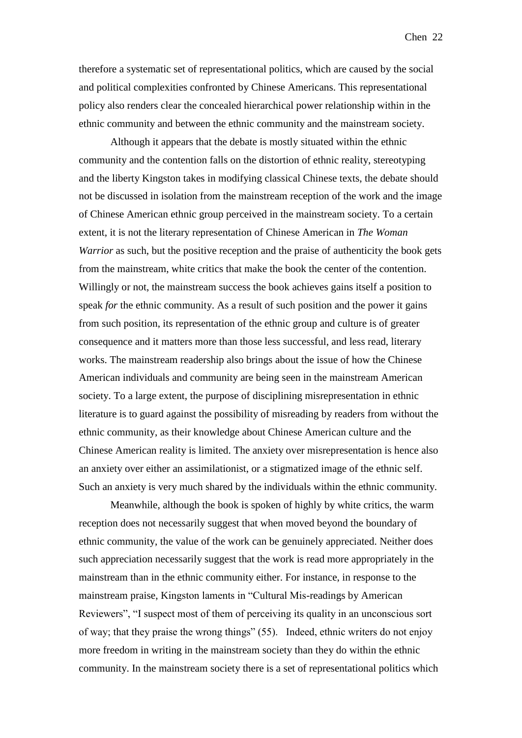therefore a systematic set of representational politics, which are caused by the social and political complexities confronted by Chinese Americans. This representational policy also renders clear the concealed hierarchical power relationship within in the ethnic community and between the ethnic community and the mainstream society.

Although it appears that the debate is mostly situated within the ethnic community and the contention falls on the distortion of ethnic reality, stereotyping and the liberty Kingston takes in modifying classical Chinese texts, the debate should not be discussed in isolation from the mainstream reception of the work and the image of Chinese American ethnic group perceived in the mainstream society. To a certain extent, it is not the literary representation of Chinese American in *The Woman Warrior* as such, but the positive reception and the praise of authenticity the book gets from the mainstream, white critics that make the book the center of the contention. Willingly or not, the mainstream success the book achieves gains itself a position to speak *for* the ethnic community. As a result of such position and the power it gains from such position, its representation of the ethnic group and culture is of greater consequence and it matters more than those less successful, and less read, literary works. The mainstream readership also brings about the issue of how the Chinese American individuals and community are being seen in the mainstream American society. To a large extent, the purpose of disciplining misrepresentation in ethnic literature is to guard against the possibility of misreading by readers from without the ethnic community, as their knowledge about Chinese American culture and the Chinese American reality is limited. The anxiety over misrepresentation is hence also an anxiety over either an assimilationist, or a stigmatized image of the ethnic self. Such an anxiety is very much shared by the individuals within the ethnic community.

Meanwhile, although the book is spoken of highly by white critics, the warm reception does not necessarily suggest that when moved beyond the boundary of ethnic community, the value of the work can be genuinely appreciated. Neither does such appreciation necessarily suggest that the work is read more appropriately in the mainstream than in the ethnic community either. For instance, in response to the mainstream praise, Kingston laments in "Cultural Mis-readings by American Reviewers", "I suspect most of them of perceiving its quality in an unconscious sort of way; that they praise the wrong things" (55). Indeed, ethnic writers do not enjoy more freedom in writing in the mainstream society than they do within the ethnic community. In the mainstream society there is a set of representational politics which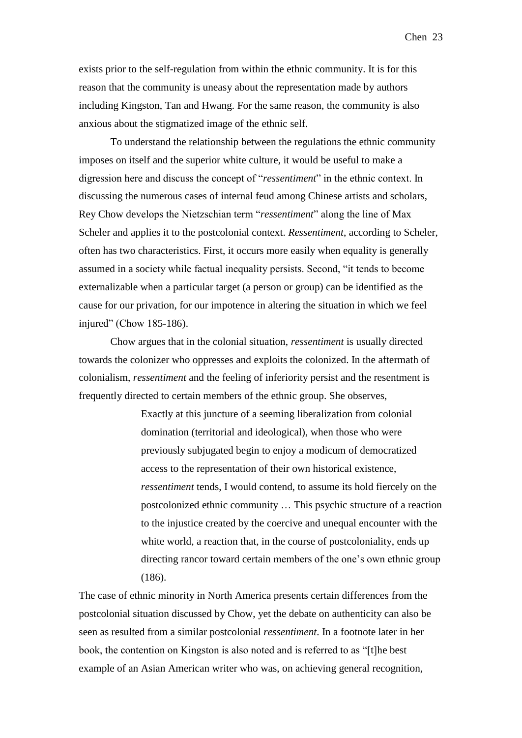exists prior to the self-regulation from within the ethnic community. It is for this reason that the community is uneasy about the representation made by authors including Kingston, Tan and Hwang. For the same reason, the community is also anxious about the stigmatized image of the ethnic self.

To understand the relationship between the regulations the ethnic community imposes on itself and the superior white culture, it would be useful to make a digression here and discuss the concept of "*ressentiment*" in the ethnic context. In discussing the numerous cases of internal feud among Chinese artists and scholars, Rey Chow develops the Nietzschian term "*ressentiment*" along the line of Max Scheler and applies it to the postcolonial context. *Ressentiment*, according to Scheler, often has two characteristics. First, it occurs more easily when equality is generally assumed in a society while factual inequality persists. Second, "it tends to become externalizable when a particular target (a person or group) can be identified as the cause for our privation, for our impotence in altering the situation in which we feel injured" (Chow 185-186).

Chow argues that in the colonial situation, *ressentiment* is usually directed towards the colonizer who oppresses and exploits the colonized. In the aftermath of colonialism, *ressentiment* and the feeling of inferiority persist and the resentment is frequently directed to certain members of the ethnic group. She observes,

> Exactly at this juncture of a seeming liberalization from colonial domination (territorial and ideological), when those who were previously subjugated begin to enjoy a modicum of democratized access to the representation of their own historical existence, *ressentiment* tends, I would contend, to assume its hold fiercely on the postcolonized ethnic community … This psychic structure of a reaction to the injustice created by the coercive and unequal encounter with the white world, a reaction that, in the course of postcoloniality, ends up directing rancor toward certain members of the one's own ethnic group (186).

The case of ethnic minority in North America presents certain differences from the postcolonial situation discussed by Chow, yet the debate on authenticity can also be seen as resulted from a similar postcolonial *ressentiment*. In a footnote later in her book, the contention on Kingston is also noted and is referred to as "[t]he best example of an Asian American writer who was, on achieving general recognition,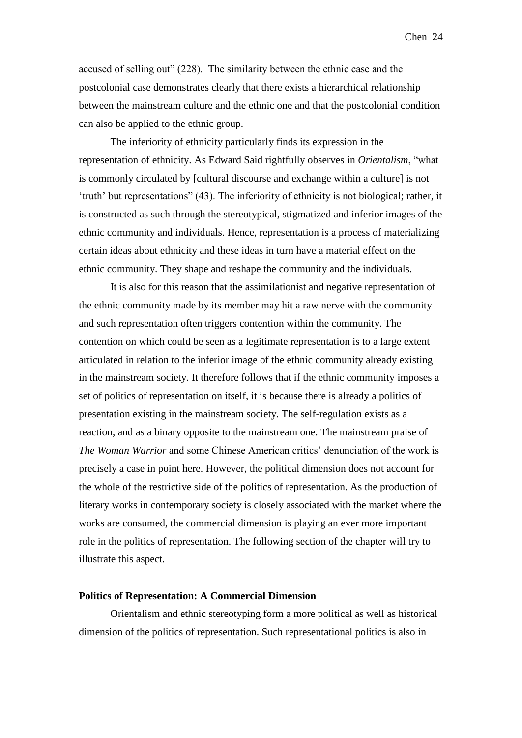accused of selling out" (228). The similarity between the ethnic case and the postcolonial case demonstrates clearly that there exists a hierarchical relationship between the mainstream culture and the ethnic one and that the postcolonial condition can also be applied to the ethnic group.

The inferiority of ethnicity particularly finds its expression in the representation of ethnicity. As Edward Said rightfully observes in *Orientalism*, "what is commonly circulated by [cultural discourse and exchange within a culture] is not 'truth' but representations" (43). The inferiority of ethnicity is not biological; rather, it is constructed as such through the stereotypical, stigmatized and inferior images of the ethnic community and individuals. Hence, representation is a process of materializing certain ideas about ethnicity and these ideas in turn have a material effect on the ethnic community. They shape and reshape the community and the individuals.

It is also for this reason that the assimilationist and negative representation of the ethnic community made by its member may hit a raw nerve with the community and such representation often triggers contention within the community. The contention on which could be seen as a legitimate representation is to a large extent articulated in relation to the inferior image of the ethnic community already existing in the mainstream society. It therefore follows that if the ethnic community imposes a set of politics of representation on itself, it is because there is already a politics of presentation existing in the mainstream society. The self-regulation exists as a reaction, and as a binary opposite to the mainstream one. The mainstream praise of *The Woman Warrior* and some Chinese American critics' denunciation of the work is precisely a case in point here. However, the political dimension does not account for the whole of the restrictive side of the politics of representation. As the production of literary works in contemporary society is closely associated with the market where the works are consumed, the commercial dimension is playing an ever more important role in the politics of representation. The following section of the chapter will try to illustrate this aspect.

#### **Politics of Representation: A Commercial Dimension**

Orientalism and ethnic stereotyping form a more political as well as historical dimension of the politics of representation. Such representational politics is also in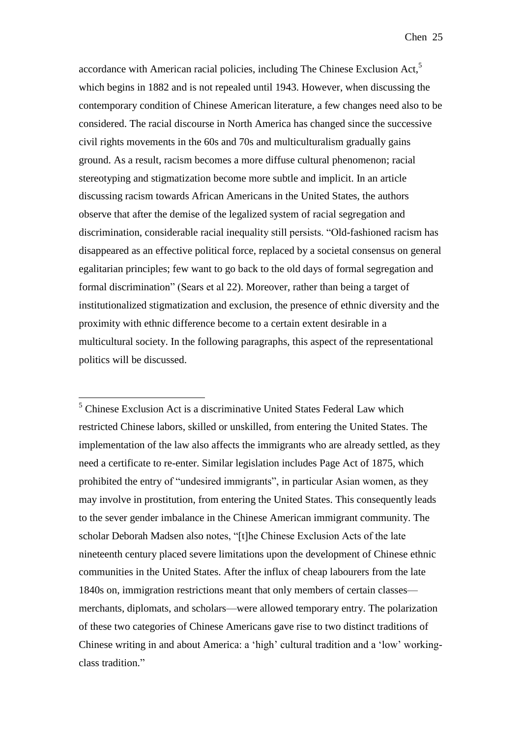accordance with American racial policies, including The Chinese Exclusion Act,<sup>5</sup> which begins in 1882 and is not repealed until 1943. However, when discussing the contemporary condition of Chinese American literature, a few changes need also to be considered. The racial discourse in North America has changed since the successive civil rights movements in the 60s and 70s and multiculturalism gradually gains ground. As a result, racism becomes a more diffuse cultural phenomenon; racial stereotyping and stigmatization become more subtle and implicit. In an article discussing racism towards African Americans in the United States, the authors observe that after the demise of the legalized system of racial segregation and discrimination, considerable racial inequality still persists. "Old-fashioned racism has disappeared as an effective political force, replaced by a societal consensus on general egalitarian principles; few want to go back to the old days of formal segregation and formal discrimination" (Sears et al 22). Moreover, rather than being a target of institutionalized stigmatization and exclusion, the presence of ethnic diversity and the proximity with ethnic difference become to a certain extent desirable in a multicultural society. In the following paragraphs, this aspect of the representational politics will be discussed.

<sup>5</sup> Chinese Exclusion Act is a discriminative United States Federal Law which restricted Chinese labors, skilled or unskilled, from entering the United States. The implementation of the law also affects the immigrants who are already settled, as they need a certificate to re-enter. Similar legislation includes Page Act of 1875, which prohibited the entry of "undesired immigrants", in particular Asian women, as they may involve in prostitution, from entering the United States. This consequently leads to the sever gender imbalance in the Chinese American immigrant community. The scholar Deborah Madsen also notes, "[t]he Chinese Exclusion Acts of the late nineteenth century placed severe limitations upon the development of Chinese ethnic communities in the United States. After the influx of cheap labourers from the late 1840s on, immigration restrictions meant that only members of certain classes merchants, diplomats, and scholars—were allowed temporary entry. The polarization of these two categories of Chinese Americans gave rise to two distinct traditions of Chinese writing in and about America: a 'high' cultural tradition and a 'low' workingclass tradition."

1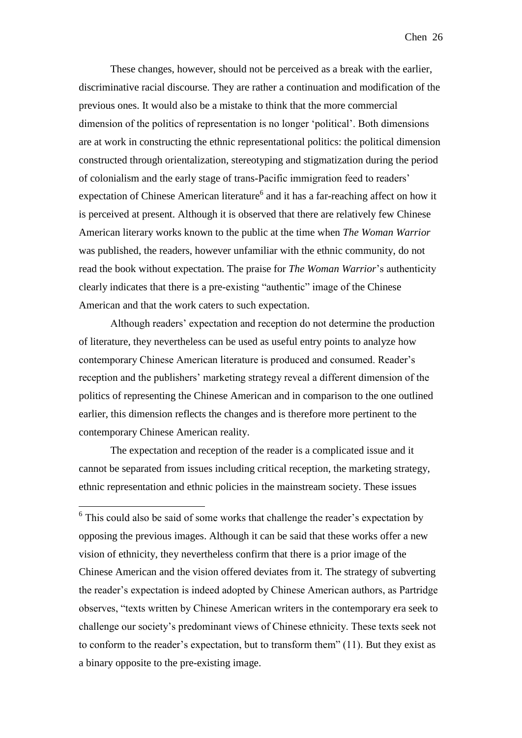These changes, however, should not be perceived as a break with the earlier, discriminative racial discourse. They are rather a continuation and modification of the previous ones. It would also be a mistake to think that the more commercial dimension of the politics of representation is no longer 'political'. Both dimensions are at work in constructing the ethnic representational politics: the political dimension constructed through orientalization, stereotyping and stigmatization during the period of colonialism and the early stage of trans-Pacific immigration feed to readers' expectation of Chinese American literature<sup>6</sup> and it has a far-reaching affect on how it is perceived at present. Although it is observed that there are relatively few Chinese American literary works known to the public at the time when *The Woman Warrior* was published, the readers, however unfamiliar with the ethnic community, do not read the book without expectation. The praise for *The Woman Warrior*'s authenticity clearly indicates that there is a pre-existing "authentic" image of the Chinese American and that the work caters to such expectation.

Although readers' expectation and reception do not determine the production of literature, they nevertheless can be used as useful entry points to analyze how contemporary Chinese American literature is produced and consumed. Reader's reception and the publishers' marketing strategy reveal a different dimension of the politics of representing the Chinese American and in comparison to the one outlined earlier, this dimension reflects the changes and is therefore more pertinent to the contemporary Chinese American reality.

The expectation and reception of the reader is a complicated issue and it cannot be separated from issues including critical reception, the marketing strategy, ethnic representation and ethnic policies in the mainstream society. These issues

1

<sup>6</sup> This could also be said of some works that challenge the reader's expectation by opposing the previous images. Although it can be said that these works offer a new vision of ethnicity, they nevertheless confirm that there is a prior image of the Chinese American and the vision offered deviates from it. The strategy of subverting the reader's expectation is indeed adopted by Chinese American authors, as Partridge observes, "texts written by Chinese American writers in the contemporary era seek to challenge our society's predominant views of Chinese ethnicity. These texts seek not to conform to the reader's expectation, but to transform them" (11). But they exist as a binary opposite to the pre-existing image.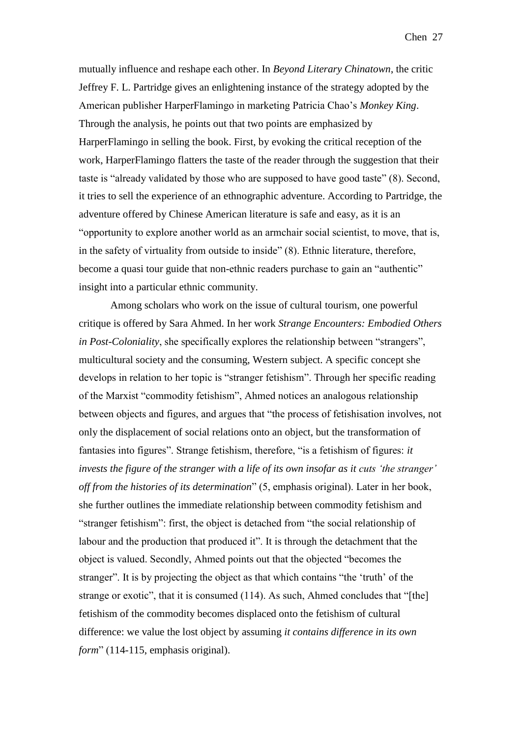mutually influence and reshape each other. In *Beyond Literary Chinatown*, the critic Jeffrey F. L. Partridge gives an enlightening instance of the strategy adopted by the American publisher HarperFlamingo in marketing Patricia Chao's *Monkey King*. Through the analysis, he points out that two points are emphasized by HarperFlamingo in selling the book. First, by evoking the critical reception of the work, HarperFlamingo flatters the taste of the reader through the suggestion that their taste is "already validated by those who are supposed to have good taste" (8). Second, it tries to sell the experience of an ethnographic adventure. According to Partridge, the adventure offered by Chinese American literature is safe and easy, as it is an "opportunity to explore another world as an armchair social scientist, to move, that is, in the safety of virtuality from outside to inside" (8). Ethnic literature, therefore, become a quasi tour guide that non-ethnic readers purchase to gain an "authentic" insight into a particular ethnic community.

Among scholars who work on the issue of cultural tourism, one powerful critique is offered by Sara Ahmed. In her work *Strange Encounters: Embodied Others in Post-Coloniality*, she specifically explores the relationship between "strangers", multicultural society and the consuming, Western subject. A specific concept she develops in relation to her topic is "stranger fetishism". Through her specific reading of the Marxist "commodity fetishism", Ahmed notices an analogous relationship between objects and figures, and argues that "the process of fetishisation involves, not only the displacement of social relations onto an object, but the transformation of fantasies into figures". Strange fetishism, therefore, "is a fetishism of figures: *it invests the figure of the stranger with a life of its own insofar as it cuts 'the stranger' off from the histories of its determination*" (5, emphasis original). Later in her book, she further outlines the immediate relationship between commodity fetishism and "stranger fetishism": first, the object is detached from "the social relationship of labour and the production that produced it". It is through the detachment that the object is valued. Secondly, Ahmed points out that the objected "becomes the stranger". It is by projecting the object as that which contains "the 'truth' of the strange or exotic", that it is consumed (114). As such, Ahmed concludes that "[the] fetishism of the commodity becomes displaced onto the fetishism of cultural difference: we value the lost object by assuming *it contains difference in its own form*" (114-115, emphasis original).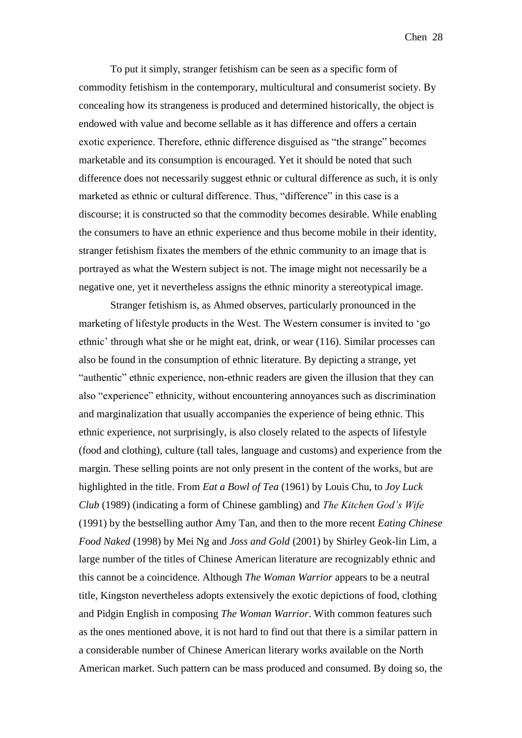To put it simply, stranger fetishism can be seen as a specific form of commodity fetishism in the contemporary, multicultural and consumerist society. By concealing how its strangeness is produced and determined historically, the object is endowed with value and become sellable as it has difference and offers a certain exotic experience. Therefore, ethnic difference disguised as "the strange" becomes marketable and its consumption is encouraged. Yet it should be noted that such difference does not necessarily suggest ethnic or cultural difference as such, it is only marketed as ethnic or cultural difference. Thus, "difference" in this case is a discourse; it is constructed so that the commodity becomes desirable. While enabling the consumers to have an ethnic experience and thus become mobile in their identity, stranger fetishism fixates the members of the ethnic community to an image that is portrayed as what the Western subject is not. The image might not necessarily be a negative one, yet it nevertheless assigns the ethnic minority a stereotypical image.

Stranger fetishism is, as Ahmed observes, particularly pronounced in the marketing of lifestyle products in the West. The Western consumer is invited to 'go ethnic' through what she or he might eat, drink, or wear (116). Similar processes can also be found in the consumption of ethnic literature. By depicting a strange, yet "authentic" ethnic experience, non-ethnic readers are given the illusion that they can also "experience" ethnicity, without encountering annoyances such as discrimination and marginalization that usually accompanies the experience of being ethnic. This ethnic experience, not surprisingly, is also closely related to the aspects of lifestyle (food and clothing), culture (tall tales, language and customs) and experience from the margin. These selling points are not only present in the content of the works, but are highlighted in the title. From *Eat a Bowl of Tea* (1961) by Louis Chu, to *Joy Luck Club* (1989) (indicating a form of Chinese gambling) and *The Kitchen God's Wife* (1991) by the bestselling author Amy Tan, and then to the more recent *Eating Chinese Food Naked* (1998) by Mei Ng and *Joss and Gold* (2001) by Shirley Geok-lin Lim, a large number of the titles of Chinese American literature are recognizably ethnic and this cannot be a coincidence. Although *The Woman Warrior* appears to be a neutral title, Kingston nevertheless adopts extensively the exotic depictions of food, clothing and Pidgin English in composing *The Woman Warrior*. With common features such as the ones mentioned above, it is not hard to find out that there is a similar pattern in a considerable number of Chinese American literary works available on the North American market. Such pattern can be mass produced and consumed. By doing so, the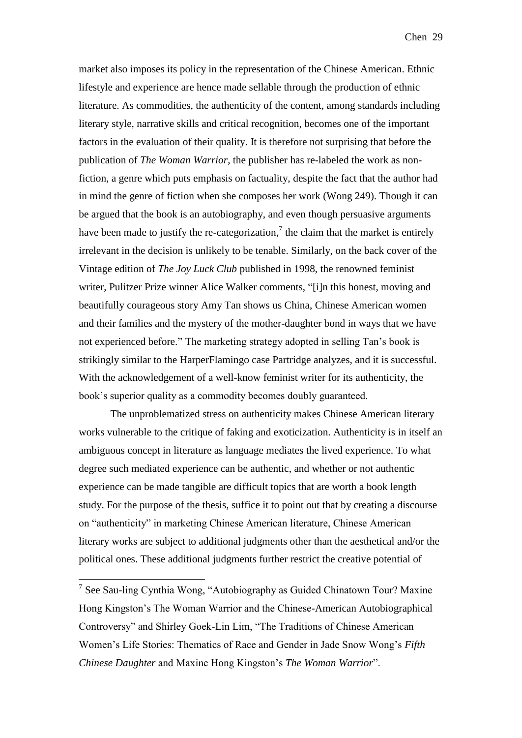market also imposes its policy in the representation of the Chinese American. Ethnic lifestyle and experience are hence made sellable through the production of ethnic literature. As commodities, the authenticity of the content, among standards including literary style, narrative skills and critical recognition, becomes one of the important factors in the evaluation of their quality. It is therefore not surprising that before the publication of *The Woman Warrior*, the publisher has re-labeled the work as nonfiction, a genre which puts emphasis on factuality, despite the fact that the author had in mind the genre of fiction when she composes her work (Wong 249). Though it can be argued that the book is an autobiography, and even though persuasive arguments have been made to justify the re-categorization,<sup>7</sup> the claim that the market is entirely irrelevant in the decision is unlikely to be tenable. Similarly, on the back cover of the Vintage edition of *The Joy Luck Club* published in 1998, the renowned feminist writer, Pulitzer Prize winner Alice Walker comments, "[i]n this honest, moving and beautifully courageous story Amy Tan shows us China, Chinese American women and their families and the mystery of the mother-daughter bond in ways that we have not experienced before." The marketing strategy adopted in selling Tan's book is strikingly similar to the HarperFlamingo case Partridge analyzes, and it is successful. With the acknowledgement of a well-know feminist writer for its authenticity, the book's superior quality as a commodity becomes doubly guaranteed.

The unproblematized stress on authenticity makes Chinese American literary works vulnerable to the critique of faking and exoticization. Authenticity is in itself an ambiguous concept in literature as language mediates the lived experience. To what degree such mediated experience can be authentic, and whether or not authentic experience can be made tangible are difficult topics that are worth a book length study. For the purpose of the thesis, suffice it to point out that by creating a discourse on "authenticity" in marketing Chinese American literature, Chinese American literary works are subject to additional judgments other than the aesthetical and/or the political ones. These additional judgments further restrict the creative potential of

1

<sup>&</sup>lt;sup>7</sup> See Sau-ling Cynthia Wong, "Autobiography as Guided Chinatown Tour? Maxine Hong Kingston's The Woman Warrior and the Chinese-American Autobiographical Controversy" and Shirley Goek-Lin Lim, "The Traditions of Chinese American Women's Life Stories: Thematics of Race and Gender in Jade Snow Wong's *Fifth Chinese Daughter* and Maxine Hong Kingston's *The Woman Warrior*".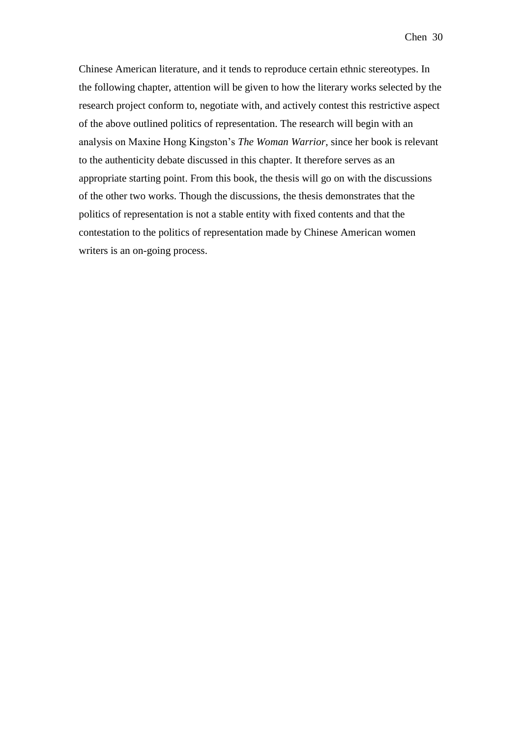Chinese American literature, and it tends to reproduce certain ethnic stereotypes. In the following chapter, attention will be given to how the literary works selected by the research project conform to, negotiate with, and actively contest this restrictive aspect of the above outlined politics of representation. The research will begin with an analysis on Maxine Hong Kingston's *The Woman Warrior*, since her book is relevant to the authenticity debate discussed in this chapter. It therefore serves as an appropriate starting point. From this book, the thesis will go on with the discussions of the other two works. Though the discussions, the thesis demonstrates that the politics of representation is not a stable entity with fixed contents and that the contestation to the politics of representation made by Chinese American women writers is an on-going process.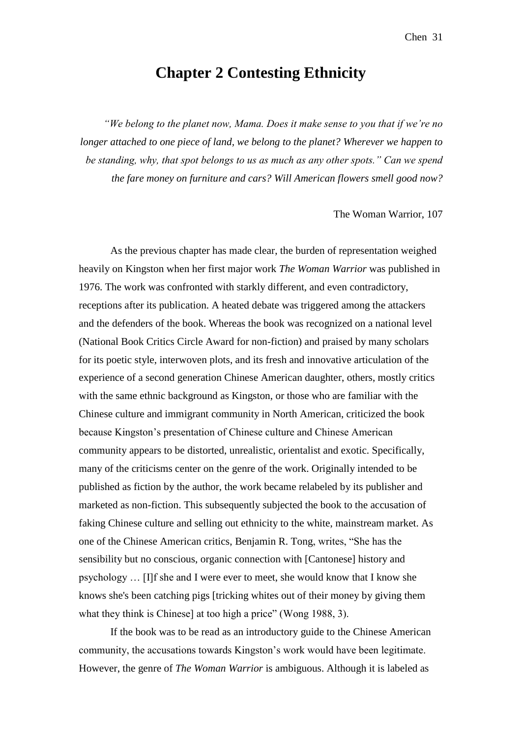## **Chapter 2 Contesting Ethnicity**

*"We belong to the planet now, Mama. Does it make sense to you that if we're no longer attached to one piece of land, we belong to the planet? Wherever we happen to be standing, why, that spot belongs to us as much as any other spots." Can we spend the fare money on furniture and cars? Will American flowers smell good now?* 

The Woman Warrior, 107

As the previous chapter has made clear, the burden of representation weighed heavily on Kingston when her first major work *The Woman Warrior* was published in 1976. The work was confronted with starkly different, and even contradictory, receptions after its publication. A heated debate was triggered among the attackers and the defenders of the book. Whereas the book was recognized on a national level (National Book Critics Circle Award for non-fiction) and praised by many scholars for its poetic style, interwoven plots, and its fresh and innovative articulation of the experience of a second generation Chinese American daughter, others, mostly critics with the same ethnic background as Kingston, or those who are familiar with the Chinese culture and immigrant community in North American, criticized the book because Kingston's presentation of Chinese culture and Chinese American community appears to be distorted, unrealistic, orientalist and exotic. Specifically, many of the criticisms center on the genre of the work. Originally intended to be published as fiction by the author, the work became relabeled by its publisher and marketed as non-fiction. This subsequently subjected the book to the accusation of faking Chinese culture and selling out ethnicity to the white, mainstream market. As one of the Chinese American critics, Benjamin R. Tong, writes, "She has the sensibility but no conscious, organic connection with [Cantonese] history and psychology … [I]f she and I were ever to meet, she would know that I know she knows she's been catching pigs [tricking whites out of their money by giving them what they think is Chinese] at too high a price" (Wong 1988, 3).

If the book was to be read as an introductory guide to the Chinese American community, the accusations towards Kingston's work would have been legitimate. However, the genre of *The Woman Warrior* is ambiguous. Although it is labeled as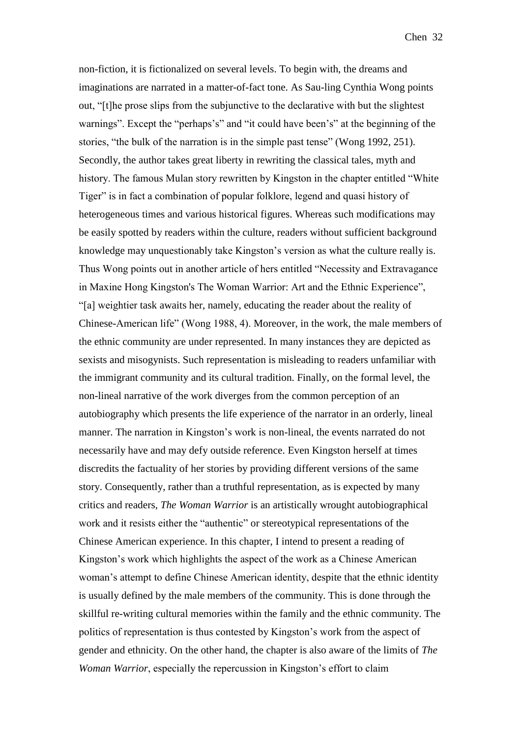non-fiction, it is fictionalized on several levels. To begin with, the dreams and imaginations are narrated in a matter-of-fact tone. As Sau-ling Cynthia Wong points out, "[t]he prose slips from the subjunctive to the declarative with but the slightest warnings". Except the "perhaps's" and "it could have been's" at the beginning of the stories, "the bulk of the narration is in the simple past tense" (Wong 1992, 251). Secondly, the author takes great liberty in rewriting the classical tales, myth and history. The famous Mulan story rewritten by Kingston in the chapter entitled "White Tiger" is in fact a combination of popular folklore, legend and quasi history of heterogeneous times and various historical figures. Whereas such modifications may be easily spotted by readers within the culture, readers without sufficient background knowledge may unquestionably take Kingston's version as what the culture really is. Thus Wong points out in another article of hers entitled "Necessity and Extravagance in Maxine Hong Kingston's The Woman Warrior: Art and the Ethnic Experience", "[a] weightier task awaits her, namely, educating the reader about the reality of Chinese-American life" (Wong 1988, 4). Moreover, in the work, the male members of the ethnic community are under represented. In many instances they are depicted as sexists and misogynists. Such representation is misleading to readers unfamiliar with the immigrant community and its cultural tradition. Finally, on the formal level, the non-lineal narrative of the work diverges from the common perception of an autobiography which presents the life experience of the narrator in an orderly, lineal manner. The narration in Kingston's work is non-lineal, the events narrated do not necessarily have and may defy outside reference. Even Kingston herself at times discredits the factuality of her stories by providing different versions of the same story. Consequently, rather than a truthful representation, as is expected by many critics and readers, *The Woman Warrior* is an artistically wrought autobiographical work and it resists either the "authentic" or stereotypical representations of the Chinese American experience. In this chapter, I intend to present a reading of Kingston's work which highlights the aspect of the work as a Chinese American woman's attempt to define Chinese American identity, despite that the ethnic identity is usually defined by the male members of the community. This is done through the skillful re-writing cultural memories within the family and the ethnic community. The politics of representation is thus contested by Kingston's work from the aspect of gender and ethnicity. On the other hand, the chapter is also aware of the limits of *The Woman Warrior*, especially the repercussion in Kingston's effort to claim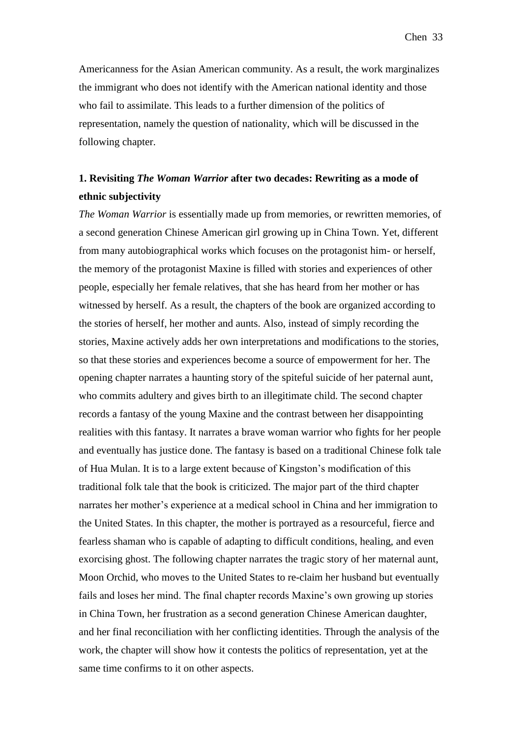Americanness for the Asian American community. As a result, the work marginalizes the immigrant who does not identify with the American national identity and those who fail to assimilate. This leads to a further dimension of the politics of representation, namely the question of nationality, which will be discussed in the following chapter.

## **1. Revisiting** *The Woman Warrior* **after two decades: Rewriting as a mode of ethnic subjectivity**

*The Woman Warrior* is essentially made up from memories, or rewritten memories, of a second generation Chinese American girl growing up in China Town. Yet, different from many autobiographical works which focuses on the protagonist him- or herself, the memory of the protagonist Maxine is filled with stories and experiences of other people, especially her female relatives, that she has heard from her mother or has witnessed by herself. As a result, the chapters of the book are organized according to the stories of herself, her mother and aunts. Also, instead of simply recording the stories, Maxine actively adds her own interpretations and modifications to the stories, so that these stories and experiences become a source of empowerment for her. The opening chapter narrates a haunting story of the spiteful suicide of her paternal aunt, who commits adultery and gives birth to an illegitimate child. The second chapter records a fantasy of the young Maxine and the contrast between her disappointing realities with this fantasy. It narrates a brave woman warrior who fights for her people and eventually has justice done. The fantasy is based on a traditional Chinese folk tale of Hua Mulan. It is to a large extent because of Kingston's modification of this traditional folk tale that the book is criticized. The major part of the third chapter narrates her mother's experience at a medical school in China and her immigration to the United States. In this chapter, the mother is portrayed as a resourceful, fierce and fearless shaman who is capable of adapting to difficult conditions, healing, and even exorcising ghost. The following chapter narrates the tragic story of her maternal aunt, Moon Orchid, who moves to the United States to re-claim her husband but eventually fails and loses her mind. The final chapter records Maxine's own growing up stories in China Town, her frustration as a second generation Chinese American daughter, and her final reconciliation with her conflicting identities. Through the analysis of the work, the chapter will show how it contests the politics of representation, yet at the same time confirms to it on other aspects.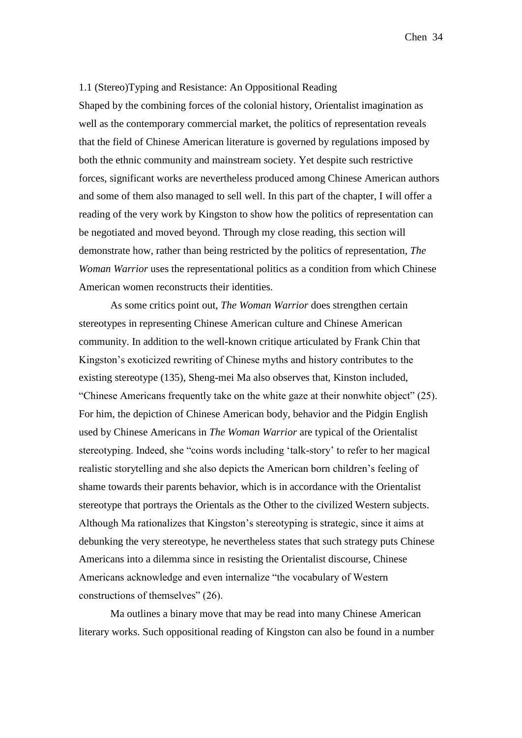#### 1.1 (Stereo)Typing and Resistance: An Oppositional Reading

Shaped by the combining forces of the colonial history, Orientalist imagination as well as the contemporary commercial market, the politics of representation reveals that the field of Chinese American literature is governed by regulations imposed by both the ethnic community and mainstream society. Yet despite such restrictive forces, significant works are nevertheless produced among Chinese American authors and some of them also managed to sell well. In this part of the chapter, I will offer a reading of the very work by Kingston to show how the politics of representation can be negotiated and moved beyond. Through my close reading, this section will demonstrate how, rather than being restricted by the politics of representation, *The Woman Warrior* uses the representational politics as a condition from which Chinese American women reconstructs their identities.

As some critics point out, *The Woman Warrior* does strengthen certain stereotypes in representing Chinese American culture and Chinese American community. In addition to the well-known critique articulated by Frank Chin that Kingston's exoticized rewriting of Chinese myths and history contributes to the existing stereotype (135), Sheng-mei Ma also observes that, Kinston included, "Chinese Americans frequently take on the white gaze at their nonwhite object" (25). For him, the depiction of Chinese American body, behavior and the Pidgin English used by Chinese Americans in *The Woman Warrior* are typical of the Orientalist stereotyping. Indeed, she "coins words including 'talk-story' to refer to her magical realistic storytelling and she also depicts the American born children's feeling of shame towards their parents behavior, which is in accordance with the Orientalist stereotype that portrays the Orientals as the Other to the civilized Western subjects. Although Ma rationalizes that Kingston's stereotyping is strategic, since it aims at debunking the very stereotype, he nevertheless states that such strategy puts Chinese Americans into a dilemma since in resisting the Orientalist discourse, Chinese Americans acknowledge and even internalize "the vocabulary of Western constructions of themselves" (26).

Ma outlines a binary move that may be read into many Chinese American literary works. Such oppositional reading of Kingston can also be found in a number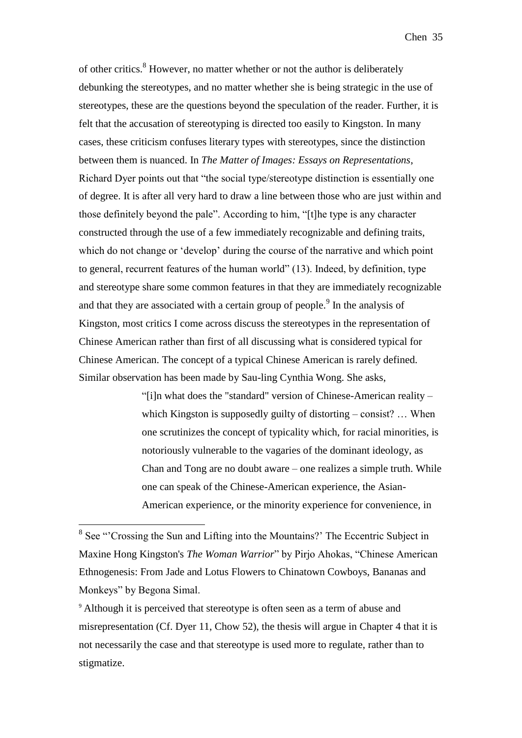of other critics.<sup>8</sup> However, no matter whether or not the author is deliberately debunking the stereotypes, and no matter whether she is being strategic in the use of stereotypes, these are the questions beyond the speculation of the reader. Further, it is felt that the accusation of stereotyping is directed too easily to Kingston. In many cases, these criticism confuses literary types with stereotypes, since the distinction between them is nuanced. In *The Matter of Images: Essays on Representations*, Richard Dyer points out that "the social type/stereotype distinction is essentially one of degree. It is after all very hard to draw a line between those who are just within and those definitely beyond the pale". According to him, "[t]he type is any character constructed through the use of a few immediately recognizable and defining traits, which do not change or 'develop' during the course of the narrative and which point to general, recurrent features of the human world" (13). Indeed, by definition, type and stereotype share some common features in that they are immediately recognizable and that they are associated with a certain group of people.<sup>9</sup> In the analysis of Kingston, most critics I come across discuss the stereotypes in the representation of Chinese American rather than first of all discussing what is considered typical for Chinese American. The concept of a typical Chinese American is rarely defined. Similar observation has been made by Sau-ling Cynthia Wong. She asks,

> "[i]n what does the "standard" version of Chinese-American reality – which Kingston is supposedly guilty of distorting – consist? ... When one scrutinizes the concept of typicality which, for racial minorities, is notoriously vulnerable to the vagaries of the dominant ideology, as Chan and Tong are no doubt aware – one realizes a simple truth. While one can speak of the Chinese-American experience, the Asian-American experience, or the minority experience for convenience, in

<sup>&</sup>lt;sup>8</sup> See "Crossing the Sun and Lifting into the Mountains?' The Eccentric Subject in Maxine Hong Kingston's *The Woman Warrior*" by Pirjo Ahokas, "Chinese American Ethnogenesis: From Jade and Lotus Flowers to Chinatown Cowboys, Bananas and Monkeys" by Begona Simal.

<sup>&</sup>lt;sup>9</sup> Although it is perceived that stereotype is often seen as a term of abuse and misrepresentation (Cf. Dyer 11, Chow 52), the thesis will argue in Chapter 4 that it is not necessarily the case and that stereotype is used more to regulate, rather than to stigmatize.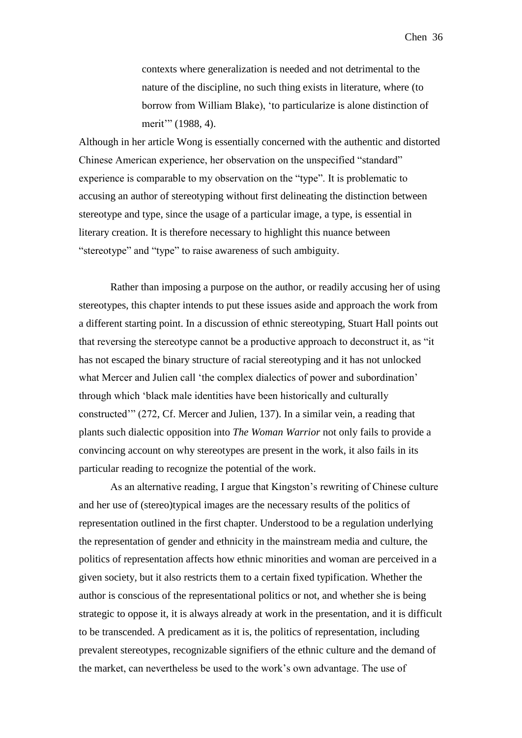contexts where generalization is needed and not detrimental to the nature of the discipline, no such thing exists in literature, where (to borrow from William Blake), 'to particularize is alone distinction of merit'" (1988, 4).

Although in her article Wong is essentially concerned with the authentic and distorted Chinese American experience, her observation on the unspecified "standard" experience is comparable to my observation on the "type". It is problematic to accusing an author of stereotyping without first delineating the distinction between stereotype and type, since the usage of a particular image, a type, is essential in literary creation. It is therefore necessary to highlight this nuance between "stereotype" and "type" to raise awareness of such ambiguity.

Rather than imposing a purpose on the author, or readily accusing her of using stereotypes, this chapter intends to put these issues aside and approach the work from a different starting point. In a discussion of ethnic stereotyping, Stuart Hall points out that reversing the stereotype cannot be a productive approach to deconstruct it, as "it has not escaped the binary structure of racial stereotyping and it has not unlocked what Mercer and Julien call 'the complex dialectics of power and subordination' through which 'black male identities have been historically and culturally constructed'" (272, Cf. Mercer and Julien, 137). In a similar vein, a reading that plants such dialectic opposition into *The Woman Warrior* not only fails to provide a convincing account on why stereotypes are present in the work, it also fails in its particular reading to recognize the potential of the work.

As an alternative reading, I argue that Kingston's rewriting of Chinese culture and her use of (stereo)typical images are the necessary results of the politics of representation outlined in the first chapter. Understood to be a regulation underlying the representation of gender and ethnicity in the mainstream media and culture, the politics of representation affects how ethnic minorities and woman are perceived in a given society, but it also restricts them to a certain fixed typification. Whether the author is conscious of the representational politics or not, and whether she is being strategic to oppose it, it is always already at work in the presentation, and it is difficult to be transcended. A predicament as it is, the politics of representation, including prevalent stereotypes, recognizable signifiers of the ethnic culture and the demand of the market, can nevertheless be used to the work's own advantage. The use of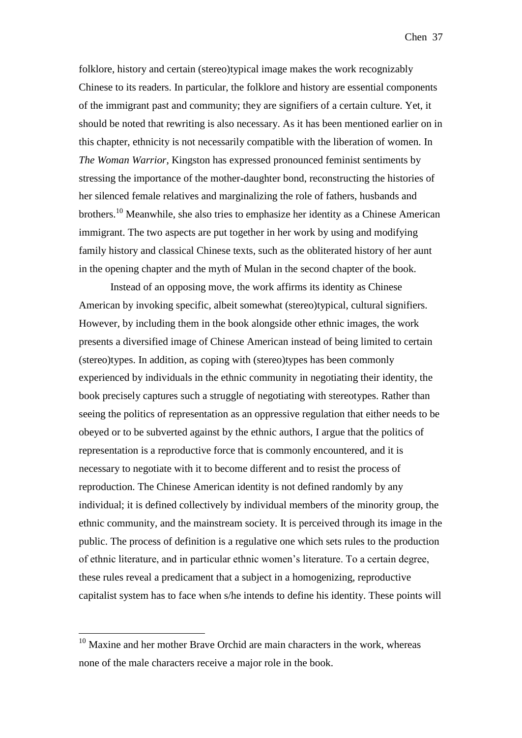folklore, history and certain (stereo)typical image makes the work recognizably Chinese to its readers. In particular, the folklore and history are essential components of the immigrant past and community; they are signifiers of a certain culture. Yet, it should be noted that rewriting is also necessary. As it has been mentioned earlier on in this chapter, ethnicity is not necessarily compatible with the liberation of women. In *The Woman Warrior*, Kingston has expressed pronounced feminist sentiments by stressing the importance of the mother-daughter bond, reconstructing the histories of her silenced female relatives and marginalizing the role of fathers, husbands and brothers.<sup>10</sup> Meanwhile, she also tries to emphasize her identity as a Chinese American immigrant. The two aspects are put together in her work by using and modifying family history and classical Chinese texts, such as the obliterated history of her aunt in the opening chapter and the myth of Mulan in the second chapter of the book.

Instead of an opposing move, the work affirms its identity as Chinese American by invoking specific, albeit somewhat (stereo)typical, cultural signifiers. However, by including them in the book alongside other ethnic images, the work presents a diversified image of Chinese American instead of being limited to certain (stereo)types. In addition, as coping with (stereo)types has been commonly experienced by individuals in the ethnic community in negotiating their identity, the book precisely captures such a struggle of negotiating with stereotypes. Rather than seeing the politics of representation as an oppressive regulation that either needs to be obeyed or to be subverted against by the ethnic authors, I argue that the politics of representation is a reproductive force that is commonly encountered, and it is necessary to negotiate with it to become different and to resist the process of reproduction. The Chinese American identity is not defined randomly by any individual; it is defined collectively by individual members of the minority group, the ethnic community, and the mainstream society. It is perceived through its image in the public. The process of definition is a regulative one which sets rules to the production of ethnic literature, and in particular ethnic women's literature. To a certain degree, these rules reveal a predicament that a subject in a homogenizing, reproductive capitalist system has to face when s/he intends to define his identity. These points will

<u>.</u>

 $10$  Maxine and her mother Brave Orchid are main characters in the work, whereas none of the male characters receive a major role in the book.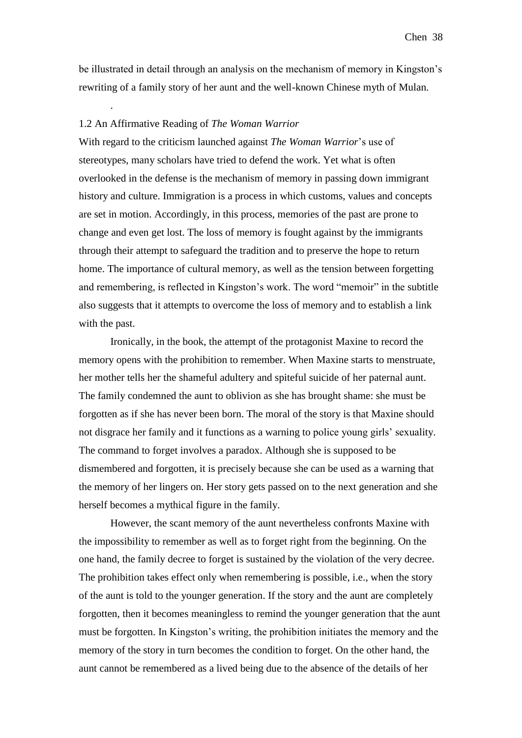be illustrated in detail through an analysis on the mechanism of memory in Kingston's rewriting of a family story of her aunt and the well-known Chinese myth of Mulan.

### 1.2 An Affirmative Reading of *The Woman Warrior*

.

With regard to the criticism launched against *The Woman Warrior*'s use of stereotypes, many scholars have tried to defend the work. Yet what is often overlooked in the defense is the mechanism of memory in passing down immigrant history and culture. Immigration is a process in which customs, values and concepts are set in motion. Accordingly, in this process, memories of the past are prone to change and even get lost. The loss of memory is fought against by the immigrants through their attempt to safeguard the tradition and to preserve the hope to return home. The importance of cultural memory, as well as the tension between forgetting and remembering, is reflected in Kingston's work. The word "memoir" in the subtitle also suggests that it attempts to overcome the loss of memory and to establish a link with the past.

Ironically, in the book, the attempt of the protagonist Maxine to record the memory opens with the prohibition to remember. When Maxine starts to menstruate, her mother tells her the shameful adultery and spiteful suicide of her paternal aunt. The family condemned the aunt to oblivion as she has brought shame: she must be forgotten as if she has never been born. The moral of the story is that Maxine should not disgrace her family and it functions as a warning to police young girls' sexuality. The command to forget involves a paradox. Although she is supposed to be dismembered and forgotten, it is precisely because she can be used as a warning that the memory of her lingers on. Her story gets passed on to the next generation and she herself becomes a mythical figure in the family.

However, the scant memory of the aunt nevertheless confronts Maxine with the impossibility to remember as well as to forget right from the beginning. On the one hand, the family decree to forget is sustained by the violation of the very decree. The prohibition takes effect only when remembering is possible, i.e., when the story of the aunt is told to the younger generation. If the story and the aunt are completely forgotten, then it becomes meaningless to remind the younger generation that the aunt must be forgotten. In Kingston's writing, the prohibition initiates the memory and the memory of the story in turn becomes the condition to forget. On the other hand, the aunt cannot be remembered as a lived being due to the absence of the details of her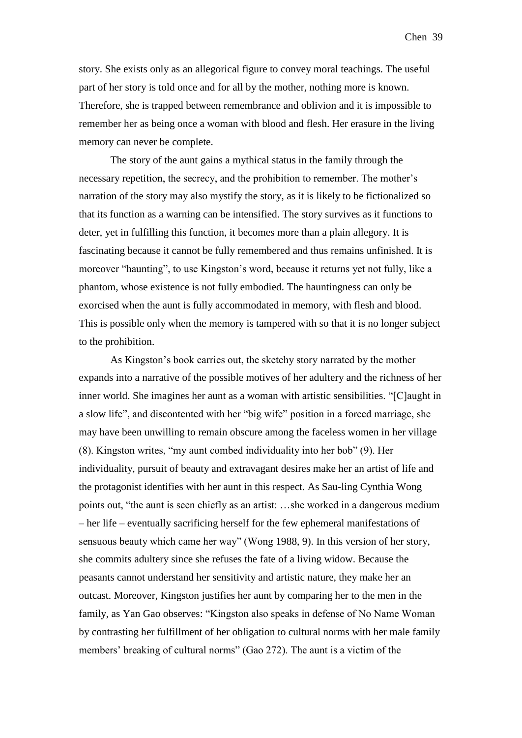story. She exists only as an allegorical figure to convey moral teachings. The useful part of her story is told once and for all by the mother, nothing more is known. Therefore, she is trapped between remembrance and oblivion and it is impossible to remember her as being once a woman with blood and flesh. Her erasure in the living memory can never be complete.

The story of the aunt gains a mythical status in the family through the necessary repetition, the secrecy, and the prohibition to remember. The mother's narration of the story may also mystify the story, as it is likely to be fictionalized so that its function as a warning can be intensified. The story survives as it functions to deter, yet in fulfilling this function, it becomes more than a plain allegory. It is fascinating because it cannot be fully remembered and thus remains unfinished. It is moreover "haunting", to use Kingston's word, because it returns yet not fully, like a phantom, whose existence is not fully embodied. The hauntingness can only be exorcised when the aunt is fully accommodated in memory, with flesh and blood. This is possible only when the memory is tampered with so that it is no longer subject to the prohibition.

As Kingston's book carries out, the sketchy story narrated by the mother expands into a narrative of the possible motives of her adultery and the richness of her inner world. She imagines her aunt as a woman with artistic sensibilities. "[C]aught in a slow life", and discontented with her "big wife" position in a forced marriage, she may have been unwilling to remain obscure among the faceless women in her village (8). Kingston writes, "my aunt combed individuality into her bob" (9). Her individuality, pursuit of beauty and extravagant desires make her an artist of life and the protagonist identifies with her aunt in this respect. As Sau-ling Cynthia Wong points out, "the aunt is seen chiefly as an artist: …she worked in a dangerous medium – her life – eventually sacrificing herself for the few ephemeral manifestations of sensuous beauty which came her way" (Wong 1988, 9). In this version of her story, she commits adultery since she refuses the fate of a living widow. Because the peasants cannot understand her sensitivity and artistic nature, they make her an outcast. Moreover, Kingston justifies her aunt by comparing her to the men in the family, as Yan Gao observes: "Kingston also speaks in defense of No Name Woman by contrasting her fulfillment of her obligation to cultural norms with her male family members' breaking of cultural norms" (Gao 272). The aunt is a victim of the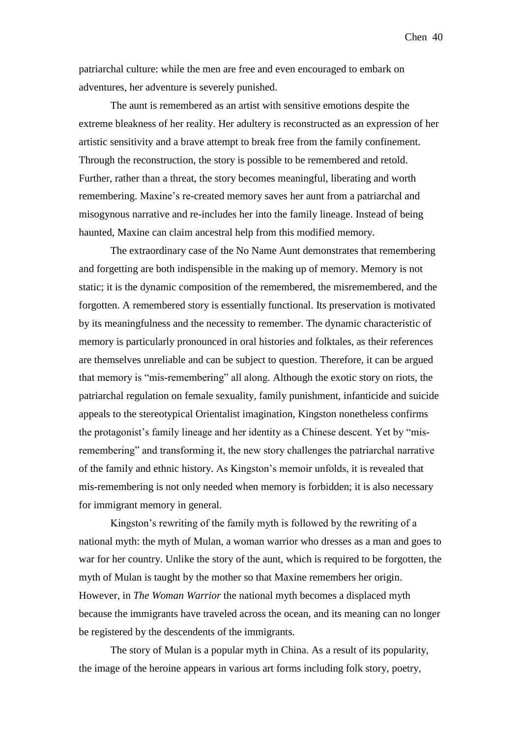patriarchal culture: while the men are free and even encouraged to embark on adventures, her adventure is severely punished.

The aunt is remembered as an artist with sensitive emotions despite the extreme bleakness of her reality. Her adultery is reconstructed as an expression of her artistic sensitivity and a brave attempt to break free from the family confinement. Through the reconstruction, the story is possible to be remembered and retold. Further, rather than a threat, the story becomes meaningful, liberating and worth remembering. Maxine's re-created memory saves her aunt from a patriarchal and misogynous narrative and re-includes her into the family lineage. Instead of being haunted, Maxine can claim ancestral help from this modified memory.

The extraordinary case of the No Name Aunt demonstrates that remembering and forgetting are both indispensible in the making up of memory. Memory is not static; it is the dynamic composition of the remembered, the misremembered, and the forgotten. A remembered story is essentially functional. Its preservation is motivated by its meaningfulness and the necessity to remember. The dynamic characteristic of memory is particularly pronounced in oral histories and folktales, as their references are themselves unreliable and can be subject to question. Therefore, it can be argued that memory is "mis-remembering" all along. Although the exotic story on riots, the patriarchal regulation on female sexuality, family punishment, infanticide and suicide appeals to the stereotypical Orientalist imagination, Kingston nonetheless confirms the protagonist's family lineage and her identity as a Chinese descent. Yet by "misremembering" and transforming it, the new story challenges the patriarchal narrative of the family and ethnic history. As Kingston's memoir unfolds, it is revealed that mis-remembering is not only needed when memory is forbidden; it is also necessary for immigrant memory in general.

Kingston's rewriting of the family myth is followed by the rewriting of a national myth: the myth of Mulan, a woman warrior who dresses as a man and goes to war for her country. Unlike the story of the aunt, which is required to be forgotten, the myth of Mulan is taught by the mother so that Maxine remembers her origin. However, in *The Woman Warrior* the national myth becomes a displaced myth because the immigrants have traveled across the ocean, and its meaning can no longer be registered by the descendents of the immigrants.

The story of Mulan is a popular myth in China. As a result of its popularity, the image of the heroine appears in various art forms including folk story, poetry,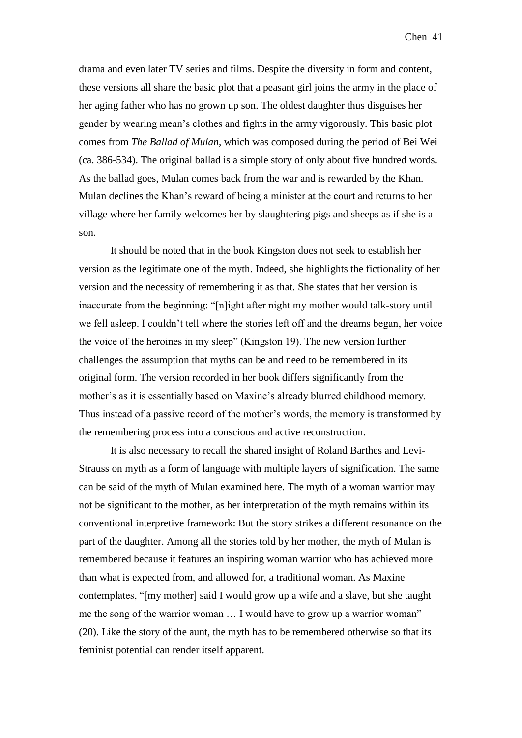drama and even later TV series and films. Despite the diversity in form and content, these versions all share the basic plot that a peasant girl joins the army in the place of her aging father who has no grown up son. The oldest daughter thus disguises her gender by wearing mean's clothes and fights in the army vigorously. This basic plot comes from *The Ballad of Mulan*, which was composed during the period of Bei Wei (ca. 386-534). The original ballad is a simple story of only about five hundred words. As the ballad goes, Mulan comes back from the war and is rewarded by the Khan. Mulan declines the Khan's reward of being a minister at the court and returns to her village where her family welcomes her by slaughtering pigs and sheeps as if she is a son.

It should be noted that in the book Kingston does not seek to establish her version as the legitimate one of the myth. Indeed, she highlights the fictionality of her version and the necessity of remembering it as that. She states that her version is inaccurate from the beginning: "[n]ight after night my mother would talk-story until we fell asleep. I couldn't tell where the stories left off and the dreams began, her voice the voice of the heroines in my sleep" (Kingston 19). The new version further challenges the assumption that myths can be and need to be remembered in its original form. The version recorded in her book differs significantly from the mother's as it is essentially based on Maxine's already blurred childhood memory. Thus instead of a passive record of the mother's words, the memory is transformed by the remembering process into a conscious and active reconstruction.

It is also necessary to recall the shared insight of Roland Barthes and Levi-Strauss on myth as a form of language with multiple layers of signification. The same can be said of the myth of Mulan examined here. The myth of a woman warrior may not be significant to the mother, as her interpretation of the myth remains within its conventional interpretive framework: But the story strikes a different resonance on the part of the daughter. Among all the stories told by her mother, the myth of Mulan is remembered because it features an inspiring woman warrior who has achieved more than what is expected from, and allowed for, a traditional woman. As Maxine contemplates, "[my mother] said I would grow up a wife and a slave, but she taught me the song of the warrior woman … I would have to grow up a warrior woman" (20). Like the story of the aunt, the myth has to be remembered otherwise so that its feminist potential can render itself apparent.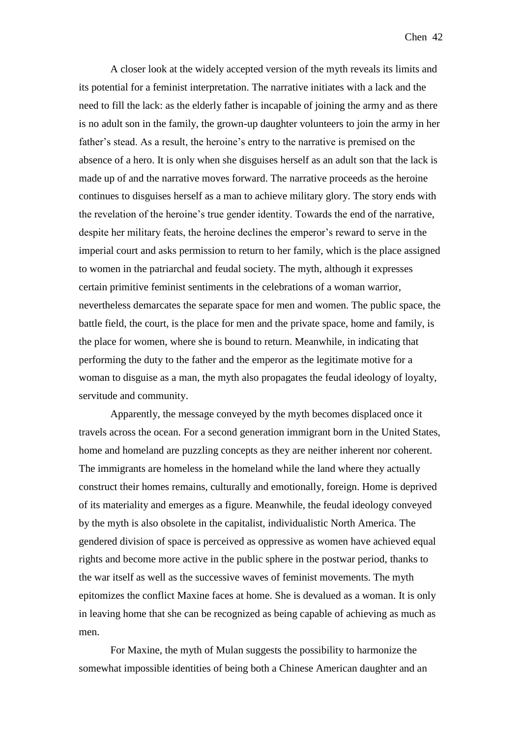Chen 42

A closer look at the widely accepted version of the myth reveals its limits and its potential for a feminist interpretation. The narrative initiates with a lack and the need to fill the lack: as the elderly father is incapable of joining the army and as there is no adult son in the family, the grown-up daughter volunteers to join the army in her father's stead. As a result, the heroine's entry to the narrative is premised on the absence of a hero. It is only when she disguises herself as an adult son that the lack is made up of and the narrative moves forward. The narrative proceeds as the heroine continues to disguises herself as a man to achieve military glory. The story ends with the revelation of the heroine's true gender identity. Towards the end of the narrative, despite her military feats, the heroine declines the emperor's reward to serve in the imperial court and asks permission to return to her family, which is the place assigned to women in the patriarchal and feudal society. The myth, although it expresses certain primitive feminist sentiments in the celebrations of a woman warrior, nevertheless demarcates the separate space for men and women. The public space, the battle field, the court, is the place for men and the private space, home and family, is the place for women, where she is bound to return. Meanwhile, in indicating that performing the duty to the father and the emperor as the legitimate motive for a woman to disguise as a man, the myth also propagates the feudal ideology of loyalty, servitude and community.

Apparently, the message conveyed by the myth becomes displaced once it travels across the ocean. For a second generation immigrant born in the United States, home and homeland are puzzling concepts as they are neither inherent nor coherent. The immigrants are homeless in the homeland while the land where they actually construct their homes remains, culturally and emotionally, foreign. Home is deprived of its materiality and emerges as a figure. Meanwhile, the feudal ideology conveyed by the myth is also obsolete in the capitalist, individualistic North America. The gendered division of space is perceived as oppressive as women have achieved equal rights and become more active in the public sphere in the postwar period, thanks to the war itself as well as the successive waves of feminist movements. The myth epitomizes the conflict Maxine faces at home. She is devalued as a woman. It is only in leaving home that she can be recognized as being capable of achieving as much as men.

For Maxine, the myth of Mulan suggests the possibility to harmonize the somewhat impossible identities of being both a Chinese American daughter and an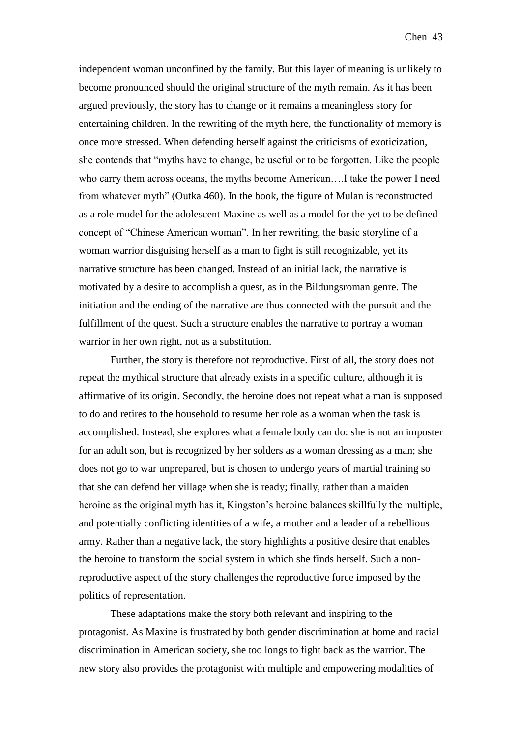independent woman unconfined by the family. But this layer of meaning is unlikely to become pronounced should the original structure of the myth remain. As it has been argued previously, the story has to change or it remains a meaningless story for entertaining children. In the rewriting of the myth here, the functionality of memory is once more stressed. When defending herself against the criticisms of exoticization, she contends that "myths have to change, be useful or to be forgotten. Like the people who carry them across oceans, the myths become American....I take the power I need from whatever myth" (Outka 460). In the book, the figure of Mulan is reconstructed as a role model for the adolescent Maxine as well as a model for the yet to be defined concept of "Chinese American woman". In her rewriting, the basic storyline of a woman warrior disguising herself as a man to fight is still recognizable, yet its narrative structure has been changed. Instead of an initial lack, the narrative is motivated by a desire to accomplish a quest, as in the Bildungsroman genre. The initiation and the ending of the narrative are thus connected with the pursuit and the fulfillment of the quest. Such a structure enables the narrative to portray a woman warrior in her own right, not as a substitution.

Further, the story is therefore not reproductive. First of all, the story does not repeat the mythical structure that already exists in a specific culture, although it is affirmative of its origin. Secondly, the heroine does not repeat what a man is supposed to do and retires to the household to resume her role as a woman when the task is accomplished. Instead, she explores what a female body can do: she is not an imposter for an adult son, but is recognized by her solders as a woman dressing as a man; she does not go to war unprepared, but is chosen to undergo years of martial training so that she can defend her village when she is ready; finally, rather than a maiden heroine as the original myth has it, Kingston's heroine balances skillfully the multiple, and potentially conflicting identities of a wife, a mother and a leader of a rebellious army. Rather than a negative lack, the story highlights a positive desire that enables the heroine to transform the social system in which she finds herself. Such a nonreproductive aspect of the story challenges the reproductive force imposed by the politics of representation.

These adaptations make the story both relevant and inspiring to the protagonist. As Maxine is frustrated by both gender discrimination at home and racial discrimination in American society, she too longs to fight back as the warrior. The new story also provides the protagonist with multiple and empowering modalities of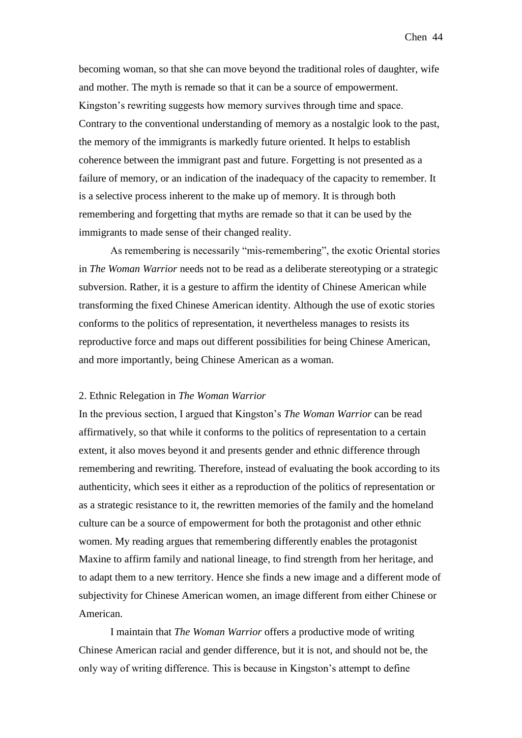becoming woman, so that she can move beyond the traditional roles of daughter, wife and mother. The myth is remade so that it can be a source of empowerment. Kingston's rewriting suggests how memory survives through time and space. Contrary to the conventional understanding of memory as a nostalgic look to the past, the memory of the immigrants is markedly future oriented. It helps to establish coherence between the immigrant past and future. Forgetting is not presented as a failure of memory, or an indication of the inadequacy of the capacity to remember. It is a selective process inherent to the make up of memory. It is through both remembering and forgetting that myths are remade so that it can be used by the immigrants to made sense of their changed reality.

As remembering is necessarily "mis-remembering", the exotic Oriental stories in *The Woman Warrior* needs not to be read as a deliberate stereotyping or a strategic subversion. Rather, it is a gesture to affirm the identity of Chinese American while transforming the fixed Chinese American identity. Although the use of exotic stories conforms to the politics of representation, it nevertheless manages to resists its reproductive force and maps out different possibilities for being Chinese American, and more importantly, being Chinese American as a woman.

#### 2. Ethnic Relegation in *The Woman Warrior*

In the previous section, I argued that Kingston's *The Woman Warrior* can be read affirmatively, so that while it conforms to the politics of representation to a certain extent, it also moves beyond it and presents gender and ethnic difference through remembering and rewriting. Therefore, instead of evaluating the book according to its authenticity, which sees it either as a reproduction of the politics of representation or as a strategic resistance to it, the rewritten memories of the family and the homeland culture can be a source of empowerment for both the protagonist and other ethnic women. My reading argues that remembering differently enables the protagonist Maxine to affirm family and national lineage, to find strength from her heritage, and to adapt them to a new territory. Hence she finds a new image and a different mode of subjectivity for Chinese American women, an image different from either Chinese or American.

I maintain that *The Woman Warrior* offers a productive mode of writing Chinese American racial and gender difference, but it is not, and should not be, the only way of writing difference. This is because in Kingston's attempt to define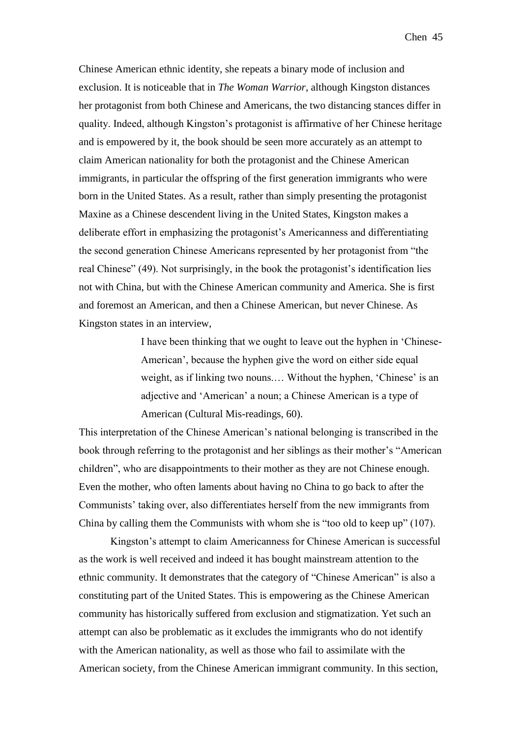Chinese American ethnic identity, she repeats a binary mode of inclusion and exclusion. It is noticeable that in *The Woman Warrior*, although Kingston distances her protagonist from both Chinese and Americans, the two distancing stances differ in quality. Indeed, although Kingston's protagonist is affirmative of her Chinese heritage and is empowered by it, the book should be seen more accurately as an attempt to claim American nationality for both the protagonist and the Chinese American immigrants, in particular the offspring of the first generation immigrants who were born in the United States. As a result, rather than simply presenting the protagonist Maxine as a Chinese descendent living in the United States, Kingston makes a deliberate effort in emphasizing the protagonist's Americanness and differentiating the second generation Chinese Americans represented by her protagonist from "the real Chinese" (49). Not surprisingly, in the book the protagonist's identification lies not with China, but with the Chinese American community and America. She is first and foremost an American, and then a Chinese American, but never Chinese. As Kingston states in an interview,

> I have been thinking that we ought to leave out the hyphen in 'Chinese-American', because the hyphen give the word on either side equal weight, as if linking two nouns.… Without the hyphen, 'Chinese' is an adjective and 'American' a noun; a Chinese American is a type of American (Cultural Mis-readings, 60).

This interpretation of the Chinese American's national belonging is transcribed in the book through referring to the protagonist and her siblings as their mother's "American children", who are disappointments to their mother as they are not Chinese enough. Even the mother, who often laments about having no China to go back to after the Communists' taking over, also differentiates herself from the new immigrants from China by calling them the Communists with whom she is "too old to keep up" (107).

Kingston's attempt to claim Americanness for Chinese American is successful as the work is well received and indeed it has bought mainstream attention to the ethnic community. It demonstrates that the category of "Chinese American" is also a constituting part of the United States. This is empowering as the Chinese American community has historically suffered from exclusion and stigmatization. Yet such an attempt can also be problematic as it excludes the immigrants who do not identify with the American nationality, as well as those who fail to assimilate with the American society, from the Chinese American immigrant community. In this section,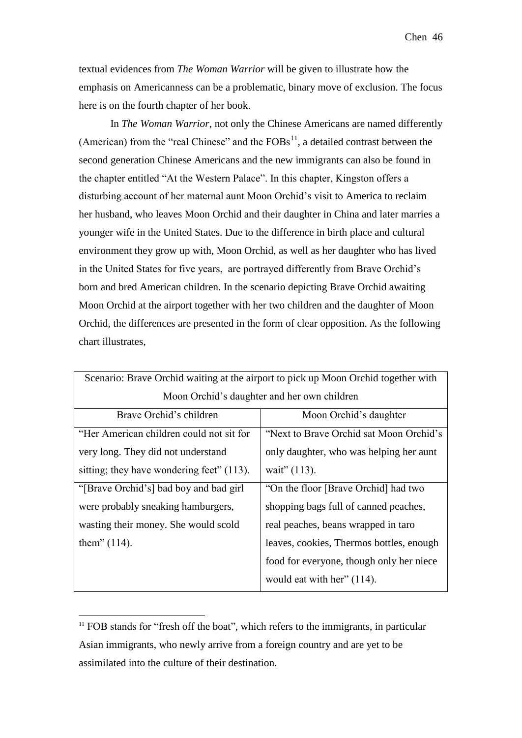textual evidences from *The Woman Warrior* will be given to illustrate how the emphasis on Americanness can be a problematic, binary move of exclusion. The focus here is on the fourth chapter of her book.

In *The Woman Warrior*, not only the Chinese Americans are named differently (American) from the "real Chinese" and the  $FOBs<sup>11</sup>$ , a detailed contrast between the second generation Chinese Americans and the new immigrants can also be found in the chapter entitled "At the Western Palace". In this chapter, Kingston offers a disturbing account of her maternal aunt Moon Orchid's visit to America to reclaim her husband, who leaves Moon Orchid and their daughter in China and later marries a younger wife in the United States. Due to the difference in birth place and cultural environment they grow up with, Moon Orchid, as well as her daughter who has lived in the United States for five years, are portrayed differently from Brave Orchid's born and bred American children. In the scenario depicting Brave Orchid awaiting Moon Orchid at the airport together with her two children and the daughter of Moon Orchid, the differences are presented in the form of clear opposition. As the following chart illustrates,

| Scenario: Brave Orchid waiting at the airport to pick up Moon Orchid together with |                                          |
|------------------------------------------------------------------------------------|------------------------------------------|
| Moon Orchid's daughter and her own children                                        |                                          |
| Brave Orchid's children                                                            | Moon Orchid's daughter                   |
| "Her American children could not sit for                                           | "Next to Brave Orchid sat Moon Orchid's  |
| very long. They did not understand                                                 | only daughter, who was helping her aunt  |
| sitting; they have wondering feet" (113).                                          | wait" (113).                             |
| "[Brave Orchid's] bad boy and bad girl                                             | "On the floor [Brave Orchid] had two     |
| were probably sneaking hamburgers,                                                 | shopping bags full of canned peaches,    |
| wasting their money. She would scold                                               | real peaches, beans wrapped in taro      |
| them" $(114)$ .                                                                    | leaves, cookies, Thermos bottles, enough |
|                                                                                    | food for everyone, though only her niece |
|                                                                                    | would eat with her" $(114)$ .            |

 $11$  FOB stands for "fresh off the boat", which refers to the immigrants, in particular Asian immigrants, who newly arrive from a foreign country and are yet to be assimilated into the culture of their destination.

<u>.</u>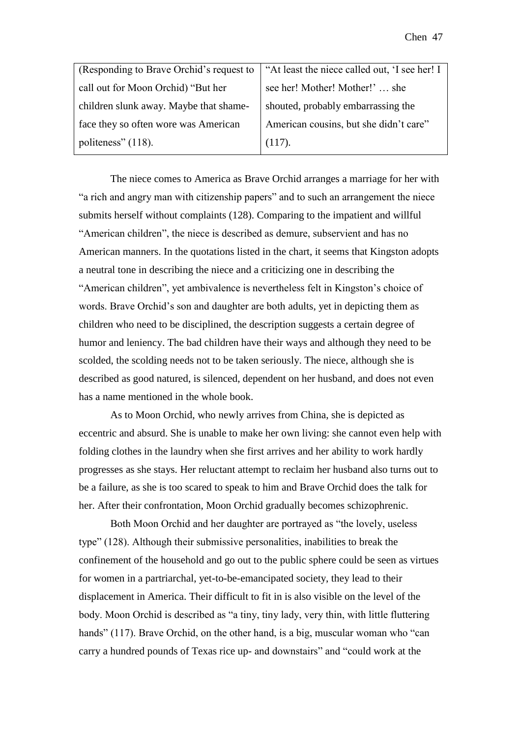| (Responding to Brave Orchid's request to | "At least the niece called out, 'I see her! I |
|------------------------------------------|-----------------------------------------------|
| call out for Moon Orchid) "But her       | see her! Mother! Mother!' she                 |
| children slunk away. Maybe that shame-   | shouted, probably embarrassing the            |
| face they so often wore was American     | American cousins, but she didn't care"        |
| politeness" (118).                       | (117).                                        |

The niece comes to America as Brave Orchid arranges a marriage for her with "a rich and angry man with citizenship papers" and to such an arrangement the niece submits herself without complaints (128). Comparing to the impatient and willful "American children", the niece is described as demure, subservient and has no American manners. In the quotations listed in the chart, it seems that Kingston adopts a neutral tone in describing the niece and a criticizing one in describing the "American children", yet ambivalence is nevertheless felt in Kingston's choice of words. Brave Orchid's son and daughter are both adults, yet in depicting them as children who need to be disciplined, the description suggests a certain degree of humor and leniency. The bad children have their ways and although they need to be scolded, the scolding needs not to be taken seriously. The niece, although she is described as good natured, is silenced, dependent on her husband, and does not even has a name mentioned in the whole book.

As to Moon Orchid, who newly arrives from China, she is depicted as eccentric and absurd. She is unable to make her own living: she cannot even help with folding clothes in the laundry when she first arrives and her ability to work hardly progresses as she stays. Her reluctant attempt to reclaim her husband also turns out to be a failure, as she is too scared to speak to him and Brave Orchid does the talk for her. After their confrontation, Moon Orchid gradually becomes schizophrenic.

Both Moon Orchid and her daughter are portrayed as "the lovely, useless type" (128). Although their submissive personalities, inabilities to break the confinement of the household and go out to the public sphere could be seen as virtues for women in a partriarchal, yet-to-be-emancipated society, they lead to their displacement in America. Their difficult to fit in is also visible on the level of the body. Moon Orchid is described as "a tiny, tiny lady, very thin, with little fluttering hands" (117). Brave Orchid, on the other hand, is a big, muscular woman who "can carry a hundred pounds of Texas rice up- and downstairs" and "could work at the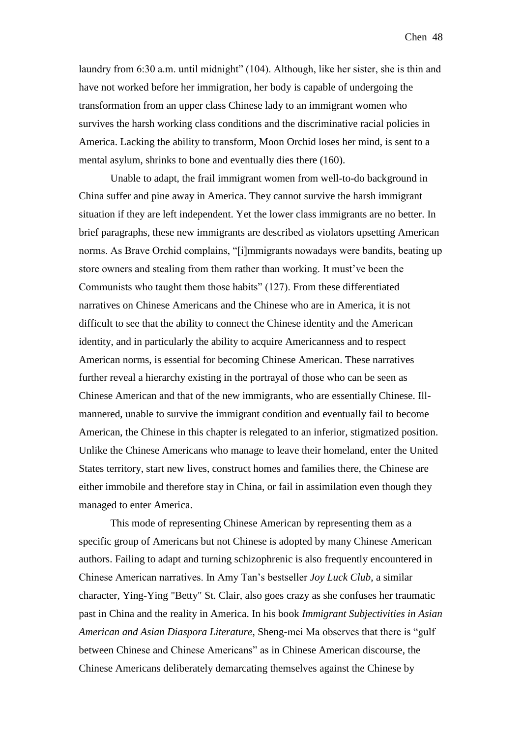laundry from 6:30 a.m. until midnight" (104). Although, like her sister, she is thin and have not worked before her immigration, her body is capable of undergoing the transformation from an upper class Chinese lady to an immigrant women who survives the harsh working class conditions and the discriminative racial policies in America. Lacking the ability to transform, Moon Orchid loses her mind, is sent to a mental asylum, shrinks to bone and eventually dies there (160).

Unable to adapt, the frail immigrant women from well-to-do background in China suffer and pine away in America. They cannot survive the harsh immigrant situation if they are left independent. Yet the lower class immigrants are no better. In brief paragraphs, these new immigrants are described as violators upsetting American norms. As Brave Orchid complains, "[i]mmigrants nowadays were bandits, beating up store owners and stealing from them rather than working. It must've been the Communists who taught them those habits" (127). From these differentiated narratives on Chinese Americans and the Chinese who are in America, it is not difficult to see that the ability to connect the Chinese identity and the American identity, and in particularly the ability to acquire Americanness and to respect American norms, is essential for becoming Chinese American. These narratives further reveal a hierarchy existing in the portrayal of those who can be seen as Chinese American and that of the new immigrants, who are essentially Chinese. Illmannered, unable to survive the immigrant condition and eventually fail to become American, the Chinese in this chapter is relegated to an inferior, stigmatized position. Unlike the Chinese Americans who manage to leave their homeland, enter the United States territory, start new lives, construct homes and families there, the Chinese are either immobile and therefore stay in China, or fail in assimilation even though they managed to enter America.

This mode of representing Chinese American by representing them as a specific group of Americans but not Chinese is adopted by many Chinese American authors. Failing to adapt and turning schizophrenic is also frequently encountered in Chinese American narratives. In Amy Tan's bestseller *Joy Luck Club*, a similar character, Ying-Ying "Betty" St. Clair, also goes crazy as she confuses her traumatic past in China and the reality in America. In his book *Immigrant Subjectivities in Asian American and Asian Diaspora Literature*, Sheng-mei Ma observes that there is "gulf between Chinese and Chinese Americans" as in Chinese American discourse, the Chinese Americans deliberately demarcating themselves against the Chinese by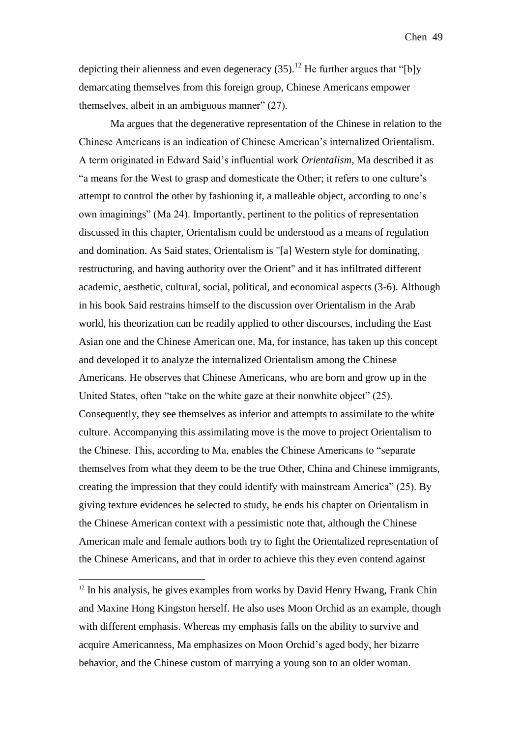Chen 49

depicting their alienness and even degeneracy (35).<sup>12</sup> He further argues that "[b]y demarcating themselves from this foreign group, Chinese Americans empower themselves, albeit in an ambiguous manner" (27).

Ma argues that the degenerative representation of the Chinese in relation to the Chinese Americans is an indication of Chinese American's internalized Orientalism. A term originated in Edward Said's influential work *Orientalism*, Ma described it as "a means for the West to grasp and domesticate the Other; it refers to one culture's attempt to control the other by fashioning it, a malleable object, according to one's own imaginings" (Ma 24). Importantly, pertinent to the politics of representation discussed in this chapter, Orientalism could be understood as a means of regulation and domination. As Said states, Orientalism is "[a] Western style for dominating, restructuring, and having authority over the Orient" and it has infiltrated different academic, aesthetic, cultural, social, political, and economical aspects (3-6). Although in his book Said restrains himself to the discussion over Orientalism in the Arab world, his theorization can be readily applied to other discourses, including the East Asian one and the Chinese American one. Ma, for instance, has taken up this concept and developed it to analyze the internalized Orientalism among the Chinese Americans. He observes that Chinese Americans, who are born and grow up in the United States, often "take on the white gaze at their nonwhite object" (25). Consequently, they see themselves as inferior and attempts to assimilate to the white culture. Accompanying this assimilating move is the move to project Orientalism to the Chinese. This, according to Ma, enables the Chinese Americans to "separate themselves from what they deem to be the true Other, China and Chinese immigrants, creating the impression that they could identify with mainstream America" (25). By giving texture evidences he selected to study, he ends his chapter on Orientalism in the Chinese American context with a pessimistic note that, although the Chinese American male and female authors both try to fight the Orientalized representation of the Chinese Americans, and that in order to achieve this they even contend against

1

 $12$  In his analysis, he gives examples from works by David Henry Hwang, Frank Chin and Maxine Hong Kingston herself. He also uses Moon Orchid as an example, though with different emphasis. Whereas my emphasis falls on the ability to survive and acquire Americanness, Ma emphasizes on Moon Orchid's aged body, her bizarre behavior, and the Chinese custom of marrying a young son to an older woman.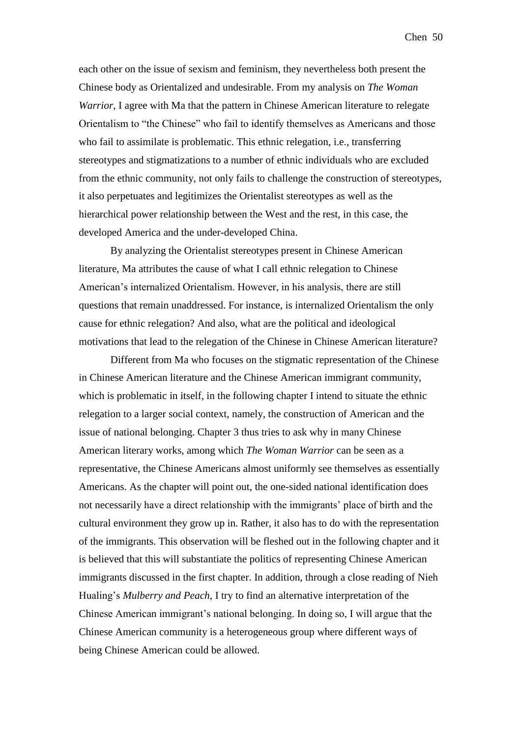each other on the issue of sexism and feminism, they nevertheless both present the Chinese body as Orientalized and undesirable. From my analysis on *The Woman Warrior*, I agree with Ma that the pattern in Chinese American literature to relegate Orientalism to "the Chinese" who fail to identify themselves as Americans and those who fail to assimilate is problematic. This ethnic relegation, i.e., transferring stereotypes and stigmatizations to a number of ethnic individuals who are excluded from the ethnic community, not only fails to challenge the construction of stereotypes, it also perpetuates and legitimizes the Orientalist stereotypes as well as the hierarchical power relationship between the West and the rest, in this case, the developed America and the under-developed China.

By analyzing the Orientalist stereotypes present in Chinese American literature, Ma attributes the cause of what I call ethnic relegation to Chinese American's internalized Orientalism. However, in his analysis, there are still questions that remain unaddressed. For instance, is internalized Orientalism the only cause for ethnic relegation? And also, what are the political and ideological motivations that lead to the relegation of the Chinese in Chinese American literature?

Different from Ma who focuses on the stigmatic representation of the Chinese in Chinese American literature and the Chinese American immigrant community, which is problematic in itself, in the following chapter I intend to situate the ethnic relegation to a larger social context, namely, the construction of American and the issue of national belonging. Chapter 3 thus tries to ask why in many Chinese American literary works, among which *The Woman Warrior* can be seen as a representative, the Chinese Americans almost uniformly see themselves as essentially Americans. As the chapter will point out, the one-sided national identification does not necessarily have a direct relationship with the immigrants' place of birth and the cultural environment they grow up in. Rather, it also has to do with the representation of the immigrants. This observation will be fleshed out in the following chapter and it is believed that this will substantiate the politics of representing Chinese American immigrants discussed in the first chapter. In addition, through a close reading of Nieh Hualing's *Mulberry and Peach*, I try to find an alternative interpretation of the Chinese American immigrant's national belonging. In doing so, I will argue that the Chinese American community is a heterogeneous group where different ways of being Chinese American could be allowed.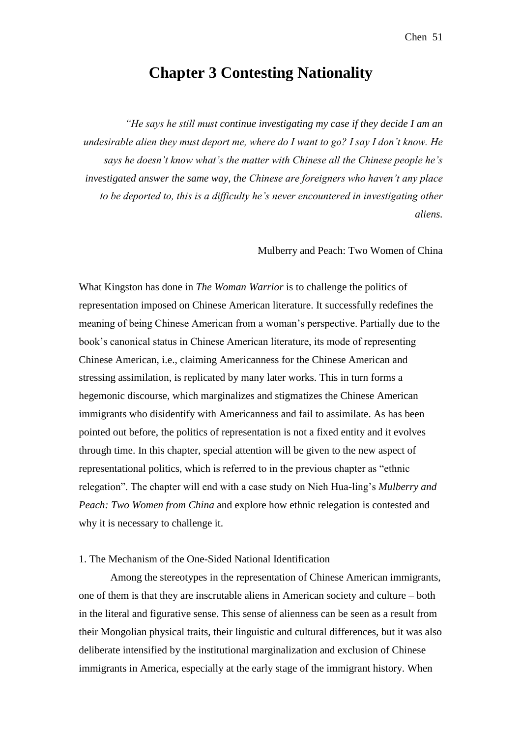# **Chapter 3 Contesting Nationality**

*"He says he still must continue investigating my case if they decide I am an undesirable alien they must deport me, where do I want to go? I say I don't know. He says he doesn't know what's the matter with Chinese all the Chinese people he's investigated answer the same way, the Chinese are foreigners who haven't any place to be deported to, this is a difficulty he's never encountered in investigating other aliens.* 

Mulberry and Peach: Two Women of China

What Kingston has done in *The Woman Warrior* is to challenge the politics of representation imposed on Chinese American literature. It successfully redefines the meaning of being Chinese American from a woman's perspective. Partially due to the book's canonical status in Chinese American literature, its mode of representing Chinese American, i.e., claiming Americanness for the Chinese American and stressing assimilation, is replicated by many later works. This in turn forms a hegemonic discourse, which marginalizes and stigmatizes the Chinese American immigrants who disidentify with Americanness and fail to assimilate. As has been pointed out before, the politics of representation is not a fixed entity and it evolves through time. In this chapter, special attention will be given to the new aspect of representational politics, which is referred to in the previous chapter as "ethnic relegation". The chapter will end with a case study on Nieh Hua-ling's *Mulberry and Peach: Two Women from China* and explore how ethnic relegation is contested and why it is necessary to challenge it.

## 1. The Mechanism of the One-Sided National Identification

Among the stereotypes in the representation of Chinese American immigrants, one of them is that they are inscrutable aliens in American society and culture – both in the literal and figurative sense. This sense of alienness can be seen as a result from their Mongolian physical traits, their linguistic and cultural differences, but it was also deliberate intensified by the institutional marginalization and exclusion of Chinese immigrants in America, especially at the early stage of the immigrant history. When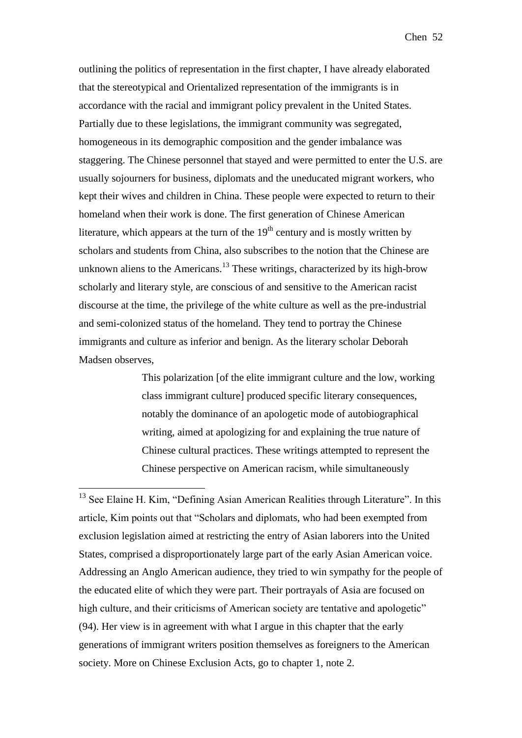Chen 52

outlining the politics of representation in the first chapter, I have already elaborated that the stereotypical and Orientalized representation of the immigrants is in accordance with the racial and immigrant policy prevalent in the United States. Partially due to these legislations, the immigrant community was segregated, homogeneous in its demographic composition and the gender imbalance was staggering. The Chinese personnel that stayed and were permitted to enter the U.S. are usually sojourners for business, diplomats and the uneducated migrant workers, who kept their wives and children in China. These people were expected to return to their homeland when their work is done. The first generation of Chinese American literature, which appears at the turn of the  $19<sup>th</sup>$  century and is mostly written by scholars and students from China, also subscribes to the notion that the Chinese are unknown aliens to the Americans.<sup>13</sup> These writings, characterized by its high-brow scholarly and literary style, are conscious of and sensitive to the American racist discourse at the time, the privilege of the white culture as well as the pre-industrial and semi-colonized status of the homeland. They tend to portray the Chinese immigrants and culture as inferior and benign. As the literary scholar Deborah Madsen observes,

> This polarization [of the elite immigrant culture and the low, working class immigrant culture] produced specific literary consequences, notably the dominance of an apologetic mode of autobiographical writing, aimed at apologizing for and explaining the true nature of Chinese cultural practices. These writings attempted to represent the Chinese perspective on American racism, while simultaneously

<u>.</u>

<sup>&</sup>lt;sup>13</sup> See Elaine H. Kim, "Defining Asian American Realities through Literature". In this article, Kim points out that "Scholars and diplomats, who had been exempted from exclusion legislation aimed at restricting the entry of Asian laborers into the United States, comprised a disproportionately large part of the early Asian American voice. Addressing an Anglo American audience, they tried to win sympathy for the people of the educated elite of which they were part. Their portrayals of Asia are focused on high culture, and their criticisms of American society are tentative and apologetic" (94). Her view is in agreement with what I argue in this chapter that the early generations of immigrant writers position themselves as foreigners to the American society. More on Chinese Exclusion Acts, go to chapter 1, note 2.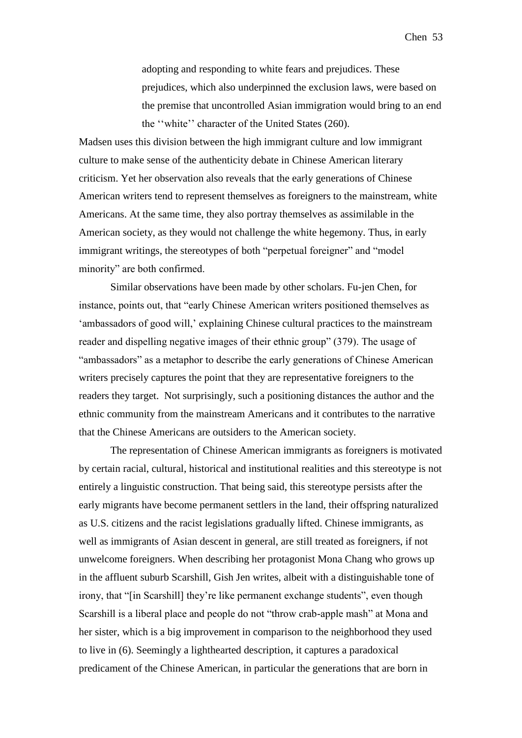adopting and responding to white fears and prejudices. These prejudices, which also underpinned the exclusion laws, were based on the premise that uncontrolled Asian immigration would bring to an end the ''white'' character of the United States (260).

Madsen uses this division between the high immigrant culture and low immigrant culture to make sense of the authenticity debate in Chinese American literary criticism. Yet her observation also reveals that the early generations of Chinese American writers tend to represent themselves as foreigners to the mainstream, white Americans. At the same time, they also portray themselves as assimilable in the American society, as they would not challenge the white hegemony. Thus, in early immigrant writings, the stereotypes of both "perpetual foreigner" and "model minority" are both confirmed.

Similar observations have been made by other scholars. Fu-jen Chen, for instance, points out, that "early Chinese American writers positioned themselves as 'ambassadors of good will,' explaining Chinese cultural practices to the mainstream reader and dispelling negative images of their ethnic group" (379). The usage of "ambassadors" as a metaphor to describe the early generations of Chinese American writers precisely captures the point that they are representative foreigners to the readers they target. Not surprisingly, such a positioning distances the author and the ethnic community from the mainstream Americans and it contributes to the narrative that the Chinese Americans are outsiders to the American society.

The representation of Chinese American immigrants as foreigners is motivated by certain racial, cultural, historical and institutional realities and this stereotype is not entirely a linguistic construction. That being said, this stereotype persists after the early migrants have become permanent settlers in the land, their offspring naturalized as U.S. citizens and the racist legislations gradually lifted. Chinese immigrants, as well as immigrants of Asian descent in general, are still treated as foreigners, if not unwelcome foreigners. When describing her protagonist Mona Chang who grows up in the affluent suburb Scarshill, Gish Jen writes, albeit with a distinguishable tone of irony, that "[in Scarshill] they're like permanent exchange students", even though Scarshill is a liberal place and people do not "throw crab-apple mash" at Mona and her sister, which is a big improvement in comparison to the neighborhood they used to live in (6). Seemingly a lighthearted description, it captures a paradoxical predicament of the Chinese American, in particular the generations that are born in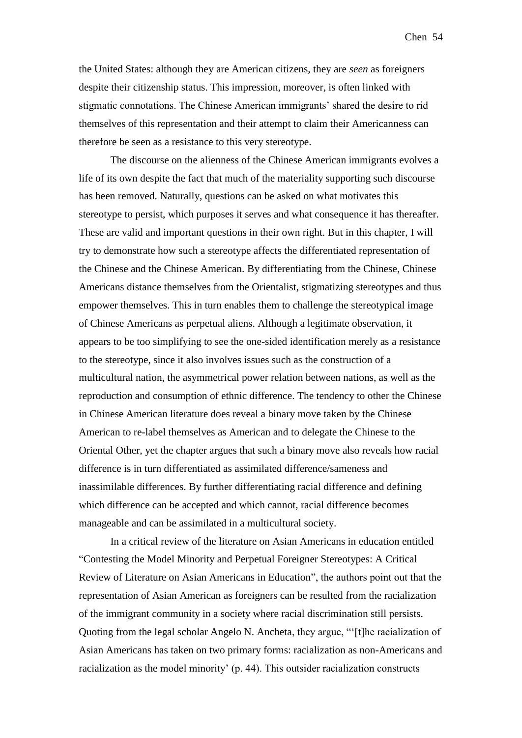the United States: although they are American citizens, they are *seen* as foreigners despite their citizenship status. This impression, moreover, is often linked with stigmatic connotations. The Chinese American immigrants' shared the desire to rid themselves of this representation and their attempt to claim their Americanness can therefore be seen as a resistance to this very stereotype.

The discourse on the alienness of the Chinese American immigrants evolves a life of its own despite the fact that much of the materiality supporting such discourse has been removed. Naturally, questions can be asked on what motivates this stereotype to persist, which purposes it serves and what consequence it has thereafter. These are valid and important questions in their own right. But in this chapter, I will try to demonstrate how such a stereotype affects the differentiated representation of the Chinese and the Chinese American. By differentiating from the Chinese, Chinese Americans distance themselves from the Orientalist, stigmatizing stereotypes and thus empower themselves. This in turn enables them to challenge the stereotypical image of Chinese Americans as perpetual aliens. Although a legitimate observation, it appears to be too simplifying to see the one-sided identification merely as a resistance to the stereotype, since it also involves issues such as the construction of a multicultural nation, the asymmetrical power relation between nations, as well as the reproduction and consumption of ethnic difference. The tendency to other the Chinese in Chinese American literature does reveal a binary move taken by the Chinese American to re-label themselves as American and to delegate the Chinese to the Oriental Other, yet the chapter argues that such a binary move also reveals how racial difference is in turn differentiated as assimilated difference/sameness and inassimilable differences. By further differentiating racial difference and defining which difference can be accepted and which cannot, racial difference becomes manageable and can be assimilated in a multicultural society.

In a critical review of the literature on Asian Americans in education entitled "Contesting the Model Minority and Perpetual Foreigner Stereotypes: A Critical Review of Literature on Asian Americans in Education", the authors point out that the representation of Asian American as foreigners can be resulted from the racialization of the immigrant community in a society where racial discrimination still persists. Quoting from the legal scholar Angelo N. Ancheta, they argue, "'[t]he racialization of Asian Americans has taken on two primary forms: racialization as non-Americans and racialization as the model minority' (p. 44). This outsider racialization constructs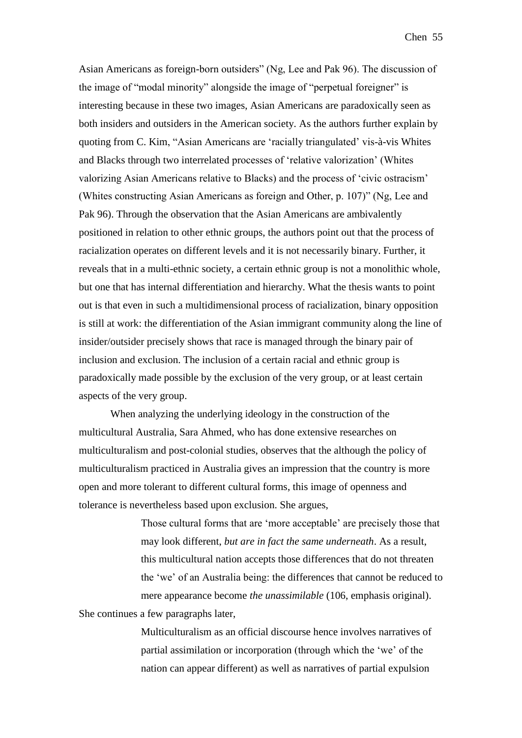Asian Americans as foreign-born outsiders" (Ng, Lee and Pak 96). The discussion of the image of "modal minority" alongside the image of "perpetual foreigner" is interesting because in these two images, Asian Americans are paradoxically seen as both insiders and outsiders in the American society. As the authors further explain by quoting from C. Kim, "Asian Americans are 'racially triangulated' vis-à-vis Whites and Blacks through two interrelated processes of 'relative valorization' (Whites valorizing Asian Americans relative to Blacks) and the process of 'civic ostracism' (Whites constructing Asian Americans as foreign and Other, p. 107)" (Ng, Lee and Pak 96). Through the observation that the Asian Americans are ambivalently positioned in relation to other ethnic groups, the authors point out that the process of racialization operates on different levels and it is not necessarily binary. Further, it reveals that in a multi-ethnic society, a certain ethnic group is not a monolithic whole, but one that has internal differentiation and hierarchy. What the thesis wants to point out is that even in such a multidimensional process of racialization, binary opposition is still at work: the differentiation of the Asian immigrant community along the line of insider/outsider precisely shows that race is managed through the binary pair of inclusion and exclusion. The inclusion of a certain racial and ethnic group is paradoxically made possible by the exclusion of the very group, or at least certain aspects of the very group.

When analyzing the underlying ideology in the construction of the multicultural Australia, Sara Ahmed, who has done extensive researches on multiculturalism and post-colonial studies, observes that the although the policy of multiculturalism practiced in Australia gives an impression that the country is more open and more tolerant to different cultural forms, this image of openness and tolerance is nevertheless based upon exclusion. She argues,

> Those cultural forms that are 'more acceptable' are precisely those that may look different, *but are in fact the same underneath*. As a result, this multicultural nation accepts those differences that do not threaten the 'we' of an Australia being: the differences that cannot be reduced to mere appearance become *the unassimilable* (106, emphasis original).

She continues a few paragraphs later,

Multiculturalism as an official discourse hence involves narratives of partial assimilation or incorporation (through which the 'we' of the nation can appear different) as well as narratives of partial expulsion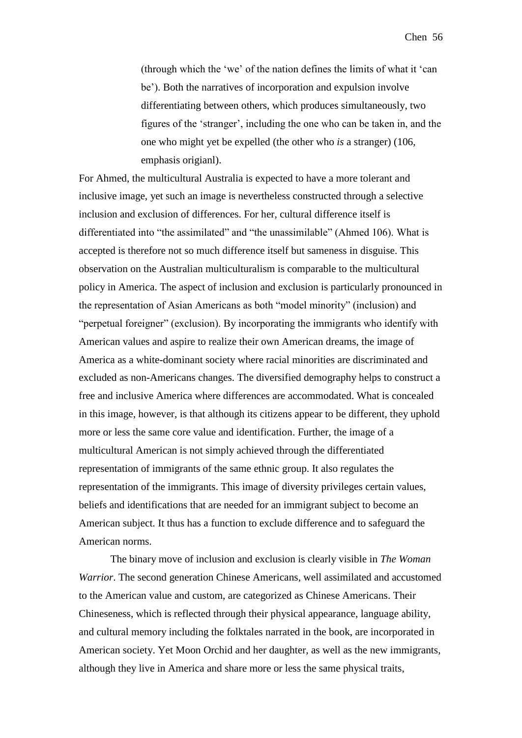(through which the 'we' of the nation defines the limits of what it 'can be'). Both the narratives of incorporation and expulsion involve differentiating between others, which produces simultaneously, two figures of the 'stranger', including the one who can be taken in, and the one who might yet be expelled (the other who *is* a stranger) (106, emphasis origianl).

For Ahmed, the multicultural Australia is expected to have a more tolerant and inclusive image, yet such an image is nevertheless constructed through a selective inclusion and exclusion of differences. For her, cultural difference itself is differentiated into "the assimilated" and "the unassimilable" (Ahmed 106). What is accepted is therefore not so much difference itself but sameness in disguise. This observation on the Australian multiculturalism is comparable to the multicultural policy in America. The aspect of inclusion and exclusion is particularly pronounced in the representation of Asian Americans as both "model minority" (inclusion) and "perpetual foreigner" (exclusion). By incorporating the immigrants who identify with American values and aspire to realize their own American dreams, the image of America as a white-dominant society where racial minorities are discriminated and excluded as non-Americans changes. The diversified demography helps to construct a free and inclusive America where differences are accommodated. What is concealed in this image, however, is that although its citizens appear to be different, they uphold more or less the same core value and identification. Further, the image of a multicultural American is not simply achieved through the differentiated representation of immigrants of the same ethnic group. It also regulates the representation of the immigrants. This image of diversity privileges certain values, beliefs and identifications that are needed for an immigrant subject to become an American subject. It thus has a function to exclude difference and to safeguard the American norms.

The binary move of inclusion and exclusion is clearly visible in *The Woman Warrior*. The second generation Chinese Americans, well assimilated and accustomed to the American value and custom, are categorized as Chinese Americans. Their Chineseness, which is reflected through their physical appearance, language ability, and cultural memory including the folktales narrated in the book, are incorporated in American society. Yet Moon Orchid and her daughter, as well as the new immigrants, although they live in America and share more or less the same physical traits,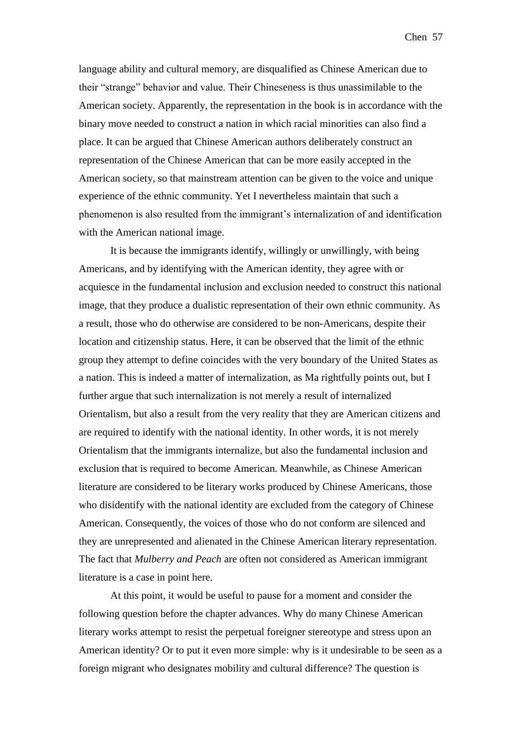Chen 57

language ability and cultural memory, are disqualified as Chinese American due to their "strange" behavior and value. Their Chineseness is thus unassimilable to the American society. Apparently, the representation in the book is in accordance with the binary move needed to construct a nation in which racial minorities can also find a place. It can be argued that Chinese American authors deliberately construct an representation of the Chinese American that can be more easily accepted in the American society, so that mainstream attention can be given to the voice and unique experience of the ethnic community. Yet I nevertheless maintain that such a phenomenon is also resulted from the immigrant's internalization of and identification with the American national image.

It is because the immigrants identify, willingly or unwillingly, with being Americans, and by identifying with the American identity, they agree with or acquiesce in the fundamental inclusion and exclusion needed to construct this national image, that they produce a dualistic representation of their own ethnic community. As a result, those who do otherwise are considered to be non-Americans, despite their location and citizenship status. Here, it can be observed that the limit of the ethnic group they attempt to define coincides with the very boundary of the United States as a nation. This is indeed a matter of internalization, as Ma rightfully points out, but I further argue that such internalization is not merely a result of internalized Orientalism, but also a result from the very reality that they are American citizens and are required to identify with the national identity. In other words, it is not merely Orientalism that the immigrants internalize, but also the fundamental inclusion and exclusion that is required to become American. Meanwhile, as Chinese American literature are considered to be literary works produced by Chinese Americans, those who disidentify with the national identity are excluded from the category of Chinese American. Consequently, the voices of those who do not conform are silenced and they are unrepresented and alienated in the Chinese American literary representation. The fact that *Mulberry and Peach* are often not considered as American immigrant literature is a case in point here.

At this point, it would be useful to pause for a moment and consider the following question before the chapter advances. Why do many Chinese American literary works attempt to resist the perpetual foreigner stereotype and stress upon an American identity? Or to put it even more simple: why is it undesirable to be seen as a foreign migrant who designates mobility and cultural difference? The question is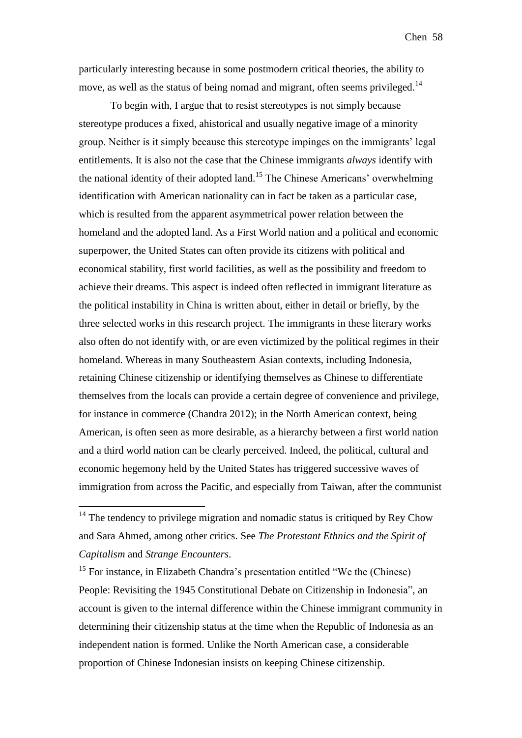particularly interesting because in some postmodern critical theories, the ability to move, as well as the status of being nomad and migrant, often seems privileged.<sup>14</sup>

To begin with, I argue that to resist stereotypes is not simply because stereotype produces a fixed, ahistorical and usually negative image of a minority group. Neither is it simply because this stereotype impinges on the immigrants' legal entitlements. It is also not the case that the Chinese immigrants *always* identify with the national identity of their adopted land.<sup>15</sup> The Chinese Americans' overwhelming identification with American nationality can in fact be taken as a particular case, which is resulted from the apparent asymmetrical power relation between the homeland and the adopted land. As a First World nation and a political and economic superpower, the United States can often provide its citizens with political and economical stability, first world facilities, as well as the possibility and freedom to achieve their dreams. This aspect is indeed often reflected in immigrant literature as the political instability in China is written about, either in detail or briefly, by the three selected works in this research project. The immigrants in these literary works also often do not identify with, or are even victimized by the political regimes in their homeland. Whereas in many Southeastern Asian contexts, including Indonesia, retaining Chinese citizenship or identifying themselves as Chinese to differentiate themselves from the locals can provide a certain degree of convenience and privilege, for instance in commerce (Chandra 2012); in the North American context, being American, is often seen as more desirable, as a hierarchy between a first world nation and a third world nation can be clearly perceived. Indeed, the political, cultural and economic hegemony held by the United States has triggered successive waves of immigration from across the Pacific, and especially from Taiwan, after the communist

1

 $15$  For instance, in Elizabeth Chandra's presentation entitled "We the (Chinese) People: Revisiting the 1945 Constitutional Debate on Citizenship in Indonesia", an account is given to the internal difference within the Chinese immigrant community in determining their citizenship status at the time when the Republic of Indonesia as an independent nation is formed. Unlike the North American case, a considerable proportion of Chinese Indonesian insists on keeping Chinese citizenship.

 $14$  The tendency to privilege migration and nomadic status is critiqued by Rey Chow and Sara Ahmed, among other critics. See *The Protestant Ethnics and the Spirit of Capitalism* and *Strange Encounters*.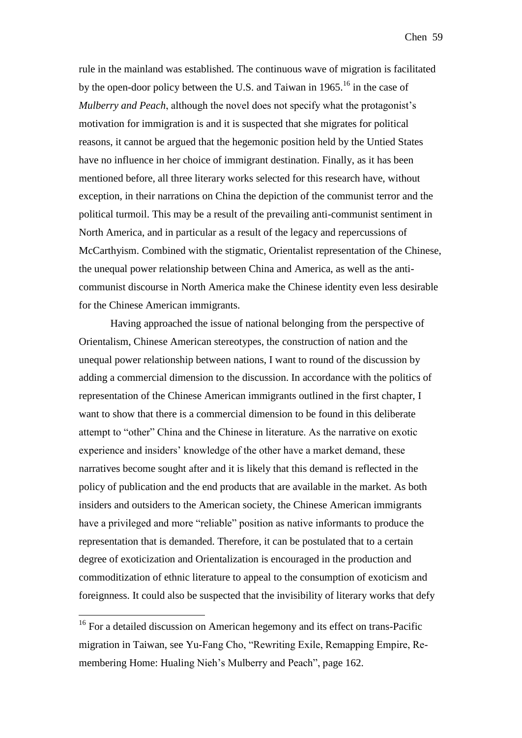rule in the mainland was established. The continuous wave of migration is facilitated by the open-door policy between the U.S. and Taiwan in  $1965$ <sup>16</sup> in the case of *Mulberry and Peach*, although the novel does not specify what the protagonist's motivation for immigration is and it is suspected that she migrates for political reasons, it cannot be argued that the hegemonic position held by the Untied States have no influence in her choice of immigrant destination. Finally, as it has been mentioned before, all three literary works selected for this research have, without exception, in their narrations on China the depiction of the communist terror and the political turmoil. This may be a result of the prevailing anti-communist sentiment in North America, and in particular as a result of the legacy and repercussions of McCarthyism. Combined with the stigmatic, Orientalist representation of the Chinese, the unequal power relationship between China and America, as well as the anticommunist discourse in North America make the Chinese identity even less desirable for the Chinese American immigrants.

Having approached the issue of national belonging from the perspective of Orientalism, Chinese American stereotypes, the construction of nation and the unequal power relationship between nations, I want to round of the discussion by adding a commercial dimension to the discussion. In accordance with the politics of representation of the Chinese American immigrants outlined in the first chapter, I want to show that there is a commercial dimension to be found in this deliberate attempt to "other" China and the Chinese in literature. As the narrative on exotic experience and insiders' knowledge of the other have a market demand, these narratives become sought after and it is likely that this demand is reflected in the policy of publication and the end products that are available in the market. As both insiders and outsiders to the American society, the Chinese American immigrants have a privileged and more "reliable" position as native informants to produce the representation that is demanded. Therefore, it can be postulated that to a certain degree of exoticization and Orientalization is encouraged in the production and commoditization of ethnic literature to appeal to the consumption of exoticism and foreignness. It could also be suspected that the invisibility of literary works that defy

<u>.</u>

<sup>&</sup>lt;sup>16</sup> For a detailed discussion on American hegemony and its effect on trans-Pacific migration in Taiwan, see Yu-Fang Cho, "Rewriting Exile, Remapping Empire, Remembering Home: Hualing Nieh's Mulberry and Peach", page 162.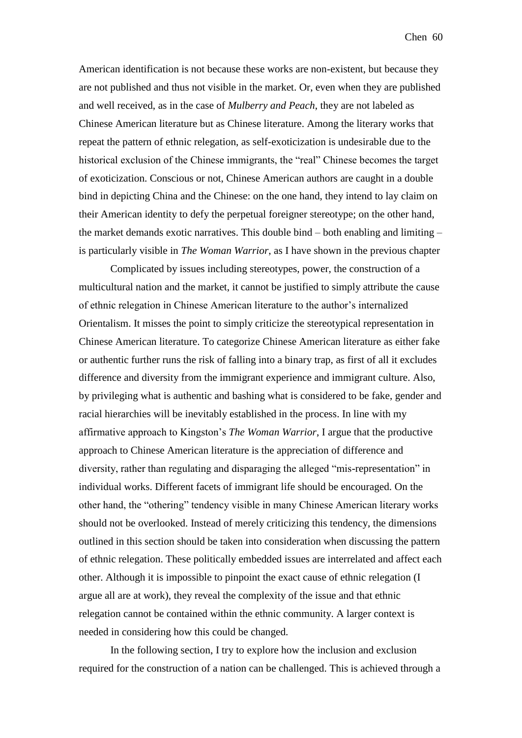Chen 60

American identification is not because these works are non-existent, but because they are not published and thus not visible in the market. Or, even when they are published and well received, as in the case of *Mulberry and Peach*, they are not labeled as Chinese American literature but as Chinese literature. Among the literary works that repeat the pattern of ethnic relegation, as self-exoticization is undesirable due to the historical exclusion of the Chinese immigrants, the "real" Chinese becomes the target of exoticization. Conscious or not, Chinese American authors are caught in a double bind in depicting China and the Chinese: on the one hand, they intend to lay claim on their American identity to defy the perpetual foreigner stereotype; on the other hand, the market demands exotic narratives. This double bind – both enabling and limiting – is particularly visible in *The Woman Warrior*, as I have shown in the previous chapter

Complicated by issues including stereotypes, power, the construction of a multicultural nation and the market, it cannot be justified to simply attribute the cause of ethnic relegation in Chinese American literature to the author's internalized Orientalism. It misses the point to simply criticize the stereotypical representation in Chinese American literature. To categorize Chinese American literature as either fake or authentic further runs the risk of falling into a binary trap, as first of all it excludes difference and diversity from the immigrant experience and immigrant culture. Also, by privileging what is authentic and bashing what is considered to be fake, gender and racial hierarchies will be inevitably established in the process. In line with my affirmative approach to Kingston's *The Woman Warrior*, I argue that the productive approach to Chinese American literature is the appreciation of difference and diversity, rather than regulating and disparaging the alleged "mis-representation" in individual works. Different facets of immigrant life should be encouraged. On the other hand, the "othering" tendency visible in many Chinese American literary works should not be overlooked. Instead of merely criticizing this tendency, the dimensions outlined in this section should be taken into consideration when discussing the pattern of ethnic relegation. These politically embedded issues are interrelated and affect each other. Although it is impossible to pinpoint the exact cause of ethnic relegation (I argue all are at work), they reveal the complexity of the issue and that ethnic relegation cannot be contained within the ethnic community. A larger context is needed in considering how this could be changed.

In the following section, I try to explore how the inclusion and exclusion required for the construction of a nation can be challenged. This is achieved through a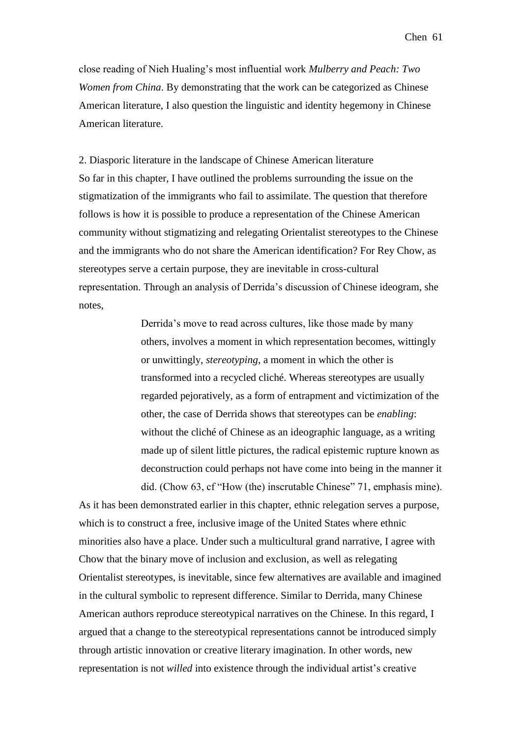Chen 61

close reading of Nieh Hualing's most influential work *Mulberry and Peach: Two Women from China*. By demonstrating that the work can be categorized as Chinese American literature, I also question the linguistic and identity hegemony in Chinese American literature.

2. Diasporic literature in the landscape of Chinese American literature So far in this chapter, I have outlined the problems surrounding the issue on the stigmatization of the immigrants who fail to assimilate. The question that therefore follows is how it is possible to produce a representation of the Chinese American community without stigmatizing and relegating Orientalist stereotypes to the Chinese and the immigrants who do not share the American identification? For Rey Chow, as stereotypes serve a certain purpose, they are inevitable in cross-cultural representation. Through an analysis of Derrida's discussion of Chinese ideogram, she notes,

> Derrida's move to read across cultures, like those made by many others, involves a moment in which representation becomes, wittingly or unwittingly, *stereotyping*, a moment in which the other is transformed into a recycled cliché. Whereas stereotypes are usually regarded pejoratively, as a form of entrapment and victimization of the other, the case of Derrida shows that stereotypes can be *enabling*: without the cliché of Chinese as an ideographic language, as a writing made up of silent little pictures, the radical epistemic rupture known as deconstruction could perhaps not have come into being in the manner it did. (Chow 63, cf "How (the) inscrutable Chinese" 71, emphasis mine).

As it has been demonstrated earlier in this chapter, ethnic relegation serves a purpose, which is to construct a free, inclusive image of the United States where ethnic minorities also have a place. Under such a multicultural grand narrative, I agree with Chow that the binary move of inclusion and exclusion, as well as relegating Orientalist stereotypes, is inevitable, since few alternatives are available and imagined in the cultural symbolic to represent difference. Similar to Derrida, many Chinese American authors reproduce stereotypical narratives on the Chinese. In this regard, I argued that a change to the stereotypical representations cannot be introduced simply through artistic innovation or creative literary imagination. In other words, new representation is not *willed* into existence through the individual artist's creative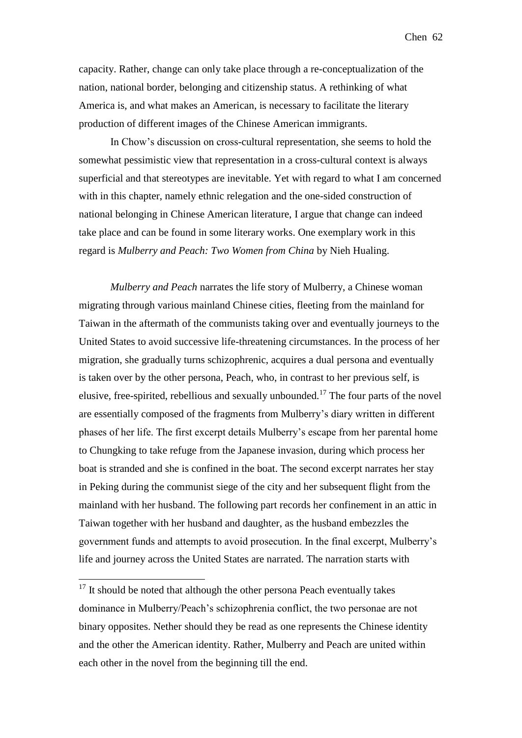capacity. Rather, change can only take place through a re-conceptualization of the nation, national border, belonging and citizenship status. A rethinking of what America is, and what makes an American, is necessary to facilitate the literary production of different images of the Chinese American immigrants.

In Chow's discussion on cross-cultural representation, she seems to hold the somewhat pessimistic view that representation in a cross-cultural context is always superficial and that stereotypes are inevitable. Yet with regard to what I am concerned with in this chapter, namely ethnic relegation and the one-sided construction of national belonging in Chinese American literature, I argue that change can indeed take place and can be found in some literary works. One exemplary work in this regard is *Mulberry and Peach: Two Women from China* by Nieh Hualing.

*Mulberry and Peach* narrates the life story of Mulberry, a Chinese woman migrating through various mainland Chinese cities, fleeting from the mainland for Taiwan in the aftermath of the communists taking over and eventually journeys to the United States to avoid successive life-threatening circumstances. In the process of her migration, she gradually turns schizophrenic, acquires a dual persona and eventually is taken over by the other persona, Peach, who, in contrast to her previous self, is elusive, free-spirited, rebellious and sexually unbounded.<sup>17</sup> The four parts of the novel are essentially composed of the fragments from Mulberry's diary written in different phases of her life. The first excerpt details Mulberry's escape from her parental home to Chungking to take refuge from the Japanese invasion, during which process her boat is stranded and she is confined in the boat. The second excerpt narrates her stay in Peking during the communist siege of the city and her subsequent flight from the mainland with her husband. The following part records her confinement in an attic in Taiwan together with her husband and daughter, as the husband embezzles the government funds and attempts to avoid prosecution. In the final excerpt, Mulberry's life and journey across the United States are narrated. The narration starts with

1

 $17$  It should be noted that although the other persona Peach eventually takes dominance in Mulberry/Peach's schizophrenia conflict, the two personae are not binary opposites. Nether should they be read as one represents the Chinese identity and the other the American identity. Rather, Mulberry and Peach are united within each other in the novel from the beginning till the end.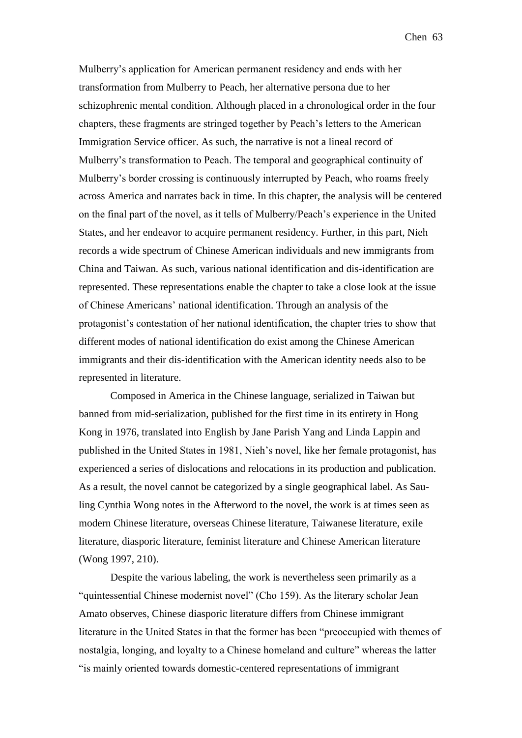Mulberry's application for American permanent residency and ends with her transformation from Mulberry to Peach, her alternative persona due to her schizophrenic mental condition. Although placed in a chronological order in the four chapters, these fragments are stringed together by Peach's letters to the American Immigration Service officer. As such, the narrative is not a lineal record of Mulberry's transformation to Peach. The temporal and geographical continuity of Mulberry's border crossing is continuously interrupted by Peach, who roams freely across America and narrates back in time. In this chapter, the analysis will be centered on the final part of the novel, as it tells of Mulberry/Peach's experience in the United States, and her endeavor to acquire permanent residency. Further, in this part, Nieh records a wide spectrum of Chinese American individuals and new immigrants from China and Taiwan. As such, various national identification and dis-identification are represented. These representations enable the chapter to take a close look at the issue of Chinese Americans' national identification. Through an analysis of the protagonist's contestation of her national identification, the chapter tries to show that different modes of national identification do exist among the Chinese American immigrants and their dis-identification with the American identity needs also to be represented in literature.

Composed in America in the Chinese language, serialized in Taiwan but banned from mid-serialization, published for the first time in its entirety in Hong Kong in 1976, translated into English by Jane Parish Yang and Linda Lappin and published in the United States in 1981, Nieh's novel, like her female protagonist, has experienced a series of dislocations and relocations in its production and publication. As a result, the novel cannot be categorized by a single geographical label. As Sauling Cynthia Wong notes in the Afterword to the novel, the work is at times seen as modern Chinese literature, overseas Chinese literature, Taiwanese literature, exile literature, diasporic literature, feminist literature and Chinese American literature (Wong 1997, 210).

Despite the various labeling, the work is nevertheless seen primarily as a "quintessential Chinese modernist novel" (Cho 159). As the literary scholar Jean Amato observes, Chinese diasporic literature differs from Chinese immigrant literature in the United States in that the former has been "preoccupied with themes of nostalgia, longing, and loyalty to a Chinese homeland and culture" whereas the latter "is mainly oriented towards domestic-centered representations of immigrant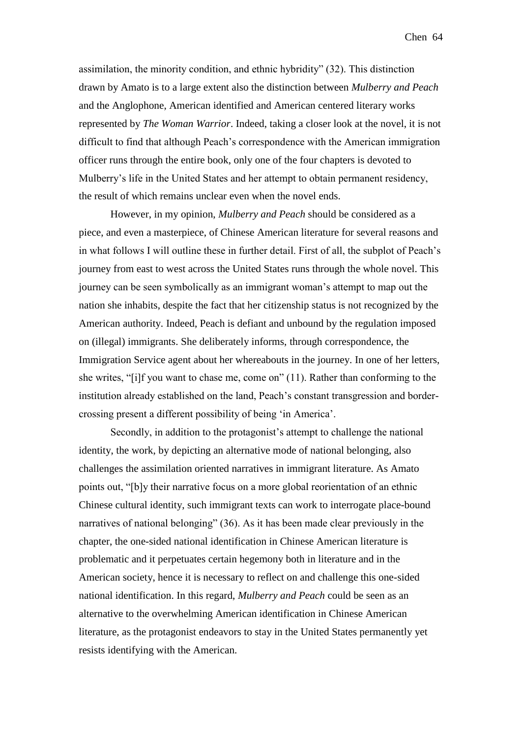assimilation, the minority condition, and ethnic hybridity" (32). This distinction drawn by Amato is to a large extent also the distinction between *Mulberry and Peach* and the Anglophone, American identified and American centered literary works represented by *The Woman Warrior*. Indeed, taking a closer look at the novel, it is not difficult to find that although Peach's correspondence with the American immigration officer runs through the entire book, only one of the four chapters is devoted to Mulberry's life in the United States and her attempt to obtain permanent residency, the result of which remains unclear even when the novel ends.

However, in my opinion, *Mulberry and Peach* should be considered as a piece, and even a masterpiece, of Chinese American literature for several reasons and in what follows I will outline these in further detail. First of all, the subplot of Peach's journey from east to west across the United States runs through the whole novel. This journey can be seen symbolically as an immigrant woman's attempt to map out the nation she inhabits, despite the fact that her citizenship status is not recognized by the American authority. Indeed, Peach is defiant and unbound by the regulation imposed on (illegal) immigrants. She deliberately informs, through correspondence, the Immigration Service agent about her whereabouts in the journey. In one of her letters, she writes, "[i]f you want to chase me, come on" (11). Rather than conforming to the institution already established on the land, Peach's constant transgression and bordercrossing present a different possibility of being 'in America'.

Secondly, in addition to the protagonist's attempt to challenge the national identity, the work, by depicting an alternative mode of national belonging, also challenges the assimilation oriented narratives in immigrant literature. As Amato points out, "[b]y their narrative focus on a more global reorientation of an ethnic Chinese cultural identity, such immigrant texts can work to interrogate place-bound narratives of national belonging" (36). As it has been made clear previously in the chapter, the one-sided national identification in Chinese American literature is problematic and it perpetuates certain hegemony both in literature and in the American society, hence it is necessary to reflect on and challenge this one-sided national identification. In this regard, *Mulberry and Peach* could be seen as an alternative to the overwhelming American identification in Chinese American literature, as the protagonist endeavors to stay in the United States permanently yet resists identifying with the American.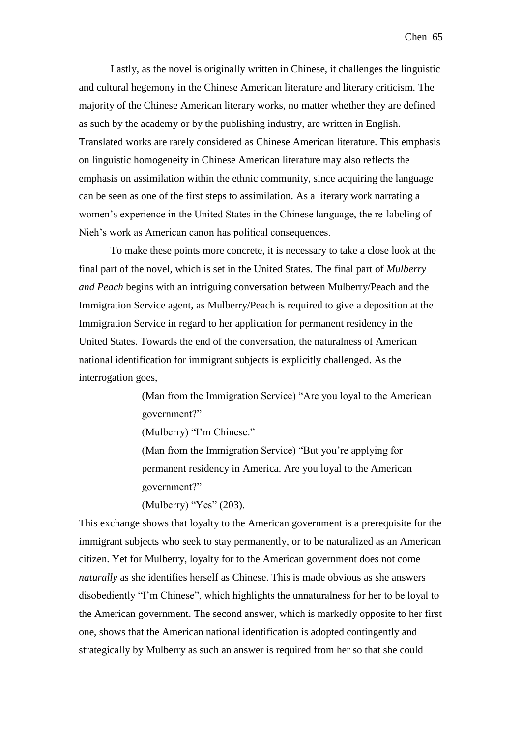Lastly, as the novel is originally written in Chinese, it challenges the linguistic and cultural hegemony in the Chinese American literature and literary criticism. The majority of the Chinese American literary works, no matter whether they are defined as such by the academy or by the publishing industry, are written in English. Translated works are rarely considered as Chinese American literature. This emphasis on linguistic homogeneity in Chinese American literature may also reflects the emphasis on assimilation within the ethnic community, since acquiring the language can be seen as one of the first steps to assimilation. As a literary work narrating a women's experience in the United States in the Chinese language, the re-labeling of Nieh's work as American canon has political consequences.

To make these points more concrete, it is necessary to take a close look at the final part of the novel, which is set in the United States. The final part of *Mulberry and Peach* begins with an intriguing conversation between Mulberry/Peach and the Immigration Service agent, as Mulberry/Peach is required to give a deposition at the Immigration Service in regard to her application for permanent residency in the United States. Towards the end of the conversation, the naturalness of American national identification for immigrant subjects is explicitly challenged. As the interrogation goes,

> (Man from the Immigration Service) "Are you loyal to the American government?"

(Mulberry) "I'm Chinese."

(Man from the Immigration Service) "But you're applying for permanent residency in America. Are you loyal to the American government?"

(Mulberry) "Yes" (203).

This exchange shows that loyalty to the American government is a prerequisite for the immigrant subjects who seek to stay permanently, or to be naturalized as an American citizen. Yet for Mulberry, loyalty for to the American government does not come *naturally* as she identifies herself as Chinese. This is made obvious as she answers disobediently "I'm Chinese", which highlights the unnaturalness for her to be loyal to the American government. The second answer, which is markedly opposite to her first one, shows that the American national identification is adopted contingently and strategically by Mulberry as such an answer is required from her so that she could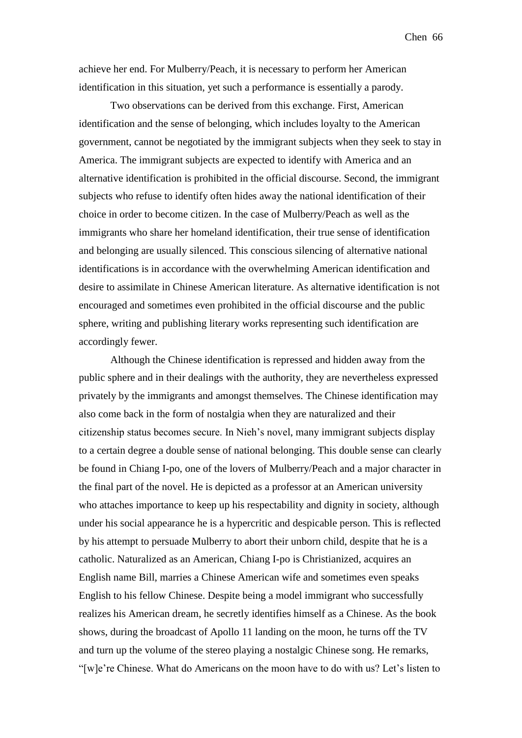achieve her end. For Mulberry/Peach, it is necessary to perform her American identification in this situation, yet such a performance is essentially a parody.

Two observations can be derived from this exchange. First, American identification and the sense of belonging, which includes loyalty to the American government, cannot be negotiated by the immigrant subjects when they seek to stay in America. The immigrant subjects are expected to identify with America and an alternative identification is prohibited in the official discourse. Second, the immigrant subjects who refuse to identify often hides away the national identification of their choice in order to become citizen. In the case of Mulberry/Peach as well as the immigrants who share her homeland identification, their true sense of identification and belonging are usually silenced. This conscious silencing of alternative national identifications is in accordance with the overwhelming American identification and desire to assimilate in Chinese American literature. As alternative identification is not encouraged and sometimes even prohibited in the official discourse and the public sphere, writing and publishing literary works representing such identification are accordingly fewer.

Although the Chinese identification is repressed and hidden away from the public sphere and in their dealings with the authority, they are nevertheless expressed privately by the immigrants and amongst themselves. The Chinese identification may also come back in the form of nostalgia when they are naturalized and their citizenship status becomes secure. In Nieh's novel, many immigrant subjects display to a certain degree a double sense of national belonging. This double sense can clearly be found in Chiang I-po, one of the lovers of Mulberry/Peach and a major character in the final part of the novel. He is depicted as a professor at an American university who attaches importance to keep up his respectability and dignity in society, although under his social appearance he is a hypercritic and despicable person. This is reflected by his attempt to persuade Mulberry to abort their unborn child, despite that he is a catholic. Naturalized as an American, Chiang I-po is Christianized, acquires an English name Bill, marries a Chinese American wife and sometimes even speaks English to his fellow Chinese. Despite being a model immigrant who successfully realizes his American dream, he secretly identifies himself as a Chinese. As the book shows, during the broadcast of Apollo 11 landing on the moon, he turns off the TV and turn up the volume of the stereo playing a nostalgic Chinese song. He remarks, "[w]e're Chinese. What do Americans on the moon have to do with us? Let's listen to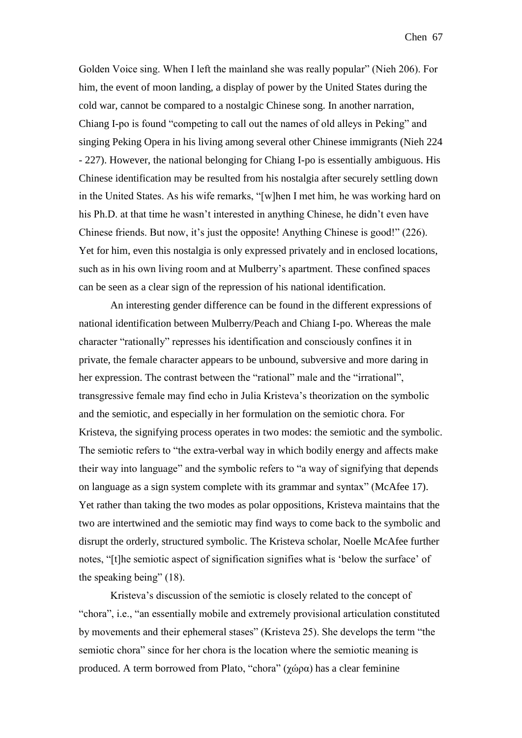Golden Voice sing. When I left the mainland she was really popular" (Nieh 206). For him, the event of moon landing, a display of power by the United States during the cold war, cannot be compared to a nostalgic Chinese song. In another narration, Chiang I-po is found "competing to call out the names of old alleys in Peking" and singing Peking Opera in his living among several other Chinese immigrants (Nieh 224 - 227). However, the national belonging for Chiang I-po is essentially ambiguous. His Chinese identification may be resulted from his nostalgia after securely settling down in the United States. As his wife remarks, "[w]hen I met him, he was working hard on his Ph.D. at that time he wasn't interested in anything Chinese, he didn't even have Chinese friends. But now, it's just the opposite! Anything Chinese is good!" (226). Yet for him, even this nostalgia is only expressed privately and in enclosed locations, such as in his own living room and at Mulberry's apartment. These confined spaces can be seen as a clear sign of the repression of his national identification.

An interesting gender difference can be found in the different expressions of national identification between Mulberry/Peach and Chiang I-po. Whereas the male character "rationally" represses his identification and consciously confines it in private, the female character appears to be unbound, subversive and more daring in her expression. The contrast between the "rational" male and the "irrational", transgressive female may find echo in Julia Kristeva's theorization on the symbolic and the semiotic, and especially in her formulation on the semiotic chora. For Kristeva, the signifying process operates in two modes: the semiotic and the symbolic. The semiotic refers to "the extra-verbal way in which bodily energy and affects make their way into language" and the symbolic refers to "a way of signifying that depends on language as a sign system complete with its grammar and syntax" (McAfee 17). Yet rather than taking the two modes as polar oppositions, Kristeva maintains that the two are intertwined and the semiotic may find ways to come back to the symbolic and disrupt the orderly, structured symbolic. The Kristeva scholar, Noelle McAfee further notes, "[t]he semiotic aspect of signification signifies what is 'below the surface' of the speaking being" (18).

Kristeva's discussion of the semiotic is closely related to the concept of "chora", i.e., "an essentially mobile and extremely provisional articulation constituted by movements and their ephemeral stases" (Kristeva 25). She develops the term "the semiotic chora" since for her chora is the location where the semiotic meaning is produced. A term borrowed from Plato, "chora" (χώρα) has a clear feminine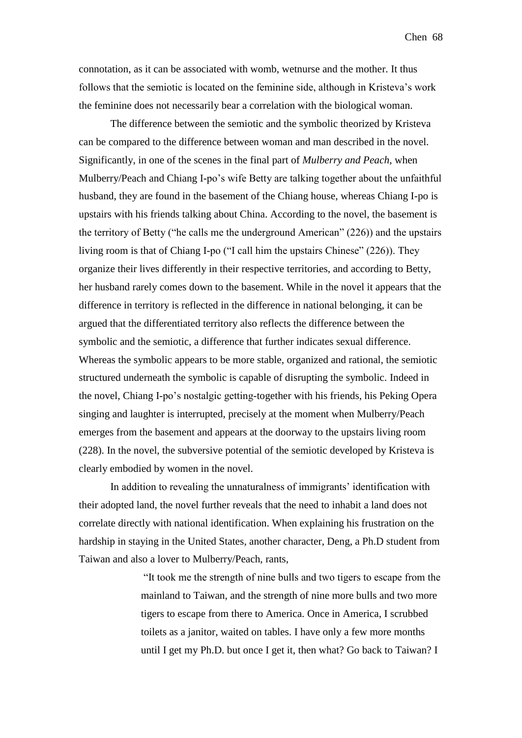connotation, as it can be associated with womb, wetnurse and the mother. It thus follows that the semiotic is located on the feminine side, although in Kristeva's work the feminine does not necessarily bear a correlation with the biological woman.

The difference between the semiotic and the symbolic theorized by Kristeva can be compared to the difference between woman and man described in the novel. Significantly, in one of the scenes in the final part of *Mulberry and Peach*, when Mulberry/Peach and Chiang I-po's wife Betty are talking together about the unfaithful husband, they are found in the basement of the Chiang house, whereas Chiang I-po is upstairs with his friends talking about China. According to the novel, the basement is the territory of Betty ("he calls me the underground American" (226)) and the upstairs living room is that of Chiang I-po ("I call him the upstairs Chinese" (226)). They organize their lives differently in their respective territories, and according to Betty, her husband rarely comes down to the basement. While in the novel it appears that the difference in territory is reflected in the difference in national belonging, it can be argued that the differentiated territory also reflects the difference between the symbolic and the semiotic, a difference that further indicates sexual difference. Whereas the symbolic appears to be more stable, organized and rational, the semiotic structured underneath the symbolic is capable of disrupting the symbolic. Indeed in the novel, Chiang I-po's nostalgic getting-together with his friends, his Peking Opera singing and laughter is interrupted, precisely at the moment when Mulberry/Peach emerges from the basement and appears at the doorway to the upstairs living room (228). In the novel, the subversive potential of the semiotic developed by Kristeva is clearly embodied by women in the novel.

In addition to revealing the unnaturalness of immigrants' identification with their adopted land, the novel further reveals that the need to inhabit a land does not correlate directly with national identification. When explaining his frustration on the hardship in staying in the United States, another character, Deng, a Ph.D student from Taiwan and also a lover to Mulberry/Peach, rants,

> "It took me the strength of nine bulls and two tigers to escape from the mainland to Taiwan, and the strength of nine more bulls and two more tigers to escape from there to America. Once in America, I scrubbed toilets as a janitor, waited on tables. I have only a few more months until I get my Ph.D. but once I get it, then what? Go back to Taiwan? I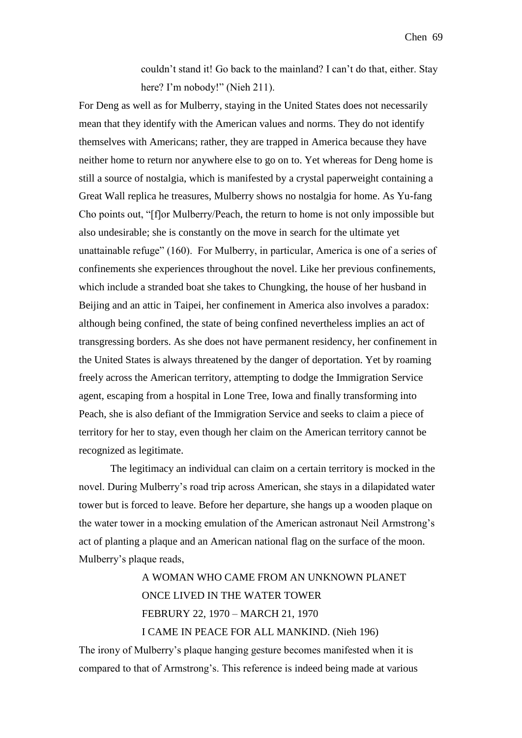couldn't stand it! Go back to the mainland? I can't do that, either. Stay here? I'm nobody!" (Nieh 211).

For Deng as well as for Mulberry, staying in the United States does not necessarily mean that they identify with the American values and norms. They do not identify themselves with Americans; rather, they are trapped in America because they have neither home to return nor anywhere else to go on to. Yet whereas for Deng home is still a source of nostalgia, which is manifested by a crystal paperweight containing a Great Wall replica he treasures, Mulberry shows no nostalgia for home. As Yu-fang Cho points out, "[f]or Mulberry/Peach, the return to home is not only impossible but also undesirable; she is constantly on the move in search for the ultimate yet unattainable refuge" (160). For Mulberry, in particular, America is one of a series of confinements she experiences throughout the novel. Like her previous confinements, which include a stranded boat she takes to Chungking, the house of her husband in Beijing and an attic in Taipei, her confinement in America also involves a paradox: although being confined, the state of being confined nevertheless implies an act of transgressing borders. As she does not have permanent residency, her confinement in the United States is always threatened by the danger of deportation. Yet by roaming freely across the American territory, attempting to dodge the Immigration Service agent, escaping from a hospital in Lone Tree, Iowa and finally transforming into Peach, she is also defiant of the Immigration Service and seeks to claim a piece of territory for her to stay, even though her claim on the American territory cannot be recognized as legitimate.

The legitimacy an individual can claim on a certain territory is mocked in the novel. During Mulberry's road trip across American, she stays in a dilapidated water tower but is forced to leave. Before her departure, she hangs up a wooden plaque on the water tower in a mocking emulation of the American astronaut Neil Armstrong's act of planting a plaque and an American national flag on the surface of the moon. Mulberry's plaque reads,

> A WOMAN WHO CAME FROM AN UNKNOWN PLANET ONCE LIVED IN THE WATER TOWER FEBRURY 22, 1970 – MARCH 21, 1970 I CAME IN PEACE FOR ALL MANKIND. (Nieh 196)

The irony of Mulberry's plaque hanging gesture becomes manifested when it is compared to that of Armstrong's. This reference is indeed being made at various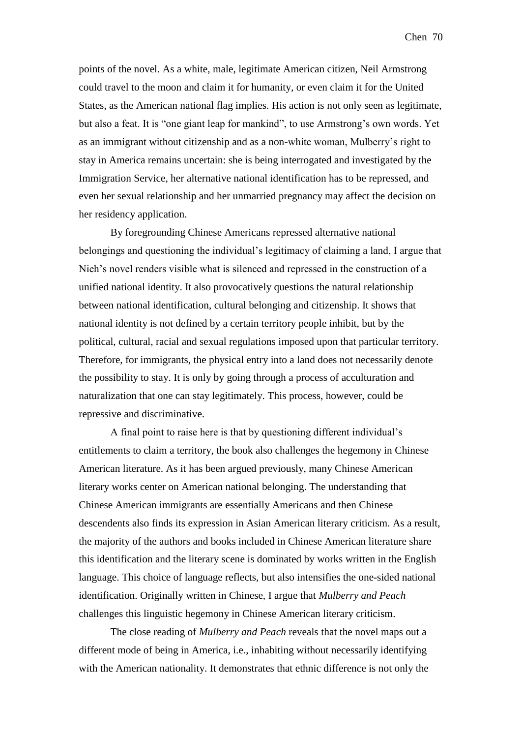points of the novel. As a white, male, legitimate American citizen, Neil Armstrong could travel to the moon and claim it for humanity, or even claim it for the United States, as the American national flag implies. His action is not only seen as legitimate, but also a feat. It is "one giant leap for mankind", to use Armstrong's own words. Yet as an immigrant without citizenship and as a non-white woman, Mulberry's right to stay in America remains uncertain: she is being interrogated and investigated by the Immigration Service, her alternative national identification has to be repressed, and even her sexual relationship and her unmarried pregnancy may affect the decision on her residency application.

By foregrounding Chinese Americans repressed alternative national belongings and questioning the individual's legitimacy of claiming a land, I argue that Nieh's novel renders visible what is silenced and repressed in the construction of a unified national identity. It also provocatively questions the natural relationship between national identification, cultural belonging and citizenship. It shows that national identity is not defined by a certain territory people inhibit, but by the political, cultural, racial and sexual regulations imposed upon that particular territory. Therefore, for immigrants, the physical entry into a land does not necessarily denote the possibility to stay. It is only by going through a process of acculturation and naturalization that one can stay legitimately. This process, however, could be repressive and discriminative.

A final point to raise here is that by questioning different individual's entitlements to claim a territory, the book also challenges the hegemony in Chinese American literature. As it has been argued previously, many Chinese American literary works center on American national belonging. The understanding that Chinese American immigrants are essentially Americans and then Chinese descendents also finds its expression in Asian American literary criticism. As a result, the majority of the authors and books included in Chinese American literature share this identification and the literary scene is dominated by works written in the English language. This choice of language reflects, but also intensifies the one-sided national identification. Originally written in Chinese, I argue that *Mulberry and Peach* challenges this linguistic hegemony in Chinese American literary criticism.

The close reading of *Mulberry and Peach* reveals that the novel maps out a different mode of being in America, i.e., inhabiting without necessarily identifying with the American nationality. It demonstrates that ethnic difference is not only the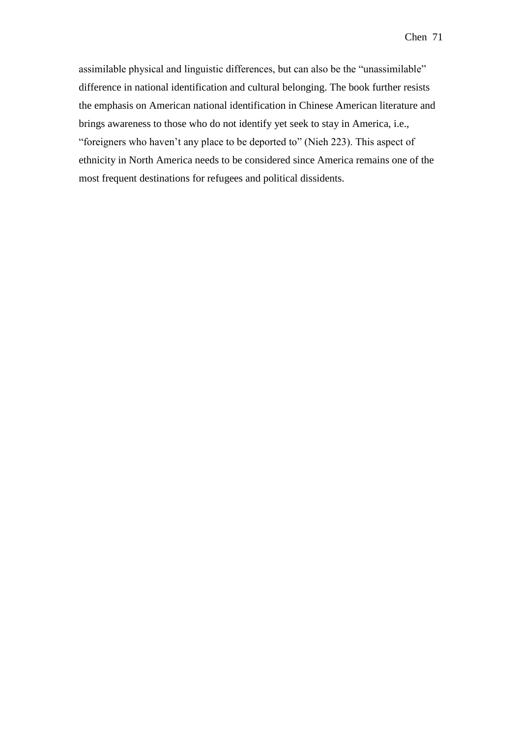assimilable physical and linguistic differences, but can also be the "unassimilable" difference in national identification and cultural belonging. The book further resists the emphasis on American national identification in Chinese American literature and brings awareness to those who do not identify yet seek to stay in America, i.e., "foreigners who haven't any place to be deported to" (Nieh 223). This aspect of ethnicity in North America needs to be considered since America remains one of the most frequent destinations for refugees and political dissidents.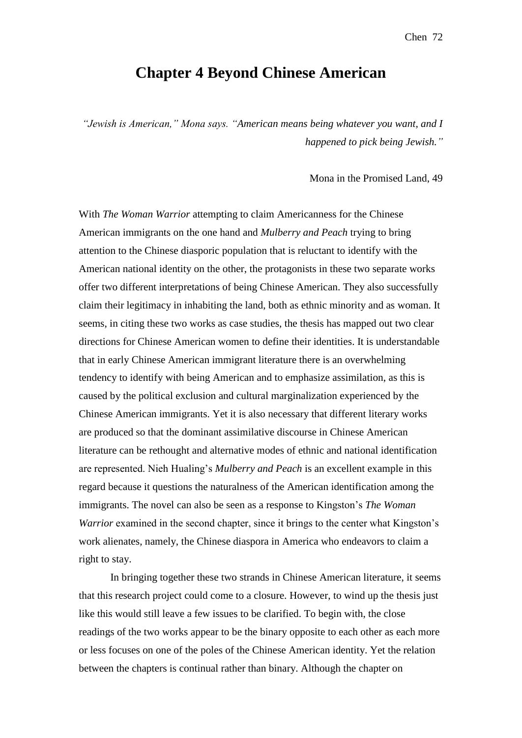### Chen 72

# **Chapter 4 Beyond Chinese American**

*"Jewish is American," Mona says. "American means being whatever you want, and I happened to pick being Jewish."*

Mona in the Promised Land, 49

With *The Woman Warrior* attempting to claim Americanness for the Chinese American immigrants on the one hand and *Mulberry and Peach* trying to bring attention to the Chinese diasporic population that is reluctant to identify with the American national identity on the other, the protagonists in these two separate works offer two different interpretations of being Chinese American. They also successfully claim their legitimacy in inhabiting the land, both as ethnic minority and as woman. It seems, in citing these two works as case studies, the thesis has mapped out two clear directions for Chinese American women to define their identities. It is understandable that in early Chinese American immigrant literature there is an overwhelming tendency to identify with being American and to emphasize assimilation, as this is caused by the political exclusion and cultural marginalization experienced by the Chinese American immigrants. Yet it is also necessary that different literary works are produced so that the dominant assimilative discourse in Chinese American literature can be rethought and alternative modes of ethnic and national identification are represented. Nieh Hualing's *Mulberry and Peach* is an excellent example in this regard because it questions the naturalness of the American identification among the immigrants. The novel can also be seen as a response to Kingston's *The Woman Warrior* examined in the second chapter, since it brings to the center what Kingston's work alienates, namely, the Chinese diaspora in America who endeavors to claim a right to stay.

In bringing together these two strands in Chinese American literature, it seems that this research project could come to a closure. However, to wind up the thesis just like this would still leave a few issues to be clarified. To begin with, the close readings of the two works appear to be the binary opposite to each other as each more or less focuses on one of the poles of the Chinese American identity. Yet the relation between the chapters is continual rather than binary. Although the chapter on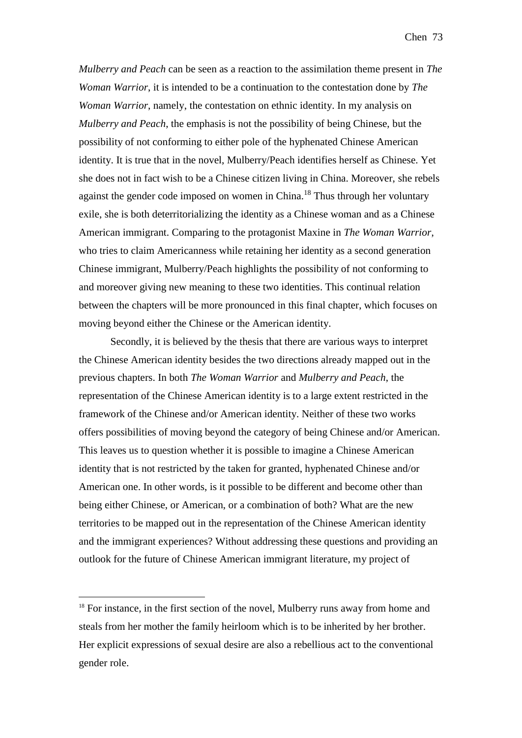*Mulberry and Peach* can be seen as a reaction to the assimilation theme present in *The Woman Warrior*, it is intended to be a continuation to the contestation done by *The Woman Warrior*, namely, the contestation on ethnic identity. In my analysis on *Mulberry and Peach*, the emphasis is not the possibility of being Chinese, but the possibility of not conforming to either pole of the hyphenated Chinese American identity. It is true that in the novel, Mulberry/Peach identifies herself as Chinese. Yet she does not in fact wish to be a Chinese citizen living in China. Moreover, she rebels against the gender code imposed on women in China.<sup>18</sup> Thus through her voluntary exile, she is both deterritorializing the identity as a Chinese woman and as a Chinese American immigrant. Comparing to the protagonist Maxine in *The Woman Warrior*, who tries to claim Americanness while retaining her identity as a second generation Chinese immigrant, Mulberry/Peach highlights the possibility of not conforming to and moreover giving new meaning to these two identities. This continual relation between the chapters will be more pronounced in this final chapter, which focuses on moving beyond either the Chinese or the American identity.

Secondly, it is believed by the thesis that there are various ways to interpret the Chinese American identity besides the two directions already mapped out in the previous chapters. In both *The Woman Warrior* and *Mulberry and Peach*, the representation of the Chinese American identity is to a large extent restricted in the framework of the Chinese and/or American identity. Neither of these two works offers possibilities of moving beyond the category of being Chinese and/or American. This leaves us to question whether it is possible to imagine a Chinese American identity that is not restricted by the taken for granted, hyphenated Chinese and/or American one. In other words, is it possible to be different and become other than being either Chinese, or American, or a combination of both? What are the new territories to be mapped out in the representation of the Chinese American identity and the immigrant experiences? Without addressing these questions and providing an outlook for the future of Chinese American immigrant literature, my project of

1

<sup>&</sup>lt;sup>18</sup> For instance, in the first section of the novel, Mulberry runs away from home and steals from her mother the family heirloom which is to be inherited by her brother. Her explicit expressions of sexual desire are also a rebellious act to the conventional gender role.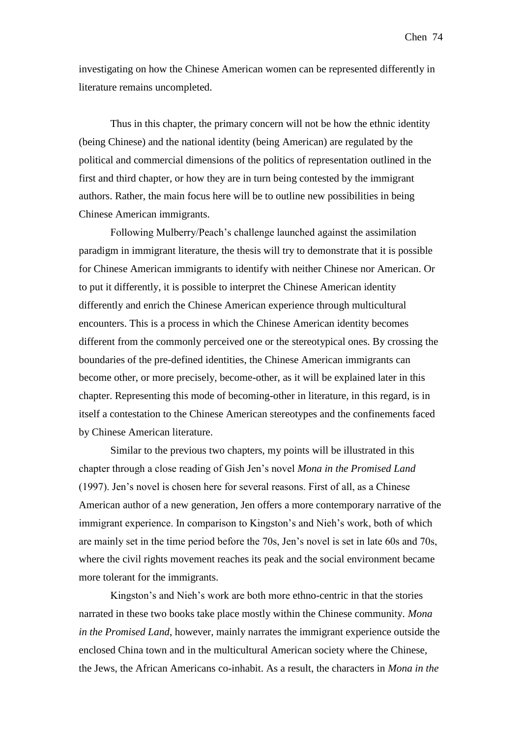investigating on how the Chinese American women can be represented differently in literature remains uncompleted.

Thus in this chapter, the primary concern will not be how the ethnic identity (being Chinese) and the national identity (being American) are regulated by the political and commercial dimensions of the politics of representation outlined in the first and third chapter, or how they are in turn being contested by the immigrant authors. Rather, the main focus here will be to outline new possibilities in being Chinese American immigrants.

Following Mulberry/Peach's challenge launched against the assimilation paradigm in immigrant literature, the thesis will try to demonstrate that it is possible for Chinese American immigrants to identify with neither Chinese nor American. Or to put it differently, it is possible to interpret the Chinese American identity differently and enrich the Chinese American experience through multicultural encounters. This is a process in which the Chinese American identity becomes different from the commonly perceived one or the stereotypical ones. By crossing the boundaries of the pre-defined identities, the Chinese American immigrants can become other, or more precisely, become-other, as it will be explained later in this chapter. Representing this mode of becoming-other in literature, in this regard, is in itself a contestation to the Chinese American stereotypes and the confinements faced by Chinese American literature.

Similar to the previous two chapters, my points will be illustrated in this chapter through a close reading of Gish Jen's novel *Mona in the Promised Land* (1997). Jen's novel is chosen here for several reasons. First of all, as a Chinese American author of a new generation, Jen offers a more contemporary narrative of the immigrant experience. In comparison to Kingston's and Nieh's work, both of which are mainly set in the time period before the 70s, Jen's novel is set in late 60s and 70s, where the civil rights movement reaches its peak and the social environment became more tolerant for the immigrants.

Kingston's and Nieh's work are both more ethno-centric in that the stories narrated in these two books take place mostly within the Chinese community. *Mona in the Promised Land*, however, mainly narrates the immigrant experience outside the enclosed China town and in the multicultural American society where the Chinese, the Jews, the African Americans co-inhabit. As a result, the characters in *Mona in the*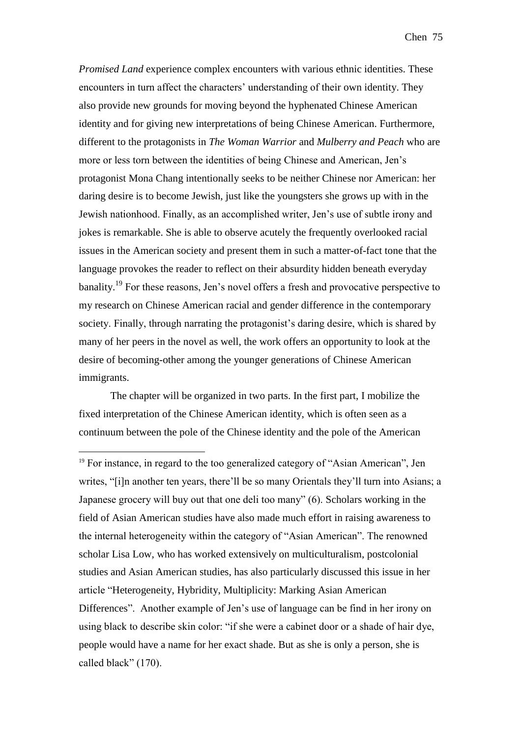*Promised Land* experience complex encounters with various ethnic identities. These encounters in turn affect the characters' understanding of their own identity. They also provide new grounds for moving beyond the hyphenated Chinese American identity and for giving new interpretations of being Chinese American. Furthermore, different to the protagonists in *The Woman Warrior* and *Mulberry and Peach* who are more or less torn between the identities of being Chinese and American, Jen's protagonist Mona Chang intentionally seeks to be neither Chinese nor American: her daring desire is to become Jewish, just like the youngsters she grows up with in the Jewish nationhood. Finally, as an accomplished writer, Jen's use of subtle irony and jokes is remarkable. She is able to observe acutely the frequently overlooked racial issues in the American society and present them in such a matter-of-fact tone that the language provokes the reader to reflect on their absurdity hidden beneath everyday banality.<sup>19</sup> For these reasons, Jen's novel offers a fresh and provocative perspective to my research on Chinese American racial and gender difference in the contemporary society. Finally, through narrating the protagonist's daring desire, which is shared by many of her peers in the novel as well, the work offers an opportunity to look at the desire of becoming-other among the younger generations of Chinese American immigrants.

The chapter will be organized in two parts. In the first part, I mobilize the fixed interpretation of the Chinese American identity, which is often seen as a continuum between the pole of the Chinese identity and the pole of the American

<u>.</u>

<sup>&</sup>lt;sup>19</sup> For instance, in regard to the too generalized category of "Asian American", Jen writes, "[i]n another ten years, there'll be so many Orientals they'll turn into Asians; a Japanese grocery will buy out that one deli too many" (6). Scholars working in the field of Asian American studies have also made much effort in raising awareness to the internal heterogeneity within the category of "Asian American". The renowned scholar Lisa Low, who has worked extensively on multiculturalism, postcolonial studies and Asian American studies, has also particularly discussed this issue in her article "Heterogeneity, Hybridity, Multiplicity: Marking Asian American Differences". Another example of Jen's use of language can be find in her irony on using black to describe skin color: "if she were a cabinet door or a shade of hair dye, people would have a name for her exact shade. But as she is only a person, she is called black" (170).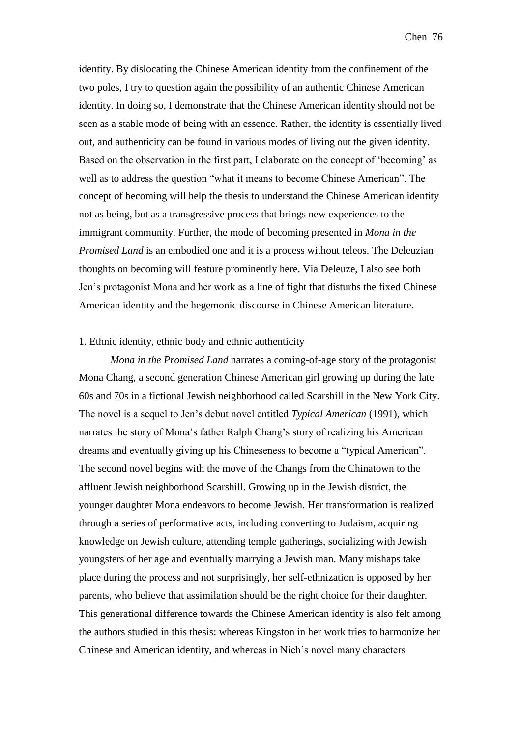identity. By dislocating the Chinese American identity from the confinement of the two poles, I try to question again the possibility of an authentic Chinese American identity. In doing so, I demonstrate that the Chinese American identity should not be seen as a stable mode of being with an essence. Rather, the identity is essentially lived out, and authenticity can be found in various modes of living out the given identity. Based on the observation in the first part, I elaborate on the concept of 'becoming' as well as to address the question "what it means to become Chinese American". The concept of becoming will help the thesis to understand the Chinese American identity not as being, but as a transgressive process that brings new experiences to the immigrant community. Further, the mode of becoming presented in *Mona in the Promised Land* is an embodied one and it is a process without teleos. The Deleuzian thoughts on becoming will feature prominently here. Via Deleuze, I also see both Jen's protagonist Mona and her work as a line of fight that disturbs the fixed Chinese American identity and the hegemonic discourse in Chinese American literature.

## 1. Ethnic identity, ethnic body and ethnic authenticity

*Mona in the Promised Land* narrates a coming-of-age story of the protagonist Mona Chang, a second generation Chinese American girl growing up during the late 60s and 70s in a fictional Jewish neighborhood called Scarshill in the New York City. The novel is a sequel to Jen's debut novel entitled *Typical American* (1991), which narrates the story of Mona's father Ralph Chang's story of realizing his American dreams and eventually giving up his Chineseness to become a "typical American". The second novel begins with the move of the Changs from the Chinatown to the affluent Jewish neighborhood Scarshill. Growing up in the Jewish district, the younger daughter Mona endeavors to become Jewish. Her transformation is realized through a series of performative acts, including converting to Judaism, acquiring knowledge on Jewish culture, attending temple gatherings, socializing with Jewish youngsters of her age and eventually marrying a Jewish man. Many mishaps take place during the process and not surprisingly, her self-ethnization is opposed by her parents, who believe that assimilation should be the right choice for their daughter. This generational difference towards the Chinese American identity is also felt among the authors studied in this thesis: whereas Kingston in her work tries to harmonize her Chinese and American identity, and whereas in Nieh's novel many characters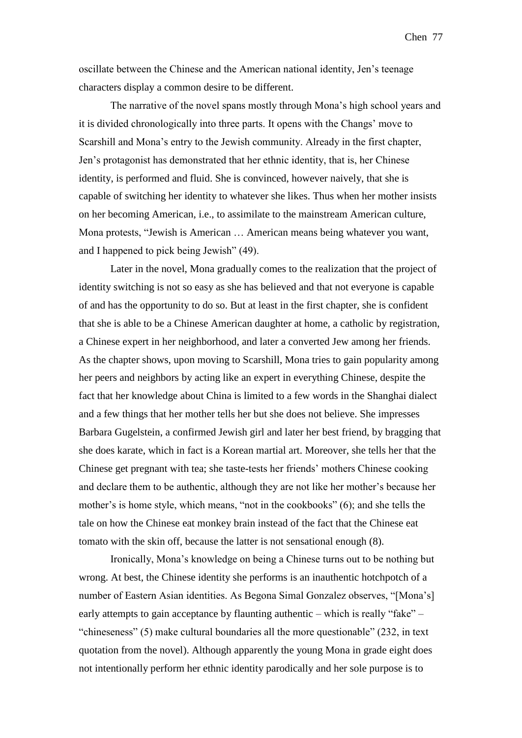oscillate between the Chinese and the American national identity, Jen's teenage characters display a common desire to be different.

The narrative of the novel spans mostly through Mona's high school years and it is divided chronologically into three parts. It opens with the Changs' move to Scarshill and Mona's entry to the Jewish community. Already in the first chapter, Jen's protagonist has demonstrated that her ethnic identity, that is, her Chinese identity, is performed and fluid. She is convinced, however naively, that she is capable of switching her identity to whatever she likes. Thus when her mother insists on her becoming American, i.e., to assimilate to the mainstream American culture, Mona protests, "Jewish is American … American means being whatever you want, and I happened to pick being Jewish" (49).

Later in the novel, Mona gradually comes to the realization that the project of identity switching is not so easy as she has believed and that not everyone is capable of and has the opportunity to do so. But at least in the first chapter, she is confident that she is able to be a Chinese American daughter at home, a catholic by registration, a Chinese expert in her neighborhood, and later a converted Jew among her friends. As the chapter shows, upon moving to Scarshill, Mona tries to gain popularity among her peers and neighbors by acting like an expert in everything Chinese, despite the fact that her knowledge about China is limited to a few words in the Shanghai dialect and a few things that her mother tells her but she does not believe. She impresses Barbara Gugelstein, a confirmed Jewish girl and later her best friend, by bragging that she does karate, which in fact is a Korean martial art. Moreover, she tells her that the Chinese get pregnant with tea; she taste-tests her friends' mothers Chinese cooking and declare them to be authentic, although they are not like her mother's because her mother's is home style, which means, "not in the cookbooks" (6); and she tells the tale on how the Chinese eat monkey brain instead of the fact that the Chinese eat tomato with the skin off, because the latter is not sensational enough (8).

Ironically, Mona's knowledge on being a Chinese turns out to be nothing but wrong. At best, the Chinese identity she performs is an inauthentic hotchpotch of a number of Eastern Asian identities. As Begona Simal Gonzalez observes, "[Mona's] early attempts to gain acceptance by flaunting authentic – which is really "fake" – "chineseness" (5) make cultural boundaries all the more questionable" (232, in text quotation from the novel). Although apparently the young Mona in grade eight does not intentionally perform her ethnic identity parodically and her sole purpose is to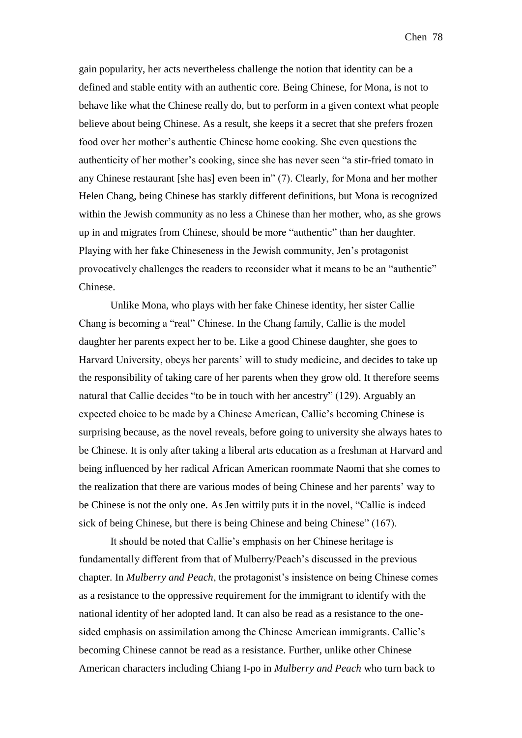gain popularity, her acts nevertheless challenge the notion that identity can be a defined and stable entity with an authentic core. Being Chinese, for Mona, is not to behave like what the Chinese really do, but to perform in a given context what people believe about being Chinese. As a result, she keeps it a secret that she prefers frozen food over her mother's authentic Chinese home cooking. She even questions the authenticity of her mother's cooking, since she has never seen "a stir-fried tomato in any Chinese restaurant [she has] even been in" (7). Clearly, for Mona and her mother Helen Chang, being Chinese has starkly different definitions, but Mona is recognized within the Jewish community as no less a Chinese than her mother, who, as she grows up in and migrates from Chinese, should be more "authentic" than her daughter. Playing with her fake Chineseness in the Jewish community, Jen's protagonist provocatively challenges the readers to reconsider what it means to be an "authentic" Chinese.

Unlike Mona, who plays with her fake Chinese identity, her sister Callie Chang is becoming a "real" Chinese. In the Chang family, Callie is the model daughter her parents expect her to be. Like a good Chinese daughter, she goes to Harvard University, obeys her parents' will to study medicine, and decides to take up the responsibility of taking care of her parents when they grow old. It therefore seems natural that Callie decides "to be in touch with her ancestry" (129). Arguably an expected choice to be made by a Chinese American, Callie's becoming Chinese is surprising because, as the novel reveals, before going to university she always hates to be Chinese. It is only after taking a liberal arts education as a freshman at Harvard and being influenced by her radical African American roommate Naomi that she comes to the realization that there are various modes of being Chinese and her parents' way to be Chinese is not the only one. As Jen wittily puts it in the novel, "Callie is indeed sick of being Chinese, but there is being Chinese and being Chinese" (167).

It should be noted that Callie's emphasis on her Chinese heritage is fundamentally different from that of Mulberry/Peach's discussed in the previous chapter. In *Mulberry and Peach*, the protagonist's insistence on being Chinese comes as a resistance to the oppressive requirement for the immigrant to identify with the national identity of her adopted land. It can also be read as a resistance to the onesided emphasis on assimilation among the Chinese American immigrants. Callie's becoming Chinese cannot be read as a resistance. Further, unlike other Chinese American characters including Chiang I-po in *Mulberry and Peach* who turn back to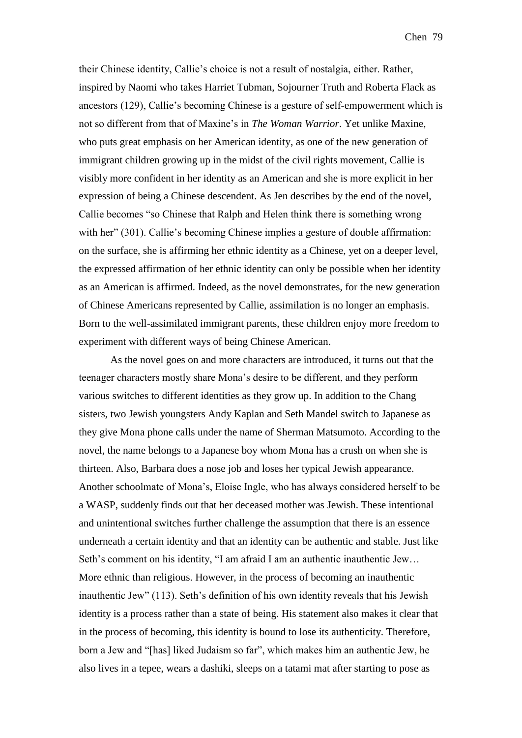their Chinese identity, Callie's choice is not a result of nostalgia, either. Rather, inspired by Naomi who takes Harriet Tubman, Sojourner Truth and Roberta Flack as ancestors (129), Callie's becoming Chinese is a gesture of self-empowerment which is not so different from that of Maxine's in *The Woman Warrior*. Yet unlike Maxine, who puts great emphasis on her American identity, as one of the new generation of immigrant children growing up in the midst of the civil rights movement, Callie is visibly more confident in her identity as an American and she is more explicit in her expression of being a Chinese descendent. As Jen describes by the end of the novel, Callie becomes "so Chinese that Ralph and Helen think there is something wrong with her" (301). Callie's becoming Chinese implies a gesture of double affirmation: on the surface, she is affirming her ethnic identity as a Chinese, yet on a deeper level, the expressed affirmation of her ethnic identity can only be possible when her identity as an American is affirmed. Indeed, as the novel demonstrates, for the new generation of Chinese Americans represented by Callie, assimilation is no longer an emphasis. Born to the well-assimilated immigrant parents, these children enjoy more freedom to experiment with different ways of being Chinese American.

As the novel goes on and more characters are introduced, it turns out that the teenager characters mostly share Mona's desire to be different, and they perform various switches to different identities as they grow up. In addition to the Chang sisters, two Jewish youngsters Andy Kaplan and Seth Mandel switch to Japanese as they give Mona phone calls under the name of Sherman Matsumoto. According to the novel, the name belongs to a Japanese boy whom Mona has a crush on when she is thirteen. Also, Barbara does a nose job and loses her typical Jewish appearance. Another schoolmate of Mona's, Eloise Ingle, who has always considered herself to be a WASP, suddenly finds out that her deceased mother was Jewish. These intentional and unintentional switches further challenge the assumption that there is an essence underneath a certain identity and that an identity can be authentic and stable. Just like Seth's comment on his identity, "I am afraid I am an authentic inauthentic Jew… More ethnic than religious. However, in the process of becoming an inauthentic inauthentic Jew" (113). Seth's definition of his own identity reveals that his Jewish identity is a process rather than a state of being. His statement also makes it clear that in the process of becoming, this identity is bound to lose its authenticity. Therefore, born a Jew and "[has] liked Judaism so far", which makes him an authentic Jew, he also lives in a tepee, wears a dashiki, sleeps on a tatami mat after starting to pose as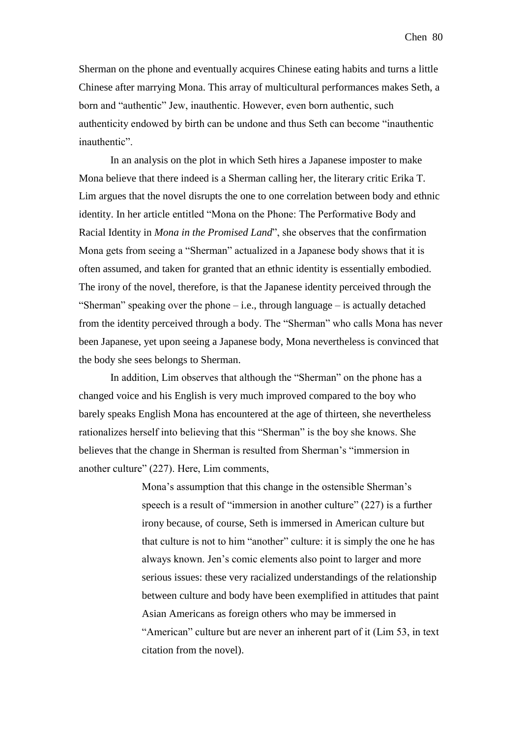Sherman on the phone and eventually acquires Chinese eating habits and turns a little Chinese after marrying Mona. This array of multicultural performances makes Seth, a born and "authentic" Jew, inauthentic. However, even born authentic, such authenticity endowed by birth can be undone and thus Seth can become "inauthentic inauthentic".

In an analysis on the plot in which Seth hires a Japanese imposter to make Mona believe that there indeed is a Sherman calling her, the literary critic Erika T. Lim argues that the novel disrupts the one to one correlation between body and ethnic identity. In her article entitled "Mona on the Phone: The Performative Body and Racial Identity in *Mona in the Promised Land*", she observes that the confirmation Mona gets from seeing a "Sherman" actualized in a Japanese body shows that it is often assumed, and taken for granted that an ethnic identity is essentially embodied. The irony of the novel, therefore, is that the Japanese identity perceived through the "Sherman" speaking over the phone  $-i.e.,$  through language  $-i$  is actually detached from the identity perceived through a body. The "Sherman" who calls Mona has never been Japanese, yet upon seeing a Japanese body, Mona nevertheless is convinced that the body she sees belongs to Sherman.

In addition, Lim observes that although the "Sherman" on the phone has a changed voice and his English is very much improved compared to the boy who barely speaks English Mona has encountered at the age of thirteen, she nevertheless rationalizes herself into believing that this "Sherman" is the boy she knows. She believes that the change in Sherman is resulted from Sherman's "immersion in another culture" (227). Here, Lim comments,

> Mona's assumption that this change in the ostensible Sherman's speech is a result of "immersion in another culture" (227) is a further irony because, of course, Seth is immersed in American culture but that culture is not to him "another" culture: it is simply the one he has always known. Jen's comic elements also point to larger and more serious issues: these very racialized understandings of the relationship between culture and body have been exemplified in attitudes that paint Asian Americans as foreign others who may be immersed in "American" culture but are never an inherent part of it (Lim 53, in text citation from the novel).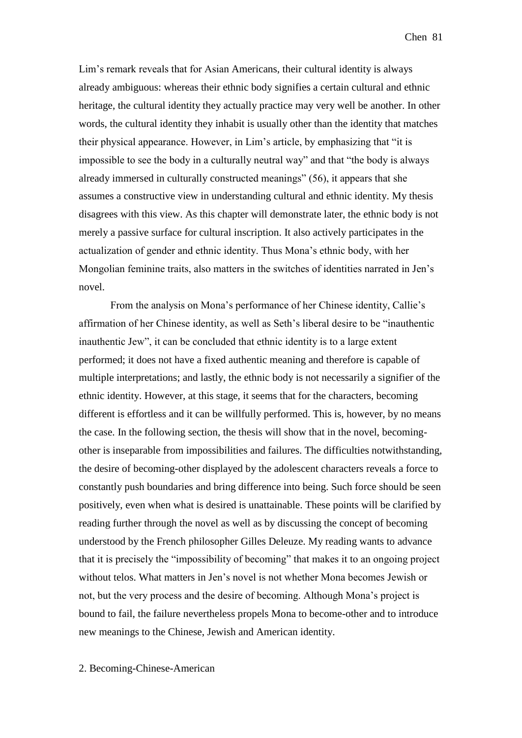Lim's remark reveals that for Asian Americans, their cultural identity is always already ambiguous: whereas their ethnic body signifies a certain cultural and ethnic heritage, the cultural identity they actually practice may very well be another. In other words, the cultural identity they inhabit is usually other than the identity that matches their physical appearance. However, in Lim's article, by emphasizing that "it is impossible to see the body in a culturally neutral way" and that "the body is always already immersed in culturally constructed meanings" (56), it appears that she assumes a constructive view in understanding cultural and ethnic identity. My thesis disagrees with this view. As this chapter will demonstrate later, the ethnic body is not merely a passive surface for cultural inscription. It also actively participates in the actualization of gender and ethnic identity. Thus Mona's ethnic body, with her Mongolian feminine traits, also matters in the switches of identities narrated in Jen's novel.

From the analysis on Mona's performance of her Chinese identity, Callie's affirmation of her Chinese identity, as well as Seth's liberal desire to be "inauthentic inauthentic Jew", it can be concluded that ethnic identity is to a large extent performed; it does not have a fixed authentic meaning and therefore is capable of multiple interpretations; and lastly, the ethnic body is not necessarily a signifier of the ethnic identity. However, at this stage, it seems that for the characters, becoming different is effortless and it can be willfully performed. This is, however, by no means the case. In the following section, the thesis will show that in the novel, becomingother is inseparable from impossibilities and failures. The difficulties notwithstanding, the desire of becoming-other displayed by the adolescent characters reveals a force to constantly push boundaries and bring difference into being. Such force should be seen positively, even when what is desired is unattainable. These points will be clarified by reading further through the novel as well as by discussing the concept of becoming understood by the French philosopher Gilles Deleuze. My reading wants to advance that it is precisely the "impossibility of becoming" that makes it to an ongoing project without telos. What matters in Jen's novel is not whether Mona becomes Jewish or not, but the very process and the desire of becoming. Although Mona's project is bound to fail, the failure nevertheless propels Mona to become-other and to introduce new meanings to the Chinese, Jewish and American identity.

## 2. Becoming-Chinese-American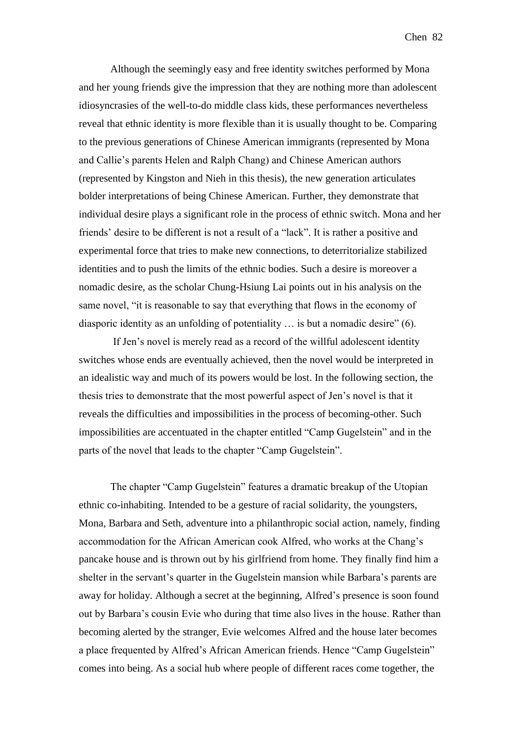Although the seemingly easy and free identity switches performed by Mona and her young friends give the impression that they are nothing more than adolescent idiosyncrasies of the well-to-do middle class kids, these performances nevertheless reveal that ethnic identity is more flexible than it is usually thought to be. Comparing to the previous generations of Chinese American immigrants (represented by Mona and Callie's parents Helen and Ralph Chang) and Chinese American authors (represented by Kingston and Nieh in this thesis), the new generation articulates bolder interpretations of being Chinese American. Further, they demonstrate that individual desire plays a significant role in the process of ethnic switch. Mona and her friends' desire to be different is not a result of a "lack". It is rather a positive and experimental force that tries to make new connections, to deterritorialize stabilized identities and to push the limits of the ethnic bodies. Such a desire is moreover a nomadic desire, as the scholar Chung-Hsiung Lai points out in his analysis on the same novel, "it is reasonable to say that everything that flows in the economy of diasporic identity as an unfolding of potentiality … is but a nomadic desire" (6).

If Jen's novel is merely read as a record of the willful adolescent identity switches whose ends are eventually achieved, then the novel would be interpreted in an idealistic way and much of its powers would be lost. In the following section, the thesis tries to demonstrate that the most powerful aspect of Jen's novel is that it reveals the difficulties and impossibilities in the process of becoming-other. Such impossibilities are accentuated in the chapter entitled "Camp Gugelstein" and in the parts of the novel that leads to the chapter "Camp Gugelstein".

The chapter "Camp Gugelstein" features a dramatic breakup of the Utopian ethnic co-inhabiting. Intended to be a gesture of racial solidarity, the youngsters, Mona, Barbara and Seth, adventure into a philanthropic social action, namely, finding accommodation for the African American cook Alfred, who works at the Chang's pancake house and is thrown out by his girlfriend from home. They finally find him a shelter in the servant's quarter in the Gugelstein mansion while Barbara's parents are away for holiday. Although a secret at the beginning, Alfred's presence is soon found out by Barbara's cousin Evie who during that time also lives in the house. Rather than becoming alerted by the stranger, Evie welcomes Alfred and the house later becomes a place frequented by Alfred's African American friends. Hence "Camp Gugelstein" comes into being. As a social hub where people of different races come together, the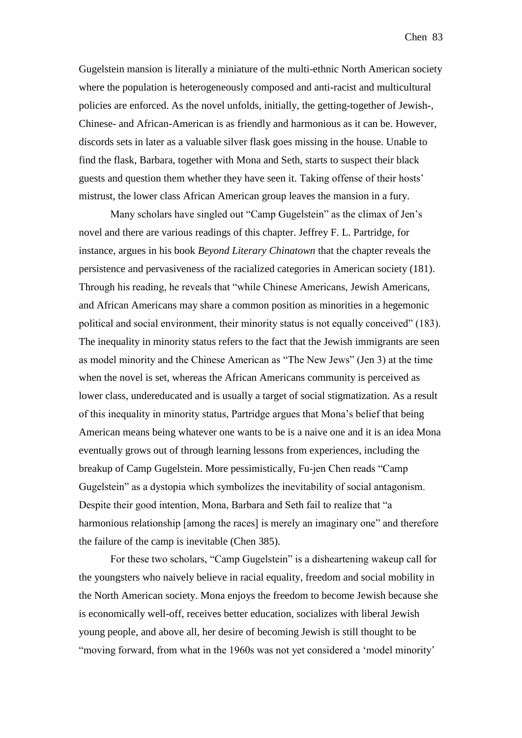Gugelstein mansion is literally a miniature of the multi-ethnic North American society where the population is heterogeneously composed and anti-racist and multicultural policies are enforced. As the novel unfolds, initially, the getting-together of Jewish-, Chinese- and African-American is as friendly and harmonious as it can be. However, discords sets in later as a valuable silver flask goes missing in the house. Unable to find the flask, Barbara, together with Mona and Seth, starts to suspect their black guests and question them whether they have seen it. Taking offense of their hosts' mistrust, the lower class African American group leaves the mansion in a fury.

Many scholars have singled out "Camp Gugelstein" as the climax of Jen's novel and there are various readings of this chapter. Jeffrey F. L. Partridge, for instance, argues in his book *Beyond Literary Chinatown* that the chapter reveals the persistence and pervasiveness of the racialized categories in American society (181). Through his reading, he reveals that "while Chinese Americans, Jewish Americans, and African Americans may share a common position as minorities in a hegemonic political and social environment, their minority status is not equally conceived" (183). The inequality in minority status refers to the fact that the Jewish immigrants are seen as model minority and the Chinese American as "The New Jews" (Jen 3) at the time when the novel is set, whereas the African Americans community is perceived as lower class, undereducated and is usually a target of social stigmatization. As a result of this inequality in minority status, Partridge argues that Mona's belief that being American means being whatever one wants to be is a naive one and it is an idea Mona eventually grows out of through learning lessons from experiences, including the breakup of Camp Gugelstein. More pessimistically, Fu-jen Chen reads "Camp Gugelstein" as a dystopia which symbolizes the inevitability of social antagonism. Despite their good intention, Mona, Barbara and Seth fail to realize that "a harmonious relationship [among the races] is merely an imaginary one" and therefore the failure of the camp is inevitable (Chen 385).

For these two scholars, "Camp Gugelstein" is a disheartening wakeup call for the youngsters who naively believe in racial equality, freedom and social mobility in the North American society. Mona enjoys the freedom to become Jewish because she is economically well-off, receives better education, socializes with liberal Jewish young people, and above all, her desire of becoming Jewish is still thought to be "moving forward, from what in the 1960s was not yet considered a 'model minority'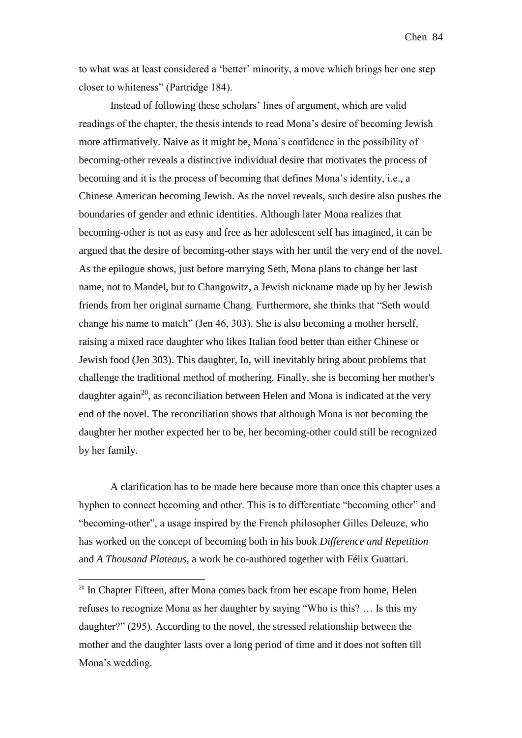to what was at least considered a 'better' minority, a move which brings her one step closer to whiteness" (Partridge 184).

Instead of following these scholars' lines of argument, which are valid readings of the chapter, the thesis intends to read Mona's desire of becoming Jewish more affirmatively. Naive as it might be, Mona's confidence in the possibility of becoming-other reveals a distinctive individual desire that motivates the process of becoming and it is the process of becoming that defines Mona's identity, i.e., a Chinese American becoming Jewish. As the novel reveals, such desire also pushes the boundaries of gender and ethnic identities. Although later Mona realizes that becoming-other is not as easy and free as her adolescent self has imagined, it can be argued that the desire of becoming-other stays with her until the very end of the novel. As the epilogue shows, just before marrying Seth, Mona plans to change her last name, not to Mandel, but to Changowitz, a Jewish nickname made up by her Jewish friends from her original surname Chang. Furthermore, she thinks that "Seth would change his name to match" (Jen 46, 303). She is also becoming a mother herself, raising a mixed race daughter who likes Italian food better than either Chinese or Jewish food (Jen 303). This daughter, Io, will inevitably bring about problems that challenge the traditional method of mothering. Finally, she is becoming her mother's daughter again<sup>20</sup>, as reconciliation between Helen and Mona is indicated at the very end of the novel. The reconciliation shows that although Mona is not becoming the daughter her mother expected her to be, her becoming-other could still be recognized by her family.

A clarification has to be made here because more than once this chapter uses a hyphen to connect becoming and other. This is to differentiate "becoming other" and "becoming-other", a usage inspired by the French philosopher Gilles Deleuze, who has worked on the concept of becoming both in his book *Difference and Repetition* and *A Thousand Plateaus*, a work he co-authored together with Félix Guattari.

1

<sup>&</sup>lt;sup>20</sup> In Chapter Fifteen, after Mona comes back from her escape from home, Helen refuses to recognize Mona as her daughter by saying "Who is this? … Is this my daughter?" (295). According to the novel, the stressed relationship between the mother and the daughter lasts over a long period of time and it does not soften till Mona's wedding.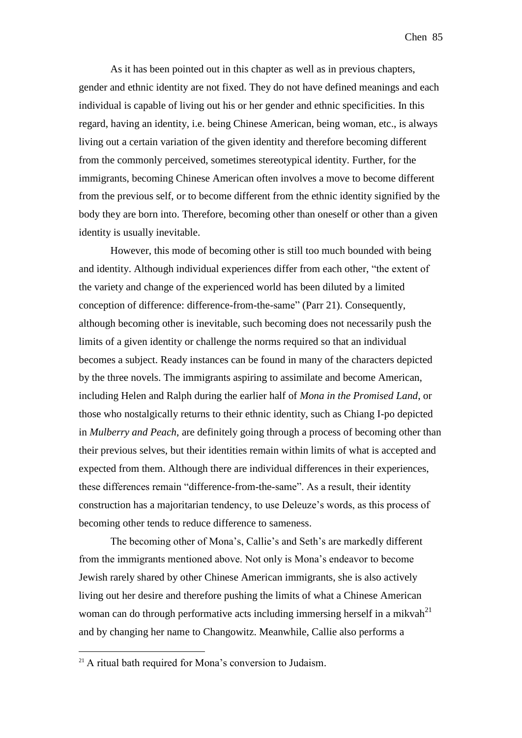As it has been pointed out in this chapter as well as in previous chapters, gender and ethnic identity are not fixed. They do not have defined meanings and each individual is capable of living out his or her gender and ethnic specificities. In this regard, having an identity, i.e. being Chinese American, being woman, etc., is always living out a certain variation of the given identity and therefore becoming different from the commonly perceived, sometimes stereotypical identity. Further, for the immigrants, becoming Chinese American often involves a move to become different from the previous self, or to become different from the ethnic identity signified by the body they are born into. Therefore, becoming other than oneself or other than a given identity is usually inevitable.

However, this mode of becoming other is still too much bounded with being and identity. Although individual experiences differ from each other, "the extent of the variety and change of the experienced world has been diluted by a limited conception of difference: difference-from-the-same" (Parr 21). Consequently, although becoming other is inevitable, such becoming does not necessarily push the limits of a given identity or challenge the norms required so that an individual becomes a subject. Ready instances can be found in many of the characters depicted by the three novels. The immigrants aspiring to assimilate and become American, including Helen and Ralph during the earlier half of *Mona in the Promised Land*, or those who nostalgically returns to their ethnic identity, such as Chiang I-po depicted in *Mulberry and Peach*, are definitely going through a process of becoming other than their previous selves, but their identities remain within limits of what is accepted and expected from them. Although there are individual differences in their experiences, these differences remain "difference-from-the-same". As a result, their identity construction has a majoritarian tendency, to use Deleuze's words, as this process of becoming other tends to reduce difference to sameness.

The becoming other of Mona's, Callie's and Seth's are markedly different from the immigrants mentioned above. Not only is Mona's endeavor to become Jewish rarely shared by other Chinese American immigrants, she is also actively living out her desire and therefore pushing the limits of what a Chinese American woman can do through performative acts including immersing herself in a mikvah $^{21}$ and by changing her name to Changowitz. Meanwhile, Callie also performs a

1

<sup>&</sup>lt;sup>21</sup> A ritual bath required for Mona's conversion to Judaism.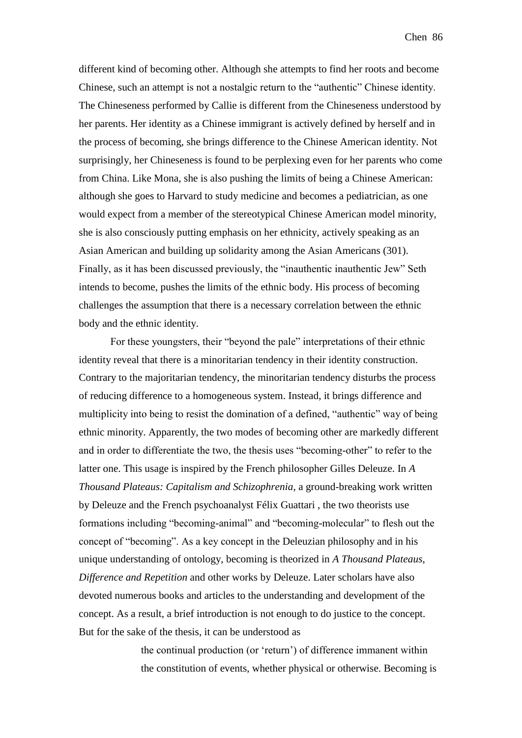different kind of becoming other. Although she attempts to find her roots and become Chinese, such an attempt is not a nostalgic return to the "authentic" Chinese identity. The Chineseness performed by Callie is different from the Chineseness understood by her parents. Her identity as a Chinese immigrant is actively defined by herself and in the process of becoming, she brings difference to the Chinese American identity. Not surprisingly, her Chineseness is found to be perplexing even for her parents who come from China. Like Mona, she is also pushing the limits of being a Chinese American: although she goes to Harvard to study medicine and becomes a pediatrician, as one would expect from a member of the stereotypical Chinese American model minority, she is also consciously putting emphasis on her ethnicity, actively speaking as an Asian American and building up solidarity among the Asian Americans (301). Finally, as it has been discussed previously, the "inauthentic inauthentic Jew" Seth intends to become, pushes the limits of the ethnic body. His process of becoming challenges the assumption that there is a necessary correlation between the ethnic body and the ethnic identity.

For these youngsters, their "beyond the pale" interpretations of their ethnic identity reveal that there is a minoritarian tendency in their identity construction. Contrary to the majoritarian tendency, the minoritarian tendency disturbs the process of reducing difference to a homogeneous system. Instead, it brings difference and multiplicity into being to resist the domination of a defined, "authentic" way of being ethnic minority. Apparently, the two modes of becoming other are markedly different and in order to differentiate the two, the thesis uses "becoming-other" to refer to the latter one. This usage is inspired by the French philosopher Gilles Deleuze. In *A Thousand Plateaus: Capitalism and Schizophrenia*, a ground-breaking work written by Deleuze and the French psychoanalyst Félix Guattari , the two theorists use formations including "becoming-animal" and "becoming-molecular" to flesh out the concept of "becoming". As a key concept in the Deleuzian philosophy and in his unique understanding of ontology, becoming is theorized in *A Thousand Plateaus*, *Difference and Repetition* and other works by Deleuze. Later scholars have also devoted numerous books and articles to the understanding and development of the concept. As a result, a brief introduction is not enough to do justice to the concept. But for the sake of the thesis, it can be understood as

> the continual production (or 'return') of difference immanent within the constitution of events, whether physical or otherwise. Becoming is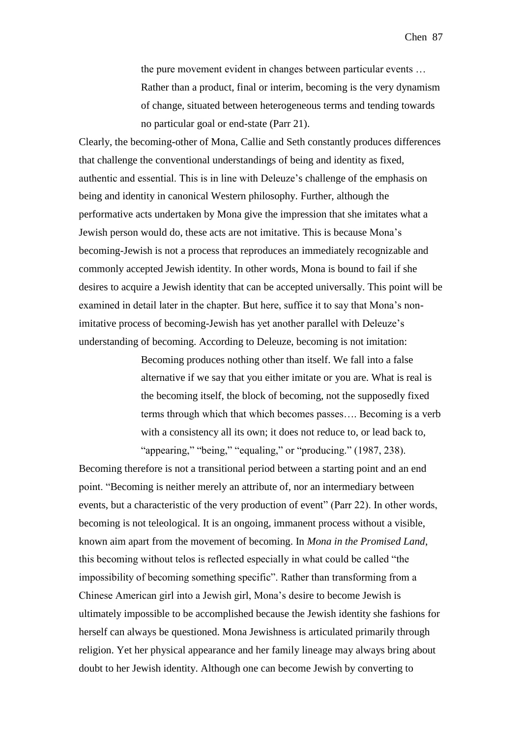the pure movement evident in changes between particular events … Rather than a product, final or interim, becoming is the very dynamism of change, situated between heterogeneous terms and tending towards no particular goal or end-state (Parr 21).

Clearly, the becoming-other of Mona, Callie and Seth constantly produces differences that challenge the conventional understandings of being and identity as fixed, authentic and essential. This is in line with Deleuze's challenge of the emphasis on being and identity in canonical Western philosophy. Further, although the performative acts undertaken by Mona give the impression that she imitates what a Jewish person would do, these acts are not imitative. This is because Mona's becoming-Jewish is not a process that reproduces an immediately recognizable and commonly accepted Jewish identity. In other words, Mona is bound to fail if she desires to acquire a Jewish identity that can be accepted universally. This point will be examined in detail later in the chapter. But here, suffice it to say that Mona's nonimitative process of becoming-Jewish has yet another parallel with Deleuze's understanding of becoming. According to Deleuze, becoming is not imitation:

> Becoming produces nothing other than itself. We fall into a false alternative if we say that you either imitate or you are. What is real is the becoming itself, the block of becoming, not the supposedly fixed terms through which that which becomes passes…. Becoming is a verb with a consistency all its own; it does not reduce to, or lead back to, "appearing," "being," "equaling," or "producing." (1987, 238).

Becoming therefore is not a transitional period between a starting point and an end point. "Becoming is neither merely an attribute of, nor an intermediary between events, but a characteristic of the very production of event" (Parr 22). In other words, becoming is not teleological. It is an ongoing, immanent process without a visible, known aim apart from the movement of becoming. In *Mona in the Promised Land*, this becoming without telos is reflected especially in what could be called "the impossibility of becoming something specific". Rather than transforming from a Chinese American girl into a Jewish girl, Mona's desire to become Jewish is ultimately impossible to be accomplished because the Jewish identity she fashions for herself can always be questioned. Mona Jewishness is articulated primarily through religion. Yet her physical appearance and her family lineage may always bring about doubt to her Jewish identity. Although one can become Jewish by converting to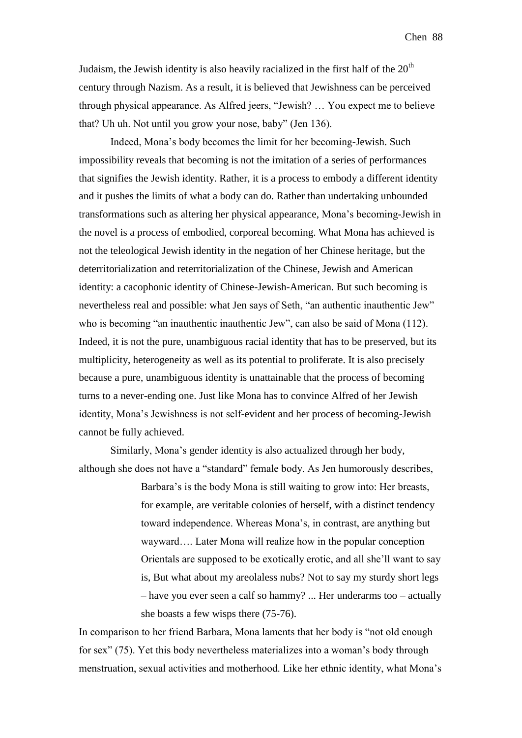Judaism, the Jewish identity is also heavily racialized in the first half of the  $20<sup>th</sup>$ century through Nazism. As a result, it is believed that Jewishness can be perceived through physical appearance. As Alfred jeers, "Jewish? … You expect me to believe that? Uh uh. Not until you grow your nose, baby" (Jen 136).

Indeed, Mona's body becomes the limit for her becoming-Jewish. Such impossibility reveals that becoming is not the imitation of a series of performances that signifies the Jewish identity. Rather, it is a process to embody a different identity and it pushes the limits of what a body can do. Rather than undertaking unbounded transformations such as altering her physical appearance, Mona's becoming-Jewish in the novel is a process of embodied, corporeal becoming. What Mona has achieved is not the teleological Jewish identity in the negation of her Chinese heritage, but the deterritorialization and reterritorialization of the Chinese, Jewish and American identity: a cacophonic identity of Chinese-Jewish-American. But such becoming is nevertheless real and possible: what Jen says of Seth, "an authentic inauthentic Jew" who is becoming "an inauthentic inauthentic Jew", can also be said of Mona (112). Indeed, it is not the pure, unambiguous racial identity that has to be preserved, but its multiplicity, heterogeneity as well as its potential to proliferate. It is also precisely because a pure, unambiguous identity is unattainable that the process of becoming turns to a never-ending one. Just like Mona has to convince Alfred of her Jewish identity, Mona's Jewishness is not self-evident and her process of becoming-Jewish cannot be fully achieved.

Similarly, Mona's gender identity is also actualized through her body, although she does not have a "standard" female body. As Jen humorously describes,

> Barbara's is the body Mona is still waiting to grow into: Her breasts, for example, are veritable colonies of herself, with a distinct tendency toward independence. Whereas Mona's, in contrast, are anything but wayward…. Later Mona will realize how in the popular conception Orientals are supposed to be exotically erotic, and all she'll want to say is, But what about my areolaless nubs? Not to say my sturdy short legs – have you ever seen a calf so hammy? ... Her underarms too – actually she boasts a few wisps there (75-76).

In comparison to her friend Barbara, Mona laments that her body is "not old enough for sex" (75). Yet this body nevertheless materializes into a woman's body through menstruation, sexual activities and motherhood. Like her ethnic identity, what Mona's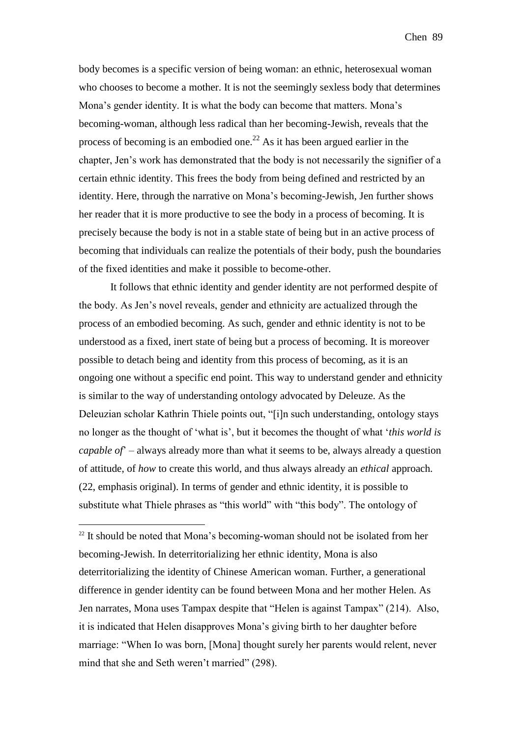body becomes is a specific version of being woman: an ethnic, heterosexual woman who chooses to become a mother. It is not the seemingly sexless body that determines Mona's gender identity. It is what the body can become that matters. Mona's becoming-woman, although less radical than her becoming-Jewish, reveals that the process of becoming is an embodied one.<sup>22</sup> As it has been argued earlier in the chapter, Jen's work has demonstrated that the body is not necessarily the signifier of a certain ethnic identity. This frees the body from being defined and restricted by an identity. Here, through the narrative on Mona's becoming-Jewish, Jen further shows her reader that it is more productive to see the body in a process of becoming. It is precisely because the body is not in a stable state of being but in an active process of becoming that individuals can realize the potentials of their body, push the boundaries of the fixed identities and make it possible to become-other.

It follows that ethnic identity and gender identity are not performed despite of the body. As Jen's novel reveals, gender and ethnicity are actualized through the process of an embodied becoming. As such, gender and ethnic identity is not to be understood as a fixed, inert state of being but a process of becoming. It is moreover possible to detach being and identity from this process of becoming, as it is an ongoing one without a specific end point. This way to understand gender and ethnicity is similar to the way of understanding ontology advocated by Deleuze. As the Deleuzian scholar Kathrin Thiele points out, "[i]n such understanding, ontology stays no longer as the thought of 'what is', but it becomes the thought of what '*this world is capable of*' – always already more than what it seems to be, always already a question of attitude, of *how* to create this world, and thus always already an *ethical* approach. (22, emphasis original). In terms of gender and ethnic identity, it is possible to substitute what Thiele phrases as "this world" with "this body". The ontology of

<u>.</u>

 $22$  It should be noted that Mona's becoming-woman should not be isolated from her becoming-Jewish. In deterritorializing her ethnic identity, Mona is also deterritorializing the identity of Chinese American woman. Further, a generational difference in gender identity can be found between Mona and her mother Helen. As Jen narrates, Mona uses Tampax despite that "Helen is against Tampax" (214). Also, it is indicated that Helen disapproves Mona's giving birth to her daughter before marriage: "When Io was born, [Mona] thought surely her parents would relent, never mind that she and Seth weren't married" (298).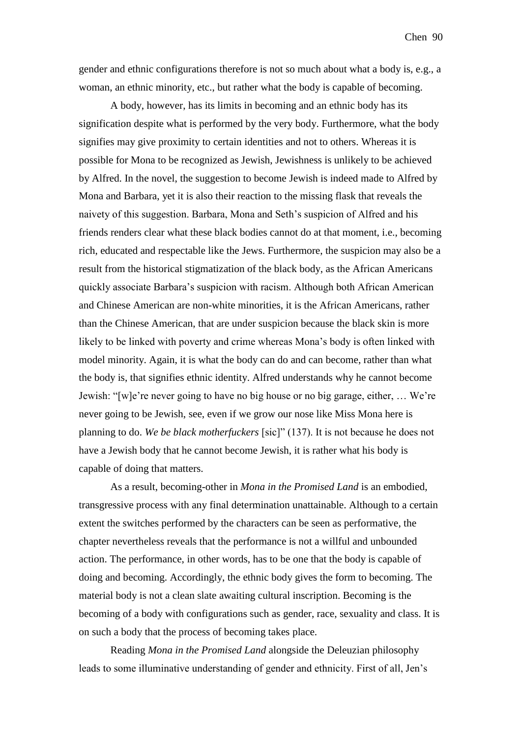gender and ethnic configurations therefore is not so much about what a body is, e.g., a woman, an ethnic minority, etc., but rather what the body is capable of becoming.

A body, however, has its limits in becoming and an ethnic body has its signification despite what is performed by the very body. Furthermore, what the body signifies may give proximity to certain identities and not to others. Whereas it is possible for Mona to be recognized as Jewish, Jewishness is unlikely to be achieved by Alfred. In the novel, the suggestion to become Jewish is indeed made to Alfred by Mona and Barbara, yet it is also their reaction to the missing flask that reveals the naivety of this suggestion. Barbara, Mona and Seth's suspicion of Alfred and his friends renders clear what these black bodies cannot do at that moment, i.e., becoming rich, educated and respectable like the Jews. Furthermore, the suspicion may also be a result from the historical stigmatization of the black body, as the African Americans quickly associate Barbara's suspicion with racism. Although both African American and Chinese American are non-white minorities, it is the African Americans, rather than the Chinese American, that are under suspicion because the black skin is more likely to be linked with poverty and crime whereas Mona's body is often linked with model minority. Again, it is what the body can do and can become, rather than what the body is, that signifies ethnic identity. Alfred understands why he cannot become Jewish: "[w]e're never going to have no big house or no big garage, either, … We're never going to be Jewish, see, even if we grow our nose like Miss Mona here is planning to do. *We be black motherfuckers* [sic]" (137). It is not because he does not have a Jewish body that he cannot become Jewish, it is rather what his body is capable of doing that matters.

As a result, becoming-other in *Mona in the Promised Land* is an embodied, transgressive process with any final determination unattainable. Although to a certain extent the switches performed by the characters can be seen as performative, the chapter nevertheless reveals that the performance is not a willful and unbounded action. The performance, in other words, has to be one that the body is capable of doing and becoming. Accordingly, the ethnic body gives the form to becoming. The material body is not a clean slate awaiting cultural inscription. Becoming is the becoming of a body with configurations such as gender, race, sexuality and class. It is on such a body that the process of becoming takes place.

Reading *Mona in the Promised Land* alongside the Deleuzian philosophy leads to some illuminative understanding of gender and ethnicity. First of all, Jen's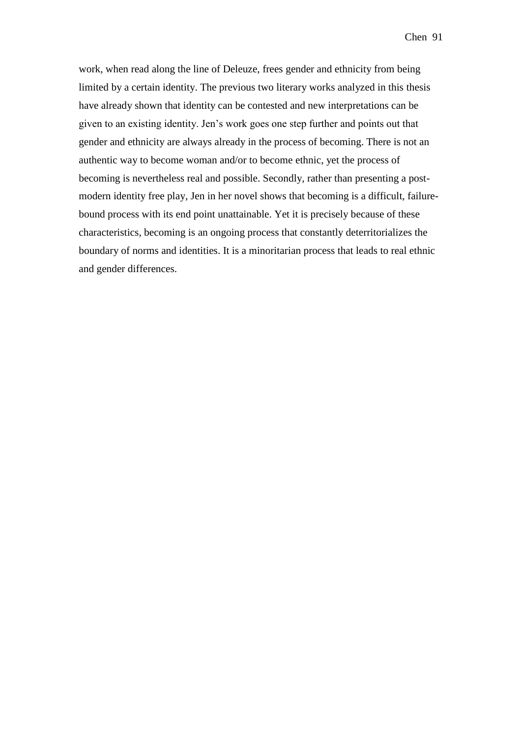work, when read along the line of Deleuze, frees gender and ethnicity from being limited by a certain identity. The previous two literary works analyzed in this thesis have already shown that identity can be contested and new interpretations can be given to an existing identity. Jen's work goes one step further and points out that gender and ethnicity are always already in the process of becoming. There is not an authentic way to become woman and/or to become ethnic, yet the process of becoming is nevertheless real and possible. Secondly, rather than presenting a postmodern identity free play, Jen in her novel shows that becoming is a difficult, failurebound process with its end point unattainable. Yet it is precisely because of these characteristics, becoming is an ongoing process that constantly deterritorializes the boundary of norms and identities. It is a minoritarian process that leads to real ethnic and gender differences.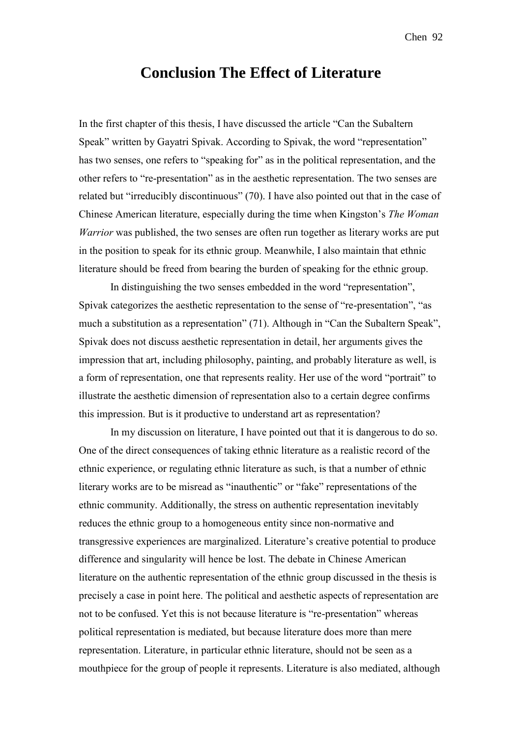## **Conclusion The Effect of Literature**

In the first chapter of this thesis, I have discussed the article "Can the Subaltern Speak" written by Gayatri Spivak. According to Spivak, the word "representation" has two senses, one refers to "speaking for" as in the political representation, and the other refers to "re-presentation" as in the aesthetic representation. The two senses are related but "irreducibly discontinuous" (70). I have also pointed out that in the case of Chinese American literature, especially during the time when Kingston's *The Woman Warrior* was published, the two senses are often run together as literary works are put in the position to speak for its ethnic group. Meanwhile, I also maintain that ethnic literature should be freed from bearing the burden of speaking for the ethnic group.

In distinguishing the two senses embedded in the word "representation", Spivak categorizes the aesthetic representation to the sense of "re-presentation", "as much a substitution as a representation" (71). Although in "Can the Subaltern Speak", Spivak does not discuss aesthetic representation in detail, her arguments gives the impression that art, including philosophy, painting, and probably literature as well, is a form of representation, one that represents reality. Her use of the word "portrait" to illustrate the aesthetic dimension of representation also to a certain degree confirms this impression. But is it productive to understand art as representation?

In my discussion on literature, I have pointed out that it is dangerous to do so. One of the direct consequences of taking ethnic literature as a realistic record of the ethnic experience, or regulating ethnic literature as such, is that a number of ethnic literary works are to be misread as "inauthentic" or "fake" representations of the ethnic community. Additionally, the stress on authentic representation inevitably reduces the ethnic group to a homogeneous entity since non-normative and transgressive experiences are marginalized. Literature's creative potential to produce difference and singularity will hence be lost. The debate in Chinese American literature on the authentic representation of the ethnic group discussed in the thesis is precisely a case in point here. The political and aesthetic aspects of representation are not to be confused. Yet this is not because literature is "re-presentation" whereas political representation is mediated, but because literature does more than mere representation. Literature, in particular ethnic literature, should not be seen as a mouthpiece for the group of people it represents. Literature is also mediated, although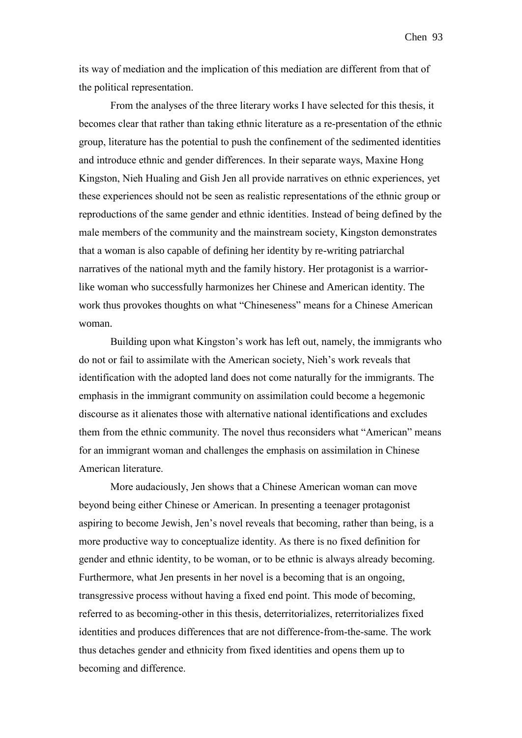its way of mediation and the implication of this mediation are different from that of the political representation.

From the analyses of the three literary works I have selected for this thesis, it becomes clear that rather than taking ethnic literature as a re-presentation of the ethnic group, literature has the potential to push the confinement of the sedimented identities and introduce ethnic and gender differences. In their separate ways, Maxine Hong Kingston, Nieh Hualing and Gish Jen all provide narratives on ethnic experiences, yet these experiences should not be seen as realistic representations of the ethnic group or reproductions of the same gender and ethnic identities. Instead of being defined by the male members of the community and the mainstream society, Kingston demonstrates that a woman is also capable of defining her identity by re-writing patriarchal narratives of the national myth and the family history. Her protagonist is a warriorlike woman who successfully harmonizes her Chinese and American identity. The work thus provokes thoughts on what "Chineseness" means for a Chinese American woman.

Building upon what Kingston's work has left out, namely, the immigrants who do not or fail to assimilate with the American society, Nieh's work reveals that identification with the adopted land does not come naturally for the immigrants. The emphasis in the immigrant community on assimilation could become a hegemonic discourse as it alienates those with alternative national identifications and excludes them from the ethnic community. The novel thus reconsiders what "American" means for an immigrant woman and challenges the emphasis on assimilation in Chinese American literature.

More audaciously, Jen shows that a Chinese American woman can move beyond being either Chinese or American. In presenting a teenager protagonist aspiring to become Jewish, Jen's novel reveals that becoming, rather than being, is a more productive way to conceptualize identity. As there is no fixed definition for gender and ethnic identity, to be woman, or to be ethnic is always already becoming. Furthermore, what Jen presents in her novel is a becoming that is an ongoing, transgressive process without having a fixed end point. This mode of becoming, referred to as becoming-other in this thesis, deterritorializes, reterritorializes fixed identities and produces differences that are not difference-from-the-same. The work thus detaches gender and ethnicity from fixed identities and opens them up to becoming and difference.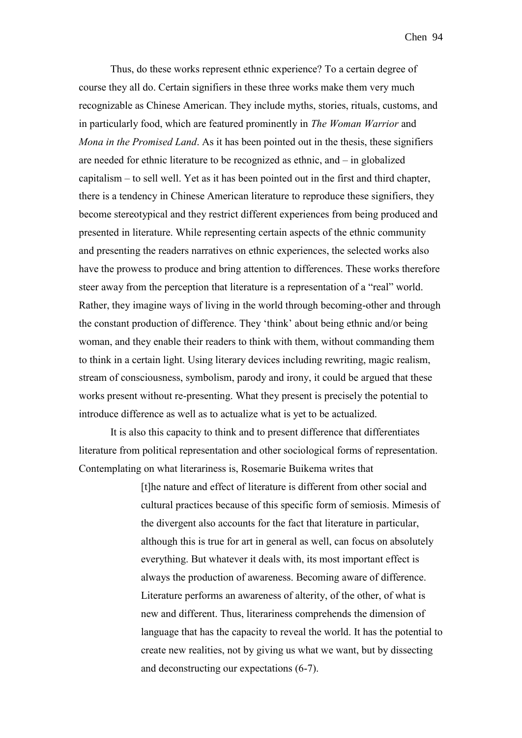Thus, do these works represent ethnic experience? To a certain degree of course they all do. Certain signifiers in these three works make them very much recognizable as Chinese American. They include myths, stories, rituals, customs, and in particularly food, which are featured prominently in *The Woman Warrior* and *Mona in the Promised Land*. As it has been pointed out in the thesis, these signifiers are needed for ethnic literature to be recognized as ethnic, and – in globalized capitalism – to sell well. Yet as it has been pointed out in the first and third chapter, there is a tendency in Chinese American literature to reproduce these signifiers, they become stereotypical and they restrict different experiences from being produced and presented in literature. While representing certain aspects of the ethnic community and presenting the readers narratives on ethnic experiences, the selected works also have the prowess to produce and bring attention to differences. These works therefore steer away from the perception that literature is a representation of a "real" world. Rather, they imagine ways of living in the world through becoming-other and through the constant production of difference. They 'think' about being ethnic and/or being woman, and they enable their readers to think with them, without commanding them to think in a certain light. Using literary devices including rewriting, magic realism, stream of consciousness, symbolism, parody and irony, it could be argued that these works present without re-presenting. What they present is precisely the potential to introduce difference as well as to actualize what is yet to be actualized.

It is also this capacity to think and to present difference that differentiates literature from political representation and other sociological forms of representation. Contemplating on what literariness is, Rosemarie Buikema writes that

> [t]he nature and effect of literature is different from other social and cultural practices because of this specific form of semiosis. Mimesis of the divergent also accounts for the fact that literature in particular, although this is true for art in general as well, can focus on absolutely everything. But whatever it deals with, its most important effect is always the production of awareness. Becoming aware of difference. Literature performs an awareness of alterity, of the other, of what is new and different. Thus, literariness comprehends the dimension of language that has the capacity to reveal the world. It has the potential to create new realities, not by giving us what we want, but by dissecting and deconstructing our expectations (6-7).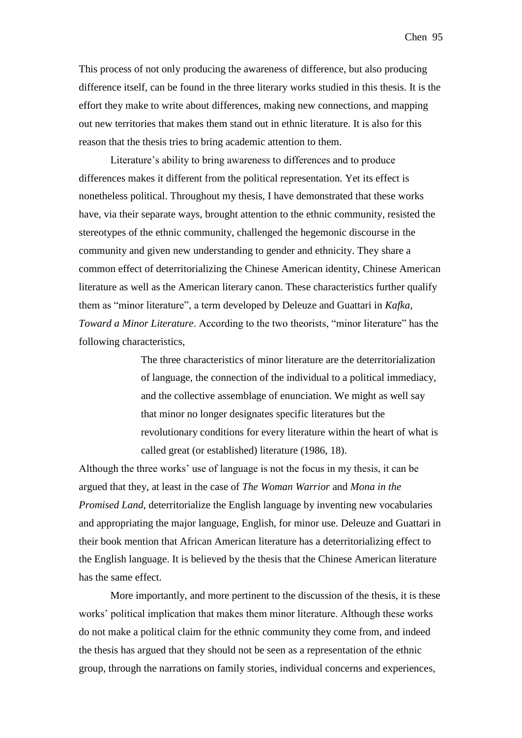This process of not only producing the awareness of difference, but also producing difference itself, can be found in the three literary works studied in this thesis. It is the effort they make to write about differences, making new connections, and mapping out new territories that makes them stand out in ethnic literature. It is also for this reason that the thesis tries to bring academic attention to them.

Literature's ability to bring awareness to differences and to produce differences makes it different from the political representation. Yet its effect is nonetheless political. Throughout my thesis, I have demonstrated that these works have, via their separate ways, brought attention to the ethnic community, resisted the stereotypes of the ethnic community, challenged the hegemonic discourse in the community and given new understanding to gender and ethnicity. They share a common effect of deterritorializing the Chinese American identity, Chinese American literature as well as the American literary canon. These characteristics further qualify them as "minor literature", a term developed by Deleuze and Guattari in *Kafka, Toward a Minor Literature*. According to the two theorists, "minor literature" has the following characteristics,

> The three characteristics of minor literature are the deterritorialization of language, the connection of the individual to a political immediacy, and the collective assemblage of enunciation. We might as well say that minor no longer designates specific literatures but the revolutionary conditions for every literature within the heart of what is called great (or established) literature (1986, 18).

Although the three works' use of language is not the focus in my thesis, it can be argued that they, at least in the case of *The Woman Warrior* and *Mona in the Promised Land*, deterritorialize the English language by inventing new vocabularies and appropriating the major language, English, for minor use. Deleuze and Guattari in their book mention that African American literature has a deterritorializing effect to the English language. It is believed by the thesis that the Chinese American literature has the same effect.

More importantly, and more pertinent to the discussion of the thesis, it is these works' political implication that makes them minor literature. Although these works do not make a political claim for the ethnic community they come from, and indeed the thesis has argued that they should not be seen as a representation of the ethnic group, through the narrations on family stories, individual concerns and experiences,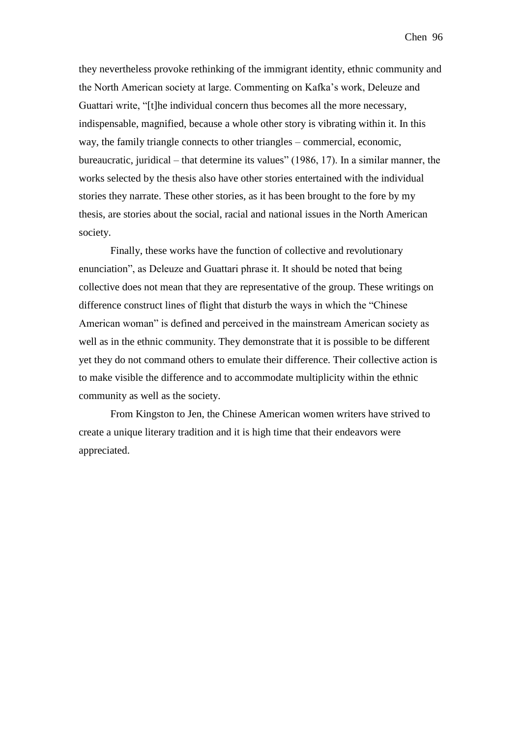they nevertheless provoke rethinking of the immigrant identity, ethnic community and the North American society at large. Commenting on Kafka's work, Deleuze and Guattari write, "[t]he individual concern thus becomes all the more necessary, indispensable, magnified, because a whole other story is vibrating within it. In this way, the family triangle connects to other triangles – commercial, economic, bureaucratic, juridical – that determine its values" (1986, 17). In a similar manner, the works selected by the thesis also have other stories entertained with the individual stories they narrate. These other stories, as it has been brought to the fore by my thesis, are stories about the social, racial and national issues in the North American society.

Finally, these works have the function of collective and revolutionary enunciation", as Deleuze and Guattari phrase it. It should be noted that being collective does not mean that they are representative of the group. These writings on difference construct lines of flight that disturb the ways in which the "Chinese American woman" is defined and perceived in the mainstream American society as well as in the ethnic community. They demonstrate that it is possible to be different yet they do not command others to emulate their difference. Their collective action is to make visible the difference and to accommodate multiplicity within the ethnic community as well as the society.

From Kingston to Jen, the Chinese American women writers have strived to create a unique literary tradition and it is high time that their endeavors were appreciated.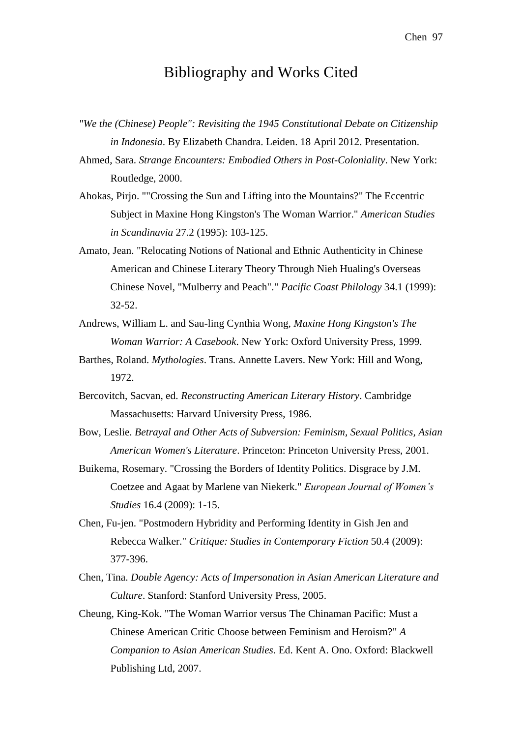## Bibliography and Works Cited

- *"We the (Chinese) People": Revisiting the 1945 Constitutional Debate on Citizenship in Indonesia*. By Elizabeth Chandra. Leiden. 18 April 2012. Presentation.
- Ahmed, Sara. *Strange Encounters: Embodied Others in Post-Coloniality*. New York: Routledge, 2000.
- Ahokas, Pirjo. ""Crossing the Sun and Lifting into the Mountains?" The Eccentric Subject in Maxine Hong Kingston's The Woman Warrior." *American Studies in Scandinavia* 27.2 (1995): 103-125.
- Amato, Jean. "Relocating Notions of National and Ethnic Authenticity in Chinese American and Chinese Literary Theory Through Nieh Hualing's Overseas Chinese Novel, "Mulberry and Peach"." *Pacific Coast Philology* 34.1 (1999): 32-52.
- Andrews, William L. and Sau-ling Cynthia Wong, *Maxine Hong Kingston's The Woman Warrior: A Casebook*. New York: Oxford University Press, 1999.
- Barthes, Roland. *Mythologies*. Trans. Annette Lavers. New York: Hill and Wong, 1972.
- Bercovitch, Sacvan, ed. *Reconstructing American Literary History*. Cambridge Massachusetts: Harvard University Press, 1986.
- Bow, Leslie. *Betrayal and Other Acts of Subversion: Feminism, Sexual Politics, Asian American Women's Literature*. Princeton: Princeton University Press, 2001.
- Buikema, Rosemary. "Crossing the Borders of Identity Politics. Disgrace by J.M. Coetzee and Agaat by Marlene van Niekerk." *European Journal of Women's Studies* 16.4 (2009): 1-15.
- Chen, Fu-jen. "Postmodern Hybridity and Performing Identity in Gish Jen and Rebecca Walker." *Critique: Studies in Contemporary Fiction* 50.4 (2009): 377-396.
- Chen, Tina. *Double Agency: Acts of Impersonation in Asian American Literature and Culture*. Stanford: Stanford University Press, 2005.
- Cheung, King-Kok. "The Woman Warrior versus The Chinaman Pacific: Must a Chinese American Critic Choose between Feminism and Heroism?" *A Companion to Asian American Studies*. Ed. Kent A. Ono. Oxford: Blackwell Publishing Ltd, 2007.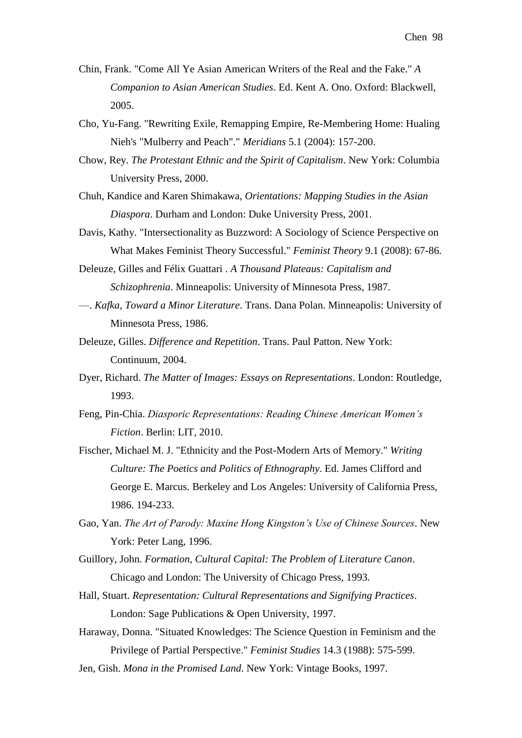- Chin, Frank. "Come All Ye Asian American Writers of the Real and the Fake." *A Companion to Asian American Studies*. Ed. Kent A. Ono. Oxford: Blackwell, 2005.
- Cho, Yu-Fang. "Rewriting Exile, Remapping Empire, Re-Membering Home: Hualing Nieh's "Mulberry and Peach"." *Meridians* 5.1 (2004): 157-200.
- Chow, Rey. *The Protestant Ethnic and the Spirit of Capitalism*. New York: Columbia University Press, 2000.
- Chuh, Kandice and Karen Shimakawa, *Orientations: Mapping Studies in the Asian Diaspora*. Durham and London: Duke University Press, 2001.
- Davis, Kathy. "Intersectionality as Buzzword: A Sociology of Science Perspective on What Makes Feminist Theory Successful." *Feminist Theory* 9.1 (2008): 67-86.
- Deleuze, Gilles and Félix Guattari . *A Thousand Plateaus: Capitalism and Schizophrenia*. Minneapolis: University of Minnesota Press, 1987.
- —. *Kafka, Toward a Minor Literature*. Trans. Dana Polan. Minneapolis: University of Minnesota Press, 1986.
- Deleuze, Gilles. *Difference and Repetition*. Trans. Paul Patton. New York: Continuum, 2004.
- Dyer, Richard. *The Matter of Images: Essays on Representations*. London: Routledge, 1993.
- Feng, Pin-Chia. *Diasporic Representations: Reading Chinese American Women's Fiction*. Berlin: LIT, 2010.
- Fischer, Michael M. J. "Ethnicity and the Post-Modern Arts of Memory." *Writing Culture: The Poetics and Politics of Ethnography*. Ed. James Clifford and George E. Marcus. Berkeley and Los Angeles: University of California Press, 1986. 194-233.
- Gao, Yan. *The Art of Parody: Maxine Hong Kingston's Use of Chinese Sources*. New York: Peter Lang, 1996.
- Guillory, John. *Formation, Cultural Capital: The Problem of Literature Canon*. Chicago and London: The University of Chicago Press, 1993.
- Hall, Stuart. *Representation: Cultural Representations and Signifying Practices*. London: Sage Publications & Open University, 1997.
- Haraway, Donna. "Situated Knowledges: The Science Question in Feminism and the Privilege of Partial Perspective." *Feminist Studies* 14.3 (1988): 575-599.
- Jen, Gish. *Mona in the Promised Land*. New York: Vintage Books, 1997.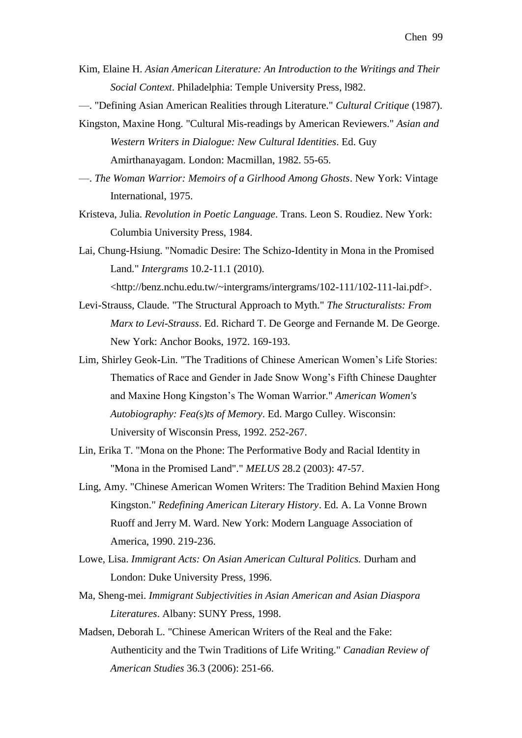- Kim, Elaine H. *Asian American Literature: An Introduction to the Writings and Their Social Context*. Philadelphia: Temple University Press, l982.
- —. "Defining Asian American Realities through Literature." *Cultural Critique* (1987).
- Kingston, Maxine Hong. "Cultural Mis-readings by American Reviewers." *Asian and Western Writers in Dialogue: New Cultural Identities*. Ed. Guy Amirthanayagam. London: Macmillan, 1982. 55-65.
- —. *The Woman Warrior: Memoirs of a Girlhood Among Ghosts*. New York: Vintage International, 1975.
- Kristeva, Julia. *Revolution in Poetic Language*. Trans. Leon S. Roudiez. New York: Columbia University Press, 1984.
- Lai, Chung-Hsiung. "Nomadic Desire: The Schizo-Identity in Mona in the Promised Land." *Intergrams* 10.2-11.1 (2010).

<http://benz.nchu.edu.tw/~intergrams/intergrams/102-111/102-111-lai.pdf>.

- Levi-Strauss, Claude. "The Structural Approach to Myth." *The Structuralists: From Marx to Levi-Strauss*. Ed. Richard T. De George and Fernande M. De George. New York: Anchor Books, 1972. 169-193.
- Lim, Shirley Geok-Lin. "The Traditions of Chinese American Women's Life Stories: Thematics of Race and Gender in Jade Snow Wong's Fifth Chinese Daughter and Maxine Hong Kingston's The Woman Warrior." *American Women's Autobiography: Fea(s)ts of Memory*. Ed. Margo Culley. Wisconsin: University of Wisconsin Press, 1992. 252-267.
- Lin, Erika T. "Mona on the Phone: The Performative Body and Racial Identity in "Mona in the Promised Land"." *MELUS* 28.2 (2003): 47-57.
- Ling, Amy. "Chinese American Women Writers: The Tradition Behind Maxien Hong Kingston." *Redefining American Literary History*. Ed. A. La Vonne Brown Ruoff and Jerry M. Ward. New York: Modern Language Association of America, 1990. 219-236.
- Lowe, Lisa. *Immigrant Acts: On Asian American Cultural Politics.* Durham and London: Duke University Press, 1996.
- Ma, Sheng-mei. *Immigrant Subjectivities in Asian American and Asian Diaspora Literatures*. Albany: SUNY Press, 1998.
- Madsen, Deborah L. "Chinese American Writers of the Real and the Fake: Authenticity and the Twin Traditions of Life Writing." *Canadian Review of American Studies* 36.3 (2006): 251-66.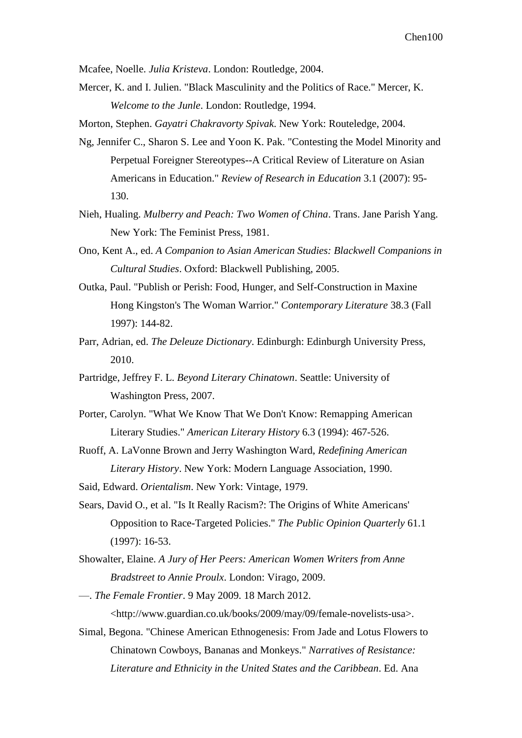Mcafee, Noelle. *Julia Kristeva*. London: Routledge, 2004.

Mercer, K. and I. Julien. "Black Masculinity and the Politics of Race." Mercer, K. *Welcome to the Junle*. London: Routledge, 1994.

Morton, Stephen. *Gayatri Chakravorty Spivak*. New York: Routeledge, 2004.

- Ng, Jennifer C., Sharon S. Lee and Yoon K. Pak. "Contesting the Model Minority and Perpetual Foreigner Stereotypes--A Critical Review of Literature on Asian Americans in Education." *Review of Research in Education* 3.1 (2007): 95- 130.
- Nieh, Hualing. *Mulberry and Peach: Two Women of China*. Trans. Jane Parish Yang. New York: The Feminist Press, 1981.
- Ono, Kent A., ed. *A Companion to Asian American Studies: Blackwell Companions in Cultural Studies*. Oxford: Blackwell Publishing, 2005.
- Outka, Paul. "Publish or Perish: Food, Hunger, and Self-Construction in Maxine Hong Kingston's The Woman Warrior." *Contemporary Literature* 38.3 (Fall 1997): 144-82.
- Parr, Adrian, ed. *The Deleuze Dictionary*. Edinburgh: Edinburgh University Press, 2010.
- Partridge, Jeffrey F. L. *Beyond Literary Chinatown*. Seattle: University of Washington Press, 2007.
- Porter, Carolyn. "What We Know That We Don't Know: Remapping American Literary Studies." *American Literary History* 6.3 (1994): 467-526.
- Ruoff, A. LaVonne Brown and Jerry Washington Ward, *Redefining American Literary History*. New York: Modern Language Association, 1990.

Said, Edward. *Orientalism*. New York: Vintage, 1979.

- Sears, David O., et al. "Is It Really Racism?: The Origins of White Americans' Opposition to Race-Targeted Policies." *The Public Opinion Quarterly* 61.1 (1997): 16-53.
- Showalter, Elaine. *A Jury of Her Peers: American Women Writers from Anne Bradstreet to Annie Proulx*. London: Virago, 2009.
- —. *The Female Frontier*. 9 May 2009. 18 March 2012. <http://www.guardian.co.uk/books/2009/may/09/female-novelists-usa>.
- Simal, Begona. "Chinese American Ethnogenesis: From Jade and Lotus Flowers to Chinatown Cowboys, Bananas and Monkeys." *Narratives of Resistance: Literature and Ethnicity in the United States and the Caribbean*. Ed. Ana